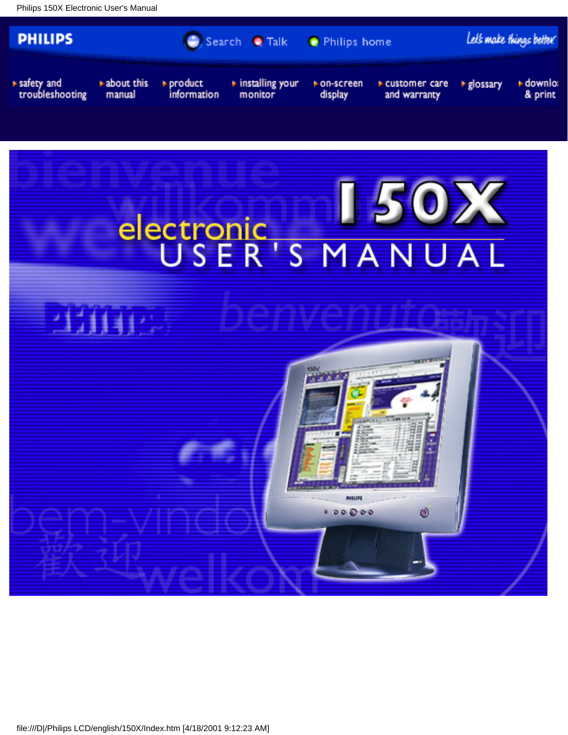Philips 150X Electronic User's Manual



file:///D|/Philips LCD/english/150X/Index.htm [4/18/2001 9:12:23 AM]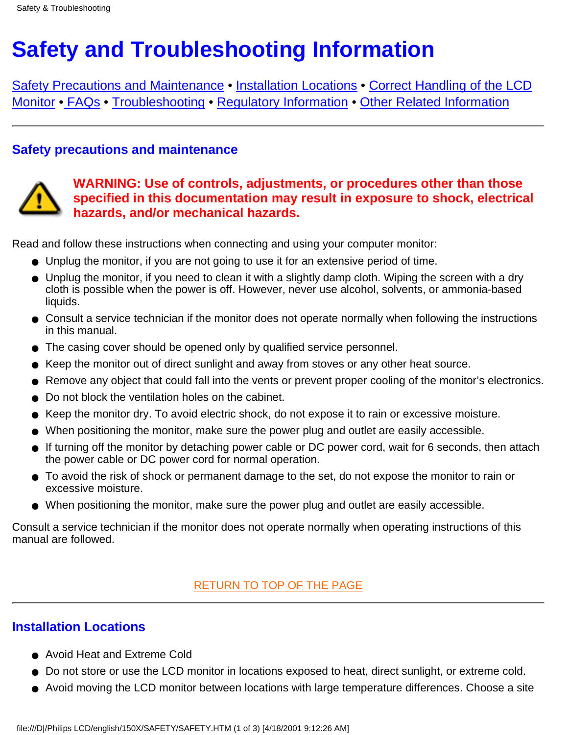# <span id="page-1-0"></span>**Safety and Troubleshooting Information**

Safety Precautions and Maintenance • Installation Locations • Correct Handling of the LCD Monitor [• FAQs](#page-33-0) • [Troubleshooting](#page-42-0) • [Regulatory Information](#page-45-0) • [Other Related Information](#page-53-0)

## **Safety precautions and maintenance**



## **WARNING: Use of controls, adjustments, or procedures other than those specified in this documentation may result in exposure to shock, electrical hazards, and/or mechanical hazards.**

Read and follow these instructions when connecting and using your computer monitor:

- Unplug the monitor, if you are not going to use it for an extensive period of time.
- Unplug the monitor, if you need to clean it with a slightly damp cloth. Wiping the screen with a dry cloth is possible when the power is off. However, never use alcohol, solvents, or ammonia-based liquids.
- Consult a service technician if the monitor does not operate normally when following the instructions in this manual.
- The casing cover should be opened only by qualified service personnel.
- Keep the monitor out of direct sunlight and away from stoves or any other heat source.
- Remove any object that could fall into the vents or prevent proper cooling of the monitor's electronics.
- Do not block the ventilation holes on the cabinet.
- Keep the monitor dry. To avoid electric shock, do not expose it to rain or excessive moisture.
- When positioning the monitor, make sure the power plug and outlet are easily accessible.
- If turning off the monitor by detaching power cable or DC power cord, wait for 6 seconds, then attach the power cable or DC power cord for normal operation.
- To avoid the risk of shock or permanent damage to the set, do not expose the monitor to rain or excessive moisture.
- When positioning the monitor, make sure the power plug and outlet are easily accessible.

Consult a service technician if the monitor does not operate normally when operating instructions of this manual are followed.

## RETURN TO TOP OF THE PAGE

## **Installation Locations**

- Avoid Heat and Extreme Cold
- Do not store or use the LCD monitor in locations exposed to heat, direct sunlight, or extreme cold.
- Avoid moving the LCD monitor between locations with large temperature differences. Choose a site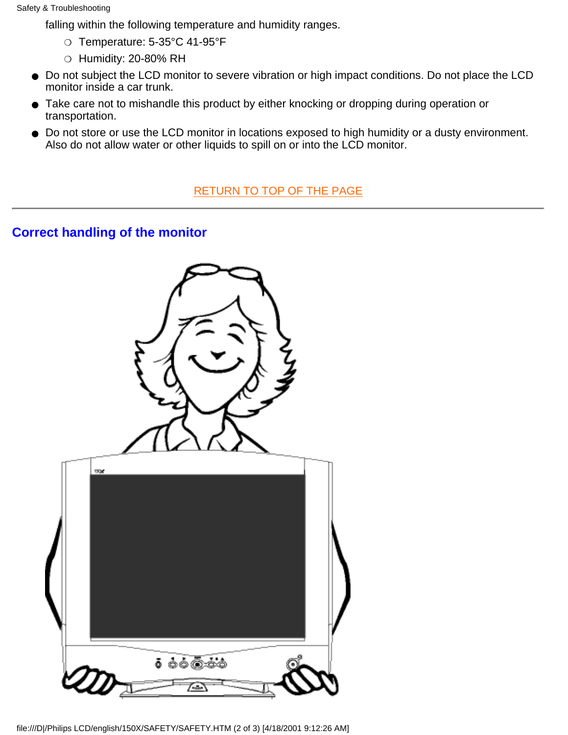falling within the following temperature and humidity ranges.

- ❍ Temperature: 5-35°C 41-95°F
- ❍ Humidity: 20-80% RH
- Do not subject the LCD monitor to severe vibration or high impact conditions. Do not place the LCD monitor inside a car trunk. ●
- Take care not to mishandle this product by either knocking or dropping during operation or transportation.
- Do not store or use the LCD monitor in locations exposed to high humidity or a dusty environment. Also do not allow water or other liquids to spill on or into the LCD monitor.

## RETURN TO TOP OF THE PAGE

## **Correct handling of the monitor**

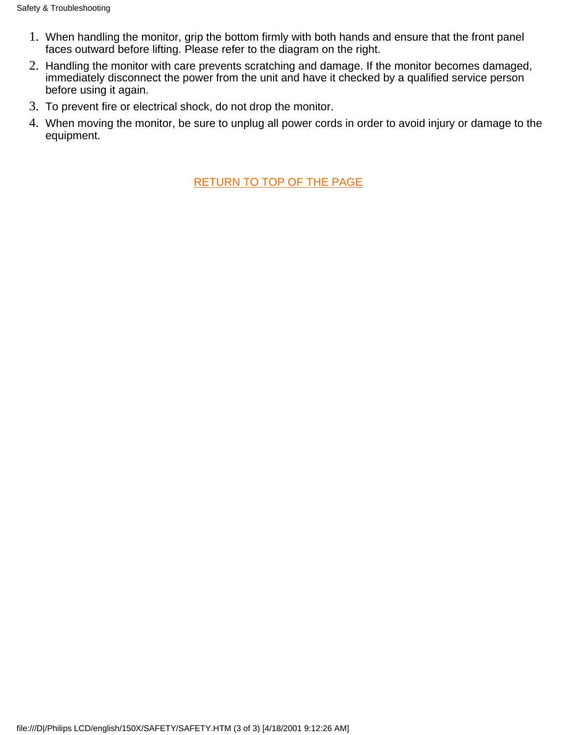- When handling the monitor, grip the bottom firmly with both hands and ensure that the front panel 1. faces outward before lifting. Please refer to the diagram on the right.
- 2. Handling the monitor with care prevents scratching and damage. If the monitor becomes damaged, immediately disconnect the power from the unit and have it checked by a qualified service person before using it again.
- 3. To prevent fire or electrical shock, do not drop the monitor.
- When moving the monitor, be sure to unplug all power cords in order to avoid injury or damage to the 4. equipment.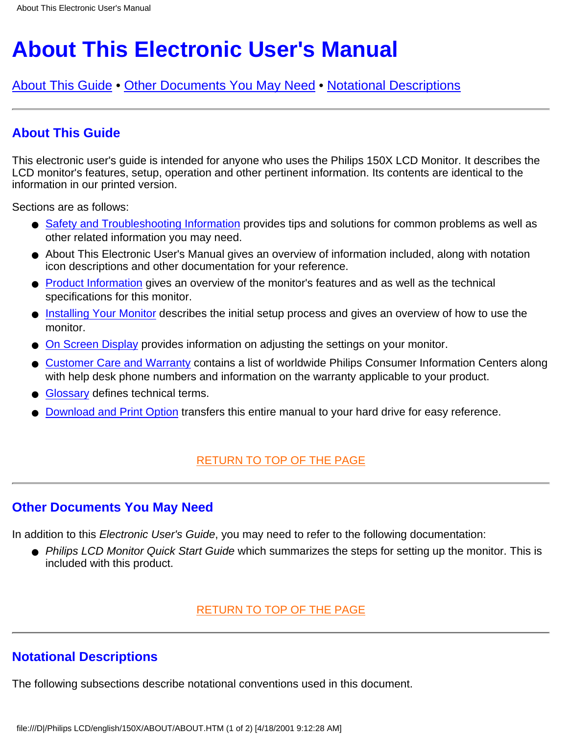# <span id="page-4-3"></span>**About This Electronic User's Manual**

# [About This Guide](#page-4-0) • [Other Documents You May Need](#page-4-1) • [Notational Descriptions](#page-4-2)

# <span id="page-4-0"></span>**About This Guide**

This electronic user's guide is intended for anyone who uses the Philips 150X LCD Monitor. It describes the LCD monitor's features, setup, operation and other pertinent information. Its contents are identical to the information in our printed version.

Sections are as follows:

- [Safety and Troubleshooting Information](#page-1-0) provides tips and solutions for common problems as well as other related information you may need.
- About This Electronic User's Manual gives an overview of information included, along with notation icon descriptions and other documentation for your reference.
- [Product Information](#page-6-0) gives an overview of the monitor's features and as well as the technical specifications for this monitor.
- [Installing Your Monitor](#page-15-0) describes the initial setup process and gives an overview of how to use the monitor.
- [On Screen Display](#page-20-0) provides information on adjusting the settings on your monitor.
- [Customer Care and Warranty](#page-25-0) contains a list of worldwide Philips Consumer Information Centers along with help desk phone numbers and information on the warranty applicable to your product.
- [Glossary](#page-26-0) defines technical terms.
- **[Download and Print Option](#page-31-0) transfers this entire manual to your hard drive for easy reference.**

### [RETURN TO TOP OF THE PAGE](#page-4-3)

# <span id="page-4-1"></span>**Other Documents You May Need**

In addition to this *Electronic User's Guide*, you may need to refer to the following documentation:

● Philips LCD Monitor Quick Start Guide which summarizes the steps for setting up the monitor. This is included with this product.

### [RETURN TO TOP OF THE PAGE](#page-4-3)

# <span id="page-4-2"></span>**Notational Descriptions**

The following subsections describe notational conventions used in this document.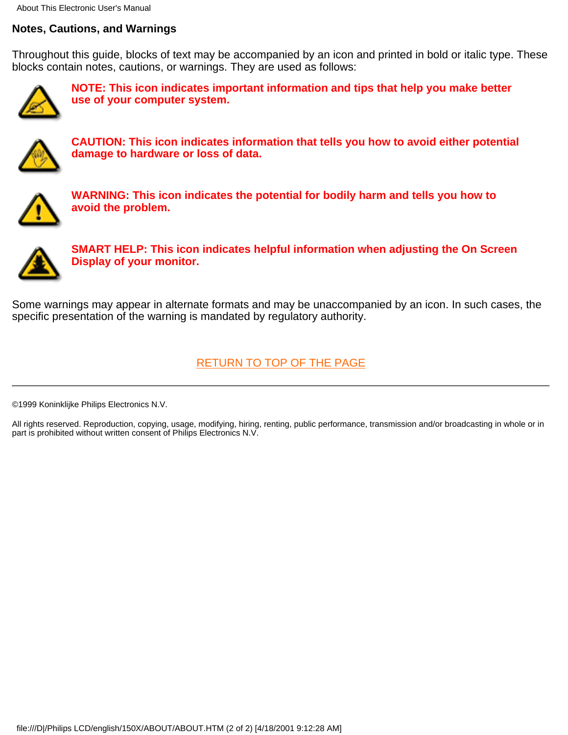### **Notes, Cautions, and Warnings**

Throughout this guide, blocks of text may be accompanied by an icon and printed in bold or italic type. These blocks contain notes, cautions, or warnings. They are used as follows:



**NOTE: This icon indicates important information and tips that help you make better use of your computer system.**



**CAUTION: This icon indicates information that tells you how to avoid either potential damage to hardware or loss of data.**



**WARNING: This icon indicates the potential for bodily harm and tells you how to avoid the problem.**



**SMART HELP: This icon indicates helpful information when adjusting the On Screen Display of your monitor.**

Some warnings may appear in alternate formats and may be unaccompanied by an icon. In such cases, the specific presentation of the warning is mandated by regulatory authority.

[RETURN TO TOP OF THE PAGE](#page-4-3)

©1999 Koninklijke Philips Electronics N.V.

All rights reserved. Reproduction, copying, usage, modifying, hiring, renting, public performance, transmission and/or broadcasting in whole or in part is prohibited without written consent of Philips Electronics N.V.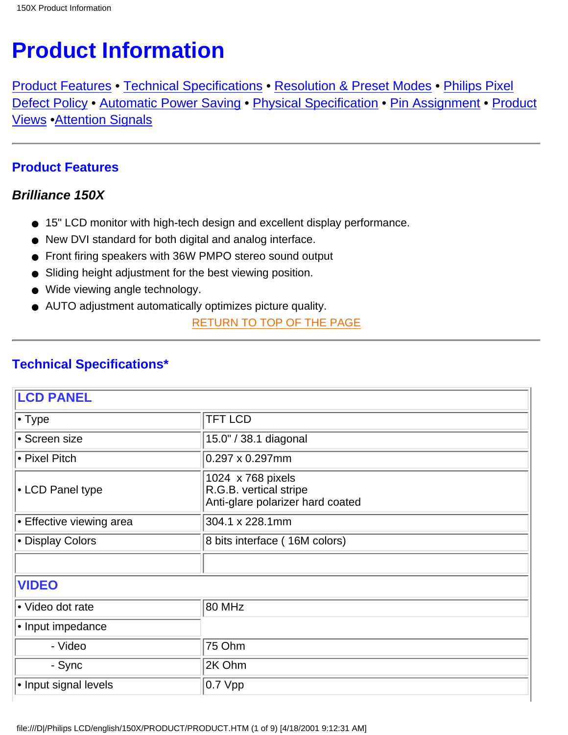# <span id="page-6-0"></span>**Product Information**

Product Features • Technical Specifications • Resolution & Preset Modes • [Philips Pixel](#page-54-0) [Defect Policy](#page-54-0) • Automatic Power Saving • Physical Specification • Pin Assignment • Product Views •Attention Signals

## **Product Features**

## *Brilliance 150X*

- 15" LCD monitor with high-tech design and excellent display performance.
- New DVI standard for both digital and analog interface.
- Front firing speakers with 36W PMPO stereo sound output
- Sliding height adjustment for the best viewing position.
- Wide viewing angle technology.
- AUTO adjustment automatically optimizes picture quality.

RETURN TO TOP OF THE PAGE

# **Technical Specifications\***

| <b>LCD PANEL</b>                          |                                                                                 |  |  |  |  |
|-------------------------------------------|---------------------------------------------------------------------------------|--|--|--|--|
| $\cdot$ Type                              | <b>TFT LCD</b>                                                                  |  |  |  |  |
| Screen size                               | 15.0" / 38.1 diagonal                                                           |  |  |  |  |
| l• Pixel Pitch                            | 0.297 x 0.297mm                                                                 |  |  |  |  |
| • LCD Panel type                          | 1024 x 768 pixels<br>R.G.B. vertical stripe<br>Anti-glare polarizer hard coated |  |  |  |  |
| 304.1 x 228.1mm<br>Effective viewing area |                                                                                 |  |  |  |  |
| • Display Colors                          | 8 bits interface (16M colors)                                                   |  |  |  |  |
|                                           |                                                                                 |  |  |  |  |
| <b>VIDEO</b>                              |                                                                                 |  |  |  |  |
| • Video dot rate                          | 80 MHz                                                                          |  |  |  |  |
| • Input impedance                         |                                                                                 |  |  |  |  |
| - Video                                   | 75 Ohm                                                                          |  |  |  |  |
| - Sync                                    | 2K Ohm                                                                          |  |  |  |  |
| • Input signal levels                     | 0.7 Vpp                                                                         |  |  |  |  |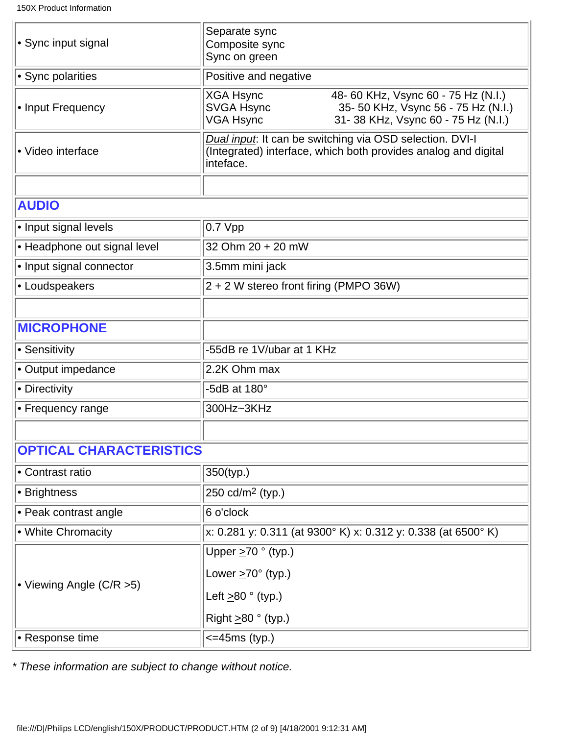| • Sync input signal            | Separate sync<br>Composite sync<br>Sync on green                                                                                                                             |
|--------------------------------|------------------------------------------------------------------------------------------------------------------------------------------------------------------------------|
| • Sync polarities              | Positive and negative                                                                                                                                                        |
| • Input Frequency              | 48-60 KHz, Vsync 60 - 75 Hz (N.I.)<br><b>XGA Hsync</b><br><b>SVGA Hsync</b><br>35- 50 KHz, Vsync 56 - 75 Hz (N.I.)<br><b>VGA Hsync</b><br>31-38 KHz, Vsync 60 - 75 Hz (N.I.) |
| • Video interface              | Dual input. It can be switching via OSD selection. DVI-I<br>(Integrated) interface, which both provides analog and digital<br>inteface.                                      |
|                                |                                                                                                                                                                              |
| <b>AUDIO</b>                   |                                                                                                                                                                              |
| • Input signal levels          | 0.7 Vpp                                                                                                                                                                      |
| • Headphone out signal level   | 32 Ohm 20 + 20 mW                                                                                                                                                            |
| • Input signal connector       | 3.5mm mini jack                                                                                                                                                              |
| • Loudspeakers                 | 2 + 2 W stereo front firing (PMPO 36W)                                                                                                                                       |
|                                |                                                                                                                                                                              |
| <b>MICROPHONE</b>              |                                                                                                                                                                              |
| • Sensitivity                  | -55dB re 1V/ubar at 1 KHz                                                                                                                                                    |
| • Output impedance             | 2.2K Ohm max                                                                                                                                                                 |
| • Directivity                  | -5dB at $180^\circ$                                                                                                                                                          |
| • Frequency range              | 300Hz~3KHz                                                                                                                                                                   |
|                                |                                                                                                                                                                              |
| <b>OPTICAL CHARACTERISTICS</b> |                                                                                                                                                                              |
| • Contrast ratio               | 350(typ.)                                                                                                                                                                    |
| • Brightness                   | 250 cd/m <sup>2</sup> (typ.)                                                                                                                                                 |
| • Peak contrast angle          | 6 o'clock                                                                                                                                                                    |
| • White Chromacity             | x: 0.281 y: 0.311 (at 9300° K) x: 0.312 y: 0.338 (at 6500° K)                                                                                                                |
|                                | $1 \text{ km} \cdot \text{m}$ $70.0 \text{ km}$                                                                                                                              |

| ∣• White Chromacity         | x: 0.281 y: 0.311 (at 9300° K) x: 0.312 y: 0.338 (at 6500° K) |
|-----------------------------|---------------------------------------------------------------|
|                             | $ Upper \ge 70$ ° (typ.)                                      |
| • Viewing Angle $(C/R > 5)$ | $ Lower \ge 70^{\circ}$ (typ.)                                |
|                             | $ \mathsf{Left}\geq 80\degree$ (typ.)                         |
|                             | $ Right \geq 80$ ° (typ.)                                     |
| ∣• Response time            | /<=45ms (typ.)                                                |

*\* These information are subject to change without notice.*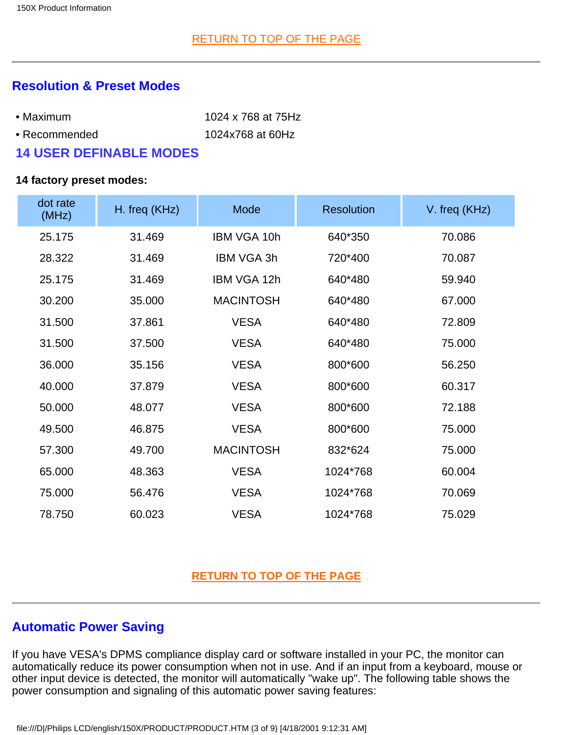# **Resolution & Preset Modes**

| • Maximum | 1024 x 768 at 75Hz |
|-----------|--------------------|
|           |                    |

• Recommended 1024x768 at 60Hz

## **14 USER DEFINABLE MODES**

### **14 factory preset modes:**

| dot rate<br>(MHz) | H. freq (KHz) | Mode               | <b>Resolution</b> | V. freq (KHz) |
|-------------------|---------------|--------------------|-------------------|---------------|
| 25.175            | 31.469        | <b>IBM VGA 10h</b> | 640*350           | 70.086        |
| 28.322            | 31.469        | <b>IBM VGA 3h</b>  | 720*400           | 70.087        |
| 25.175            | 31.469        | IBM VGA 12h        | 640*480           | 59.940        |
| 30.200            | 35.000        | <b>MACINTOSH</b>   | 640*480           | 67.000        |
| 31.500            | 37.861        | <b>VESA</b>        | 640*480           | 72.809        |
| 31.500            | 37.500        | <b>VESA</b>        | 640*480           | 75.000        |
| 36.000            | 35.156        | <b>VESA</b>        | 800*600           | 56.250        |
| 40.000            | 37.879        | <b>VESA</b>        | 800*600           | 60.317        |
| 50.000            | 48.077        | <b>VESA</b>        | 800*600           | 72.188        |
| 49.500            | 46.875        | <b>VESA</b>        | 800*600           | 75.000        |
| 57.300            | 49.700        | <b>MACINTOSH</b>   | 832*624           | 75.000        |
| 65.000            | 48.363        | <b>VESA</b>        | 1024*768          | 60.004        |
| 75.000            | 56.476        | <b>VESA</b>        | 1024*768          | 70.069        |
| 78.750            | 60.023        | <b>VESA</b>        | 1024*768          | 75.029        |

## **RETURN TO TOP OF THE PAGE**

# **Automatic Power Saving**

If you have VESA's DPMS compliance display card or software installed in your PC, the monitor can automatically reduce its power consumption when not in use. And if an input from a keyboard, mouse or other input device is detected, the monitor will automatically "wake up". The following table shows the power consumption and signaling of this automatic power saving features: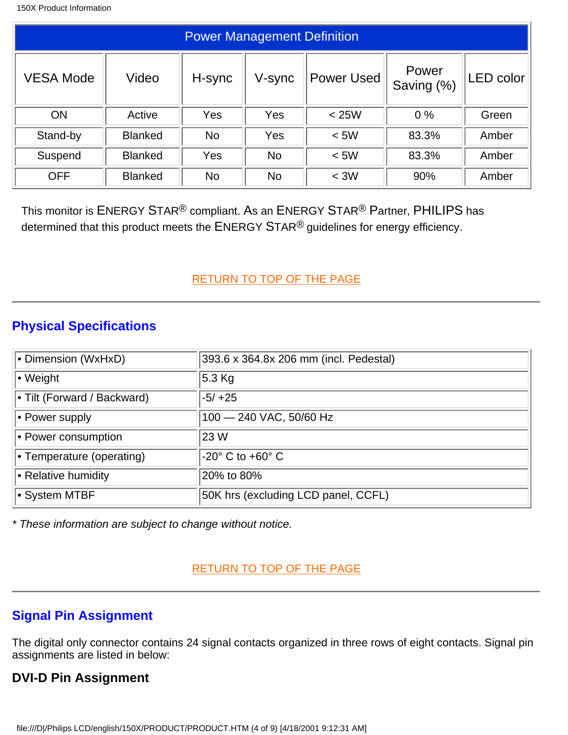| <b>Power Management Definition</b>                                                                            |                |           |           |        |       |       |  |  |  |
|---------------------------------------------------------------------------------------------------------------|----------------|-----------|-----------|--------|-------|-------|--|--|--|
| Power<br><b>Power Used</b><br><b>VESA Mode</b><br><b>LED</b> color<br>Video<br>H-sync<br>V-sync<br>Saving (%) |                |           |           |        |       |       |  |  |  |
| <b>ON</b>                                                                                                     | Active         | Yes       | Yes       | < 25W  | $0\%$ | Green |  |  |  |
| Stand-by                                                                                                      | <b>Blanked</b> | No        | Yes       | < 5W   | 83.3% | Amber |  |  |  |
| Suspend                                                                                                       | <b>Blanked</b> | Yes       | <b>No</b> | < 5W   | 83.3% | Amber |  |  |  |
| <b>OFF</b>                                                                                                    | <b>Blanked</b> | <b>No</b> | No        | $<$ 3W | 90%   | Amber |  |  |  |

This monitor is ENERGY STAR® compliant. As an ENERGY STAR® Partner, PHILIPS has determined that this product meets the ENERGY STAR<sup>®</sup> guidelines for energy efficiency.

## RETURN TO TOP OF THE PAGE

# **Physical Specifications**

| • Dimension (WxHxD)               | 393.6 x 364.8x 206 mm (incl. Pedestal) |
|-----------------------------------|----------------------------------------|
| • Weight                          | $5.3$ Kg                               |
| $\cdot$ Tilt (Forward / Backward) | $-5/+25$                               |
| $\cdot$ Power supply              | 100 - 240 VAC, 50/60 Hz                |
| • Power consumption               | 23 W                                   |
| $\cdot$ Temperature (operating)   | $-20^\circ$ C to $+60^\circ$ C         |
| $\cdot$ Relative humidity         | 20% to 80%                             |
| • System MTBF                     | 50K hrs (excluding LCD panel, CCFL)    |

*\* These information are subject to change without notice.*

## RETURN TO TOP OF THE PAGE

# **Signal Pin Assignment**

The digital only connector contains 24 signal contacts organized in three rows of eight contacts. Signal pin assignments are listed in below:

# **DVI-D Pin Assignment**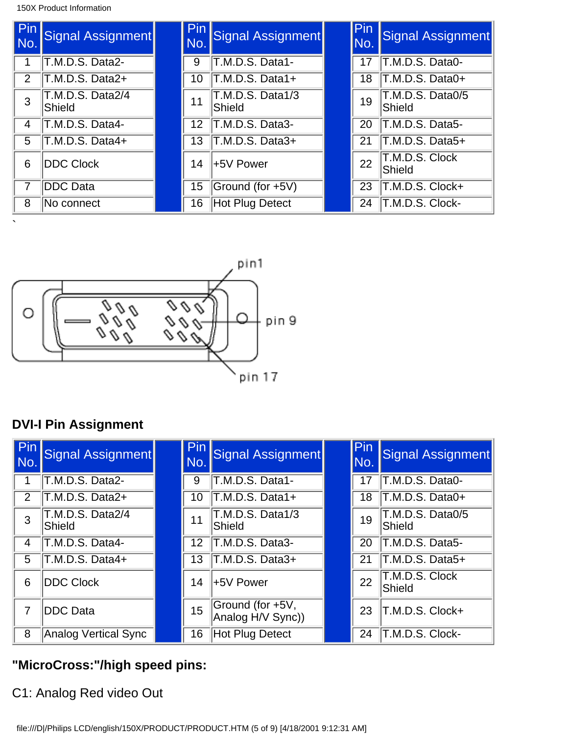150X Product Information

`

| Pin<br>No.     | Signal Assignment                 | Pin<br>No. | Signal Assignment          | Pin <br>No. | Signal Assignment          |
|----------------|-----------------------------------|------------|----------------------------|-------------|----------------------------|
|                | T.M.D.S. Data2-                   | 9          | T.M.D.S. Data1-            | 17          | T.M.D.S. Data0-            |
| $\overline{2}$ | T.M.D.S. Data2+                   | 10         | T.M.D.S. Data1+            | 18          | T.M.D.S. Data0+            |
| 3              | T.M.D.S. Data2/4<br><b>Shield</b> | 11         | T.M.D.S. Data1/3<br>Shield | 19          | T.M.D.S. Data0/5<br>Shield |
| 4              | T.M.D.S. Data4-                   | 12         | T.M.D.S. Data3-            | 20          | T.M.D.S. Data5-            |
| 5              | T.M.D.S. Data4+                   | 13         | T.M.D.S. Data3+            | 21          | T.M.D.S. Data5+            |
| 6              | <b>DDC Clock</b>                  | 14         | +5V Power                  | 22          | T.M.D.S. Clock<br>Shield   |
| 7              | <b>DDC</b> Data                   | 15         | Ground (for +5V)           | 23          | T.M.D.S. Clock+            |
| 8              | No connect                        | 16         | Hot Plug Detect            | 24          | T.M.D.S. Clock-            |



# **DVI-I Pin Assignment**

| No.            | Signal Assignment          | Pin<br>No. | Signal Assignment                     | Pin <br>No. | Signal Assignment          |
|----------------|----------------------------|------------|---------------------------------------|-------------|----------------------------|
|                | T.M.D.S. Data2-            | 9          | T.M.D.S. Data1-                       | 17          | T.M.D.S. Data0-            |
| $\overline{2}$ | T.M.D.S. Data2+            | 10         | T.M.D.S. Data1+                       | 18          | T.M.D.S. Data0+            |
| 3              | T.M.D.S. Data2/4<br>Shield | 11         | T.M.D.S. Data1/3<br>Shield            | 19          | T.M.D.S. Data0/5<br>Shield |
| 4              | T.M.D.S. Data4-            | 12         | T.M.D.S. Data3-                       | 20          | T.M.D.S. Data5-            |
| 5              | T.M.D.S. Data4+            | 13         | T.M.D.S. Data3+                       | 21          | T.M.D.S. Data5+            |
| 6              | <b>DDC Clock</b>           | 14         | +5V Power                             | 22          | T.M.D.S. Clock<br>Shield   |
| 7              | <b>DDC Data</b>            | 15         | Ground (for +5V,<br>Analog H/V Sync)) | 23          | T.M.D.S. Clock+            |
| 8              | Analog Vertical Sync       | 16         | Hot Plug Detect                       | 24          | T.M.D.S. Clock-            |

# **"MicroCross:"/high speed pins:**

# C1: Analog Red video Out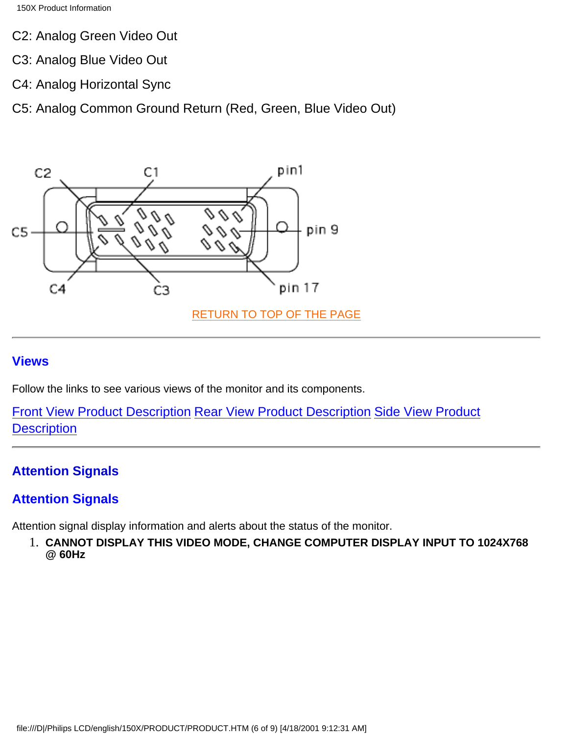150X Product Information

- C2: Analog Green Video Out
- C3: Analog Blue Video Out
- C4: Analog Horizontal Sync
- C5: Analog Common Ground Return (Red, Green, Blue Video Out)



## **Views**

Follow the links to see various views of the monitor and its components.

Front View Product Description Rear View Product Description [Side View Product](#page-17-0) **[Description](#page-17-0)** 

# **Attention Signals**

# **Attention Signals**

Attention signal display information and alerts about the status of the monitor.

**CANNOT DISPLAY THIS VIDEO MODE, CHANGE COMPUTER DISPLAY INPUT TO 1024X768** 1. **@ 60Hz**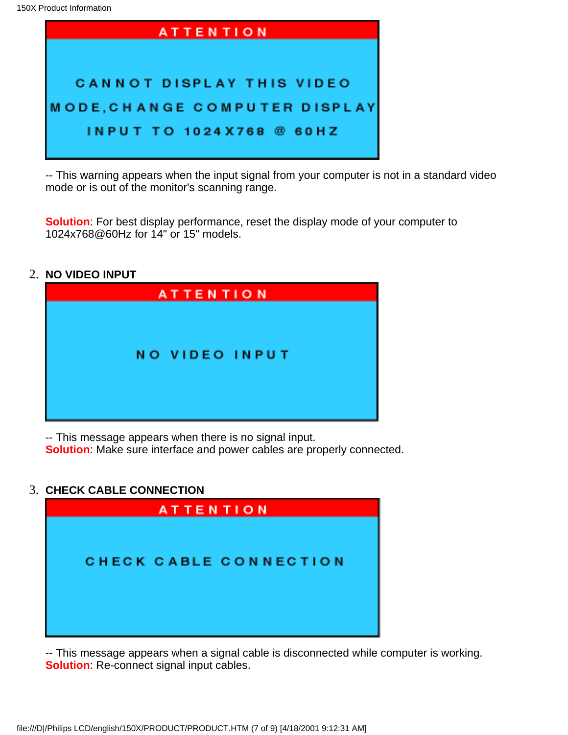

-- This warning appears when the input signal from your computer is not in a standard video mode or is out of the monitor's scanning range.

**Solution**: For best display performance, reset the display mode of your computer to 1024x768@60Hz for 14" or 15" models.

2. **NO VIDEO INPUT**



-- This message appears when there is no signal input.

**Solution**: Make sure interface and power cables are properly connected.

#### 3. **CHECK CABLE CONNECTION**



-- This message appears when a signal cable is disconnected while computer is working. **Solution**: Re-connect signal input cables.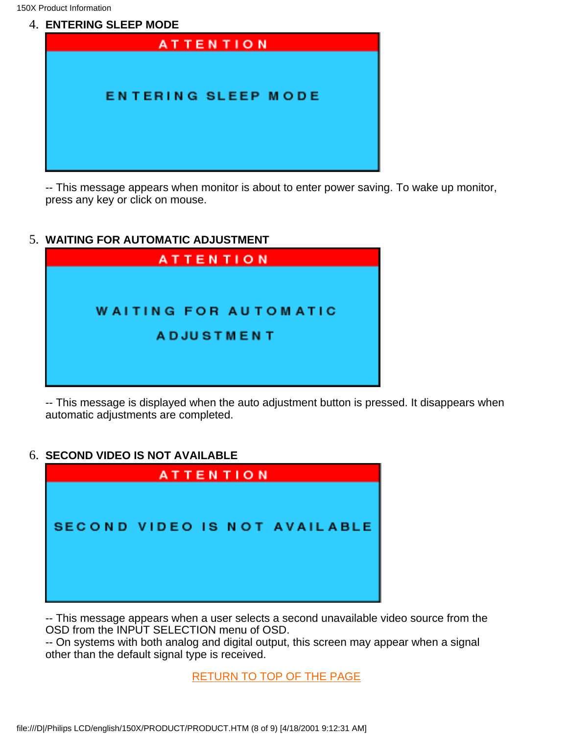150X Product Information

4. **ENTERING SLEEP MODE**



-- This message appears when monitor is about to enter power saving. To wake up monitor, press any key or click on mouse.

### 5. **WAITING FOR AUTOMATIC ADJUSTMENT**



-- This message is displayed when the auto adjustment button is pressed. It disappears when automatic adjustments are completed.

### 6. **SECOND VIDEO IS NOT AVAILABLE**



-- This message appears when a user selects a second unavailable video source from the OSD from the INPUT SELECTION menu of OSD.

-- On systems with both analog and digital output, this screen may appear when a signal other than the default signal type is received.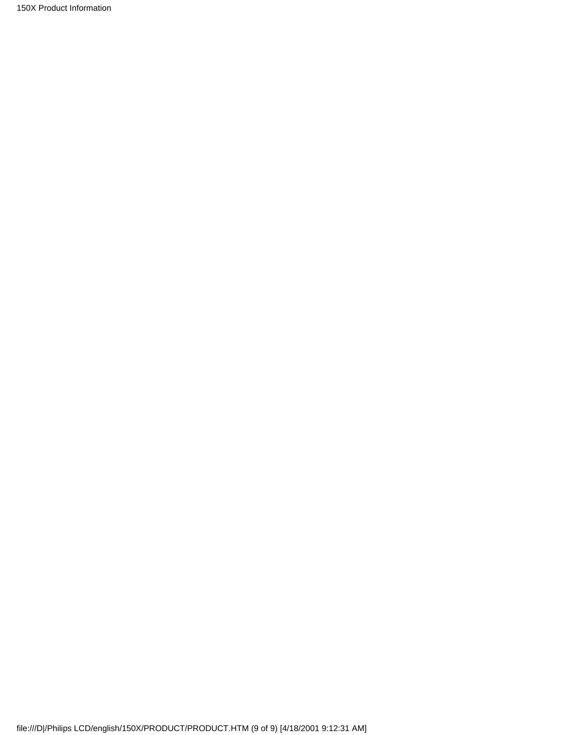150X Product Information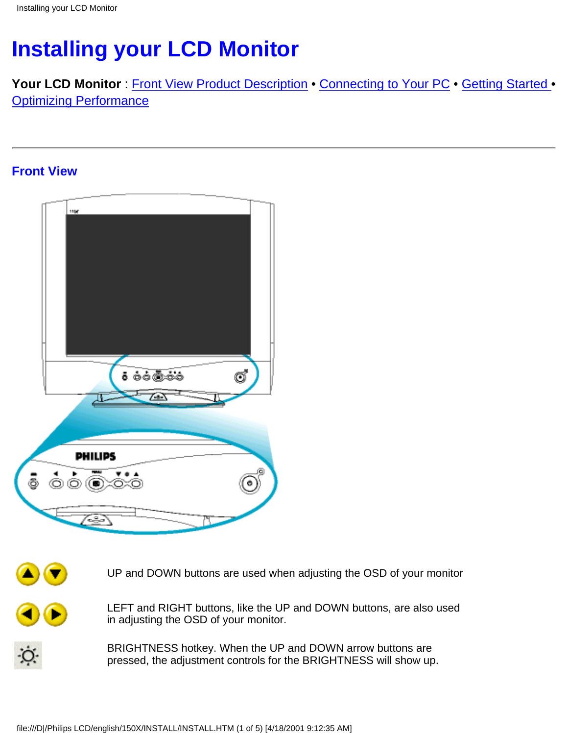# <span id="page-15-0"></span>**Installing your LCD Monitor**

Your LCD Monitor : Front View Product Description • [Connecting to Your PC](#page-57-0) • [Getting Started](#page-62-0) • **Optimizing Performance** 

## **Front View**



UP and DOWN buttons are used when adjusting the OSD of your monitor

LEFT and RIGHT buttons, like the UP and DOWN buttons, are also used in adjusting the OSD of your monitor.

BRIGHTNESS hotkey. When the UP and DOWN arrow buttons are pressed, the adjustment controls for the BRIGHTNESS will show up.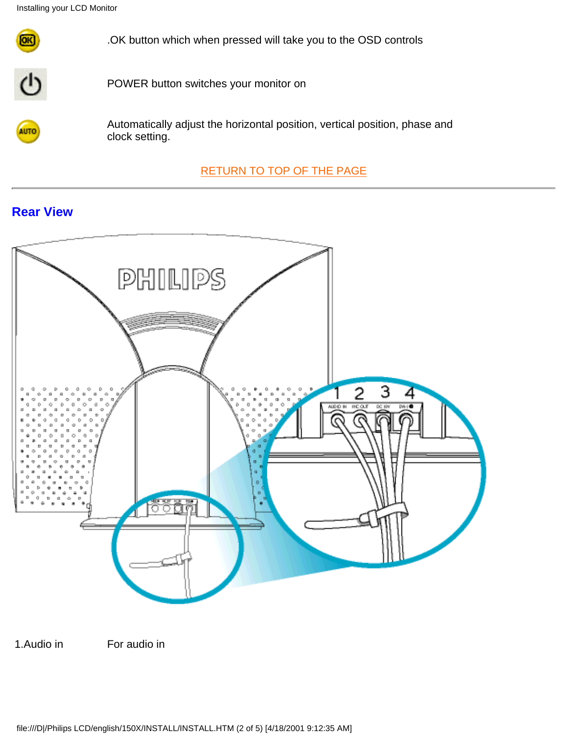

.OK button which when pressed will take you to the OSD controls



POWER button switches your monitor on



Automatically adjust the horizontal position, vertical position, phase and clock setting.

## RETURN TO TOP OF THE PAGE

# **Rear View**



1.Audio in For audio in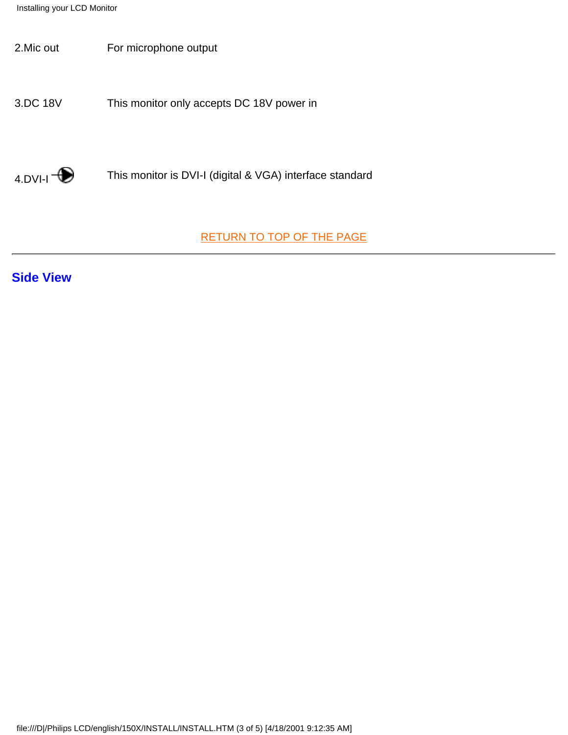Installing your LCD Monitor

2. Mic out For microphone output

3.DC 18V This monitor only accepts DC 18V power in



4.DVI-I This monitor is DVI-I (digital & VGA) interface standard

## RETURN TO TOP OF THE PAGE

<span id="page-17-0"></span>**Side View**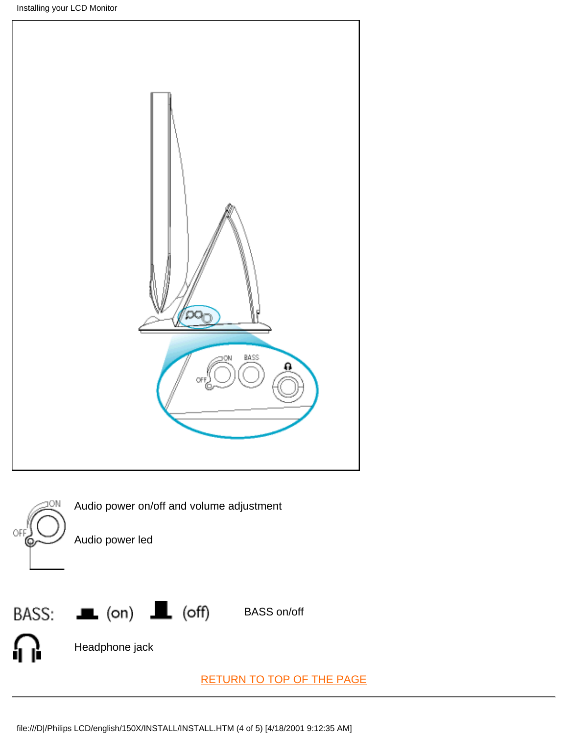

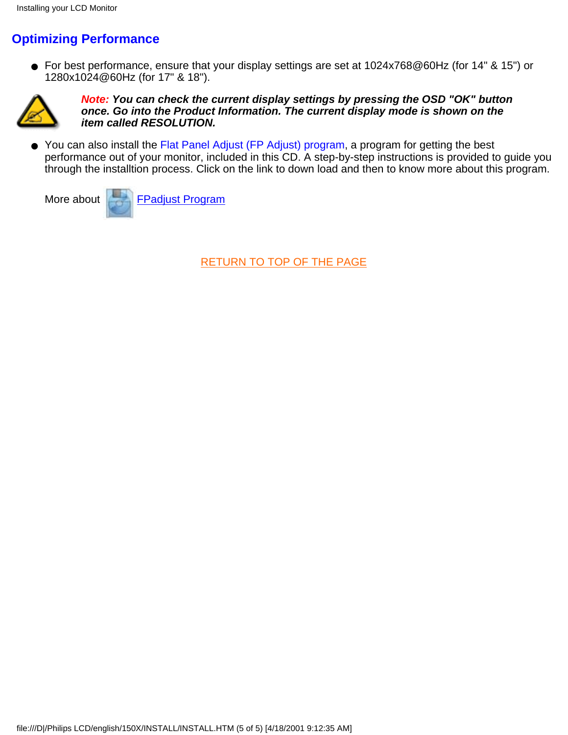# **Optimizing Performance**

● For best performance, ensure that your display settings are set at 1024x768@60Hz (for 14" & 15") or 1280x1024@60Hz (for 17" & 18").



*Note: You can check the current display settings by pressing the OSD "OK" button once. Go into the Product Information. The current display mode is shown on the item called RESOLUTION.*

● You can also install the Flat Panel Adjust (FP Adjust) program, a program for getting the best performance out of your monitor, included in this CD. A step-by-step instructions is provided to guide you through the installtion process. Click on the link to down load and then to know more about this program.

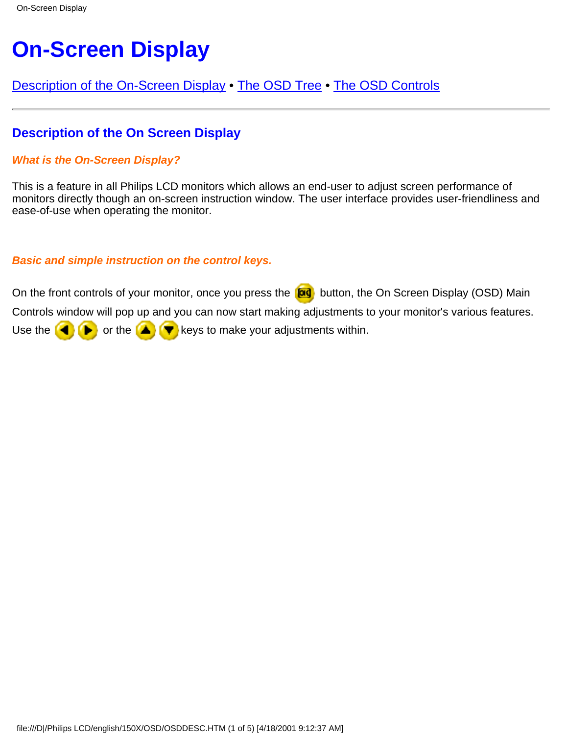# <span id="page-20-0"></span>**On-Screen Display**

# Description of the On-Screen Display • The OSD Tree • [The OSD Controls](#page-63-0)

# **Description of the On Screen Display**

## *What is the On-Screen Display?*

This is a feature in all Philips LCD monitors which allows an end-user to adjust screen performance of monitors directly though an on-screen instruction window. The user interface provides user-friendliness and ease-of-use when operating the monitor.

### *Basic and simple instruction on the control keys.*

On the front controls of your monitor, once you press the **[ad**] button, the On Screen Display (OSD) Main Controls window will pop up and you can now start making adjustments to your monitor's various features. Use the  $\Box$  or the  $\Box$  ( $\blacktriangleright$  keys to make your adjustments within.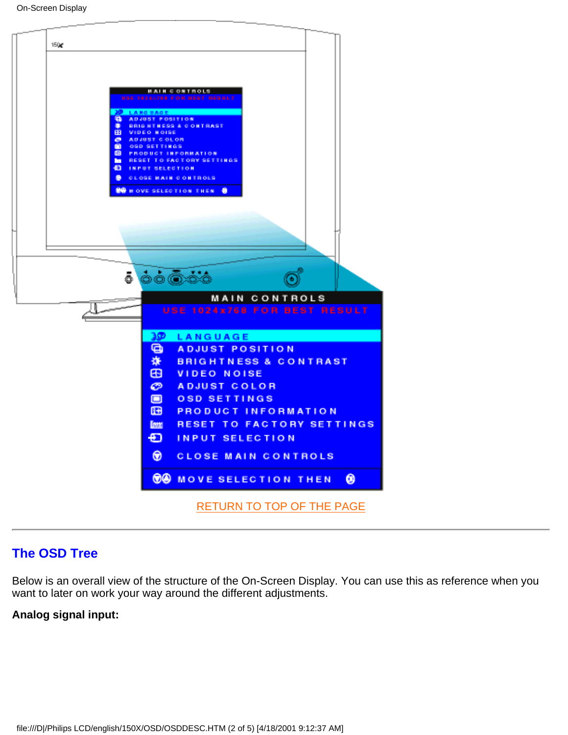On-Screen Display



# **The OSD Tree**

Below is an overall view of the structure of the On-Screen Display. You can use this as reference when you want to later on work your way around the different adjustments.

# **Analog signal input:**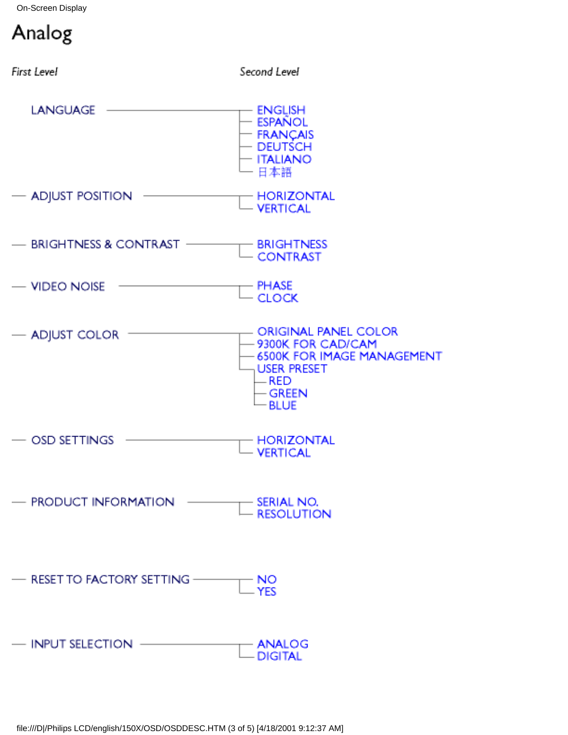On-Screen Display

# Analog

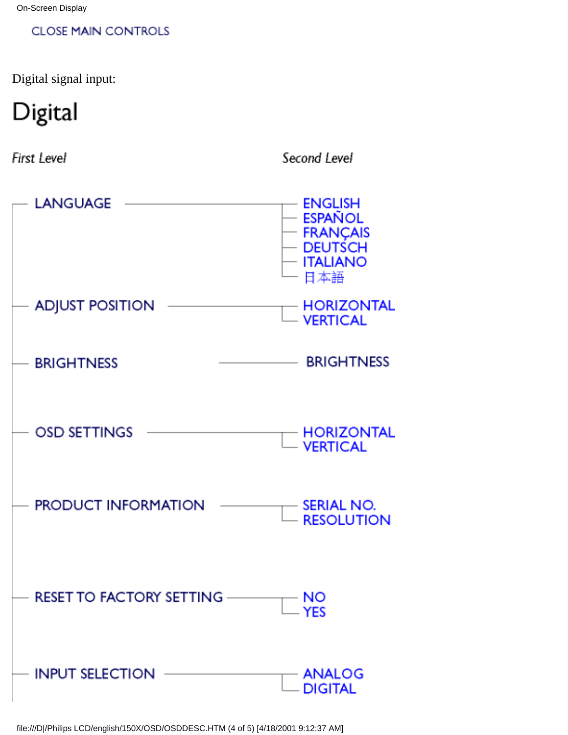On-Screen Display

**CLOSE MAIN CONTROLS** 

Digital signal input:

# Digital

Second Level First Level **LANGUAGE** - ENGLISH **ESPAÑOL FRANÇAIS** - DEUTŚCH **ITALIANO** 日本語 **ADJUST POSITION** - HORIZONTAL - VERTICAL - BRIGHTNESS **BRIGHTNESS OSD SETTINGS** - HORIZONTAL - VERTICAL **PRODUCT INFORMATION** – SERIAL NO. - RESOLUTION **RESET TO FACTORY SETTING -**- NO  $-$  YES **INPUT SELECTION ANALOG** 

file:///D|/Philips LCD/english/150X/OSD/OSDDESC.HTM (4 of 5) [4/18/2001 9:12:37 AM]

**DIGITAL**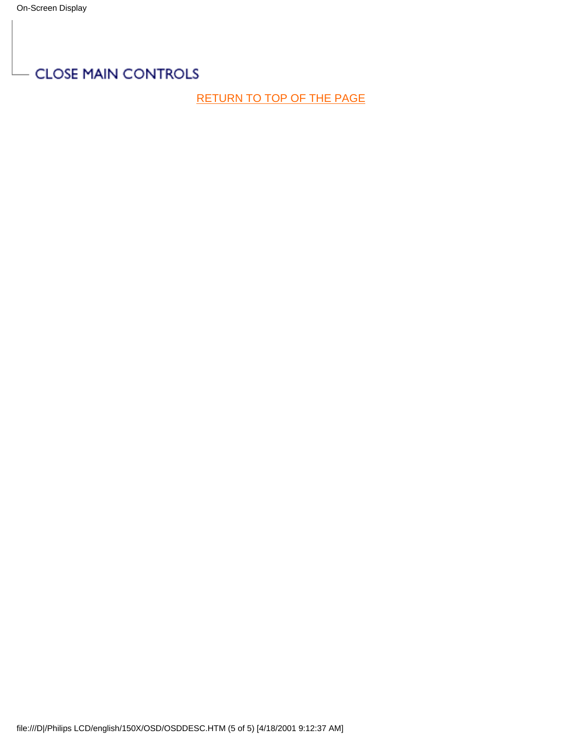# - CLOSE MAIN CONTROLS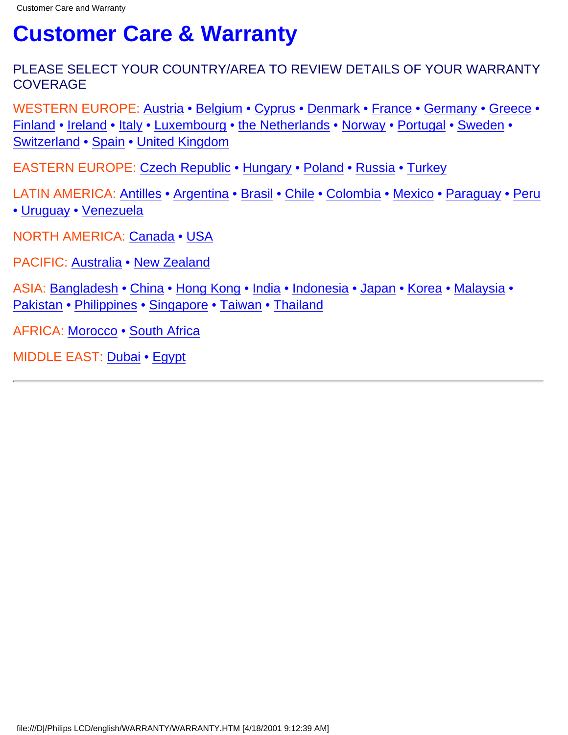# <span id="page-25-0"></span>**Customer Care & Warranty**

PLEASE SELECT YOUR COUNTRY/AREA TO REVIEW DETAILS OF YOUR WARRANTY **COVERAGE** 

WESTERN EUROPE: [Austria](#page-81-0) • [Belgium](#page-81-0) • [Cyprus](#page-81-0) • [Denmark](#page-81-0) • [France](#page-81-0) • [Germany](#page-81-0) • [Greece](#page-81-0) • [Finland](#page-81-0) • [Ireland](#page-81-0) • [Italy](#page-81-0) • [Luxembourg](#page-81-0) • [the Netherlands](#page-81-0) • [Norway](#page-81-0) • [Portugal](#page-81-0) • [Sweden](#page-81-0) • [Switzerland](#page-81-0) • [Spain](#page-81-0) • [United Kingdom](#page-81-0)

EASTERN EUROPE: [Czech Republic](#page-82-0) • [Hungary](#page-82-0) • [Poland](#page-82-0) • [Russia](#page-82-0) • [Turkey](#page-82-0)

LATIN AMERICA: [Antilles](#page-82-0) • [Argentina](#page-82-0) • [Brasil](#page-82-0) • [Chile](#page-82-0) • [Colombia](#page-82-0) • [Mexico](#page-82-0) • [Paraguay](#page-82-0) • [Peru](#page-82-0) • [Uruguay](#page-82-0) • [Venezuela](#page-82-0)

NORTH AMERICA: [Canada](#page-82-0) • [USA](#page-83-0)

PACIFIC: [Australia](#page-82-0) • [New Zealand](#page-82-0)

ASIA: [Bangladesh](#page-82-0) • [China](#page-82-0) • [Hong Kong](#page-82-0) • [India](#page-82-0) • [Indonesia](#page-82-0) • [Japan](#page-82-0) • [Korea](#page-82-0) • [Malaysia](#page-82-0) • [Pakistan](#page-82-0) • [Philippines](#page-82-0) • [Singapore](#page-82-0) • [Taiwan](#page-82-0) • [Thailand](#page-82-0)

AFRICA: [Morocco](#page-82-0) • [South Africa](#page-82-0)

MIDDLE EAST: [Dubai](#page-82-0) • [Egypt](#page-82-0)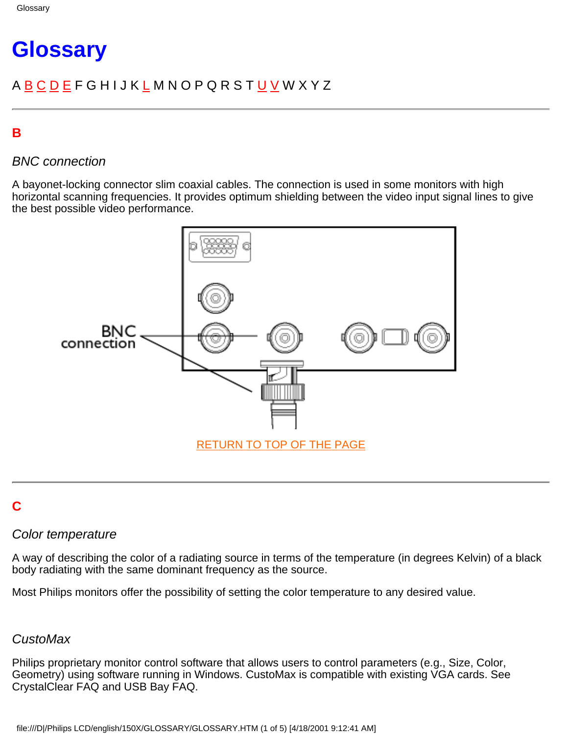# <span id="page-26-3"></span><span id="page-26-0"></span>**Glossary**

# A <u>B [C](#page-26-2) [D](#page-27-0) E</u> F G H I J K <u>L</u> M N O P Q R S T <u>[U](#page-28-1) V</u> W X Y Z

## <span id="page-26-1"></span>**B**

## *BNC connection*

A bayonet-locking connector slim coaxial cables. The connection is used in some monitors with high horizontal scanning frequencies. It provides optimum shielding between the video input signal lines to give the best possible video performance.



# <span id="page-26-2"></span>**C**

## *Color temperature*

A way of describing the color of a radiating source in terms of the temperature (in degrees Kelvin) of a black body radiating with the same dominant frequency as the source.

Most Philips monitors offer the possibility of setting the color temperature to any desired value.

## *CustoMax*

Philips proprietary monitor control software that allows users to control parameters (e.g., Size, Color, Geometry) using software running in Windows. CustoMax is compatible with existing VGA cards. See CrystalClear FAQ and USB Bay FAQ.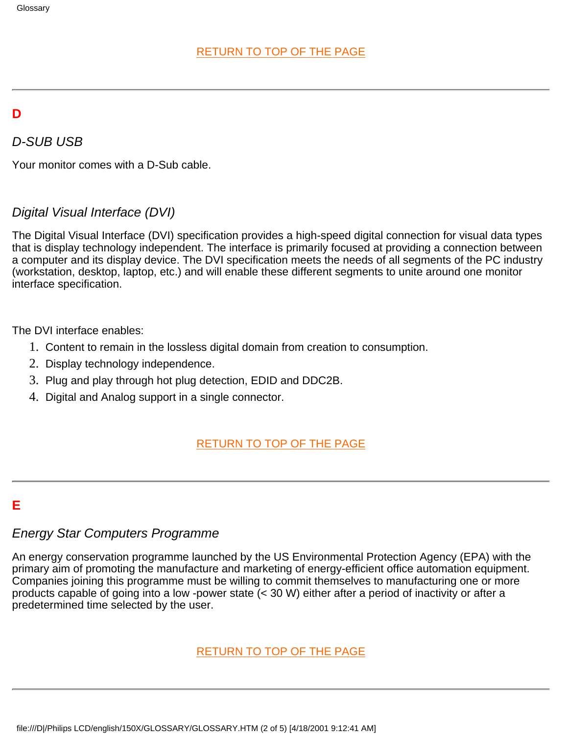# <span id="page-27-0"></span>**D**

## *D-SUB USB*

Your monitor comes with a D-Sub cable.

## *Digital Visual Interface (DVI)*

The Digital Visual Interface (DVI) specification provides a high-speed digital connection for visual data types that is display technology independent. The interface is primarily focused at providing a connection between a computer and its display device. The DVI specification meets the needs of all segments of the PC industry (workstation, desktop, laptop, etc.) and will enable these different segments to unite around one monitor interface specification.

### The DVI interface enables:

- 1. Content to remain in the lossless digital domain from creation to consumption.
- 2. Display technology independence.
- 3. Plug and play through hot plug detection, EDID and DDC2B.
- 4. Digital and Analog support in a single connector.

## [RETURN TO TOP OF THE PAGE](#page-26-3)

# <span id="page-27-1"></span>**E**

## *Energy Star Computers Programme*

An energy conservation programme launched by the US Environmental Protection Agency (EPA) with the primary aim of promoting the manufacture and marketing of energy-efficient office automation equipment. Companies joining this programme must be willing to commit themselves to manufacturing one or more products capable of going into a low -power state (< 30 W) either after a period of inactivity or after a predetermined time selected by the user.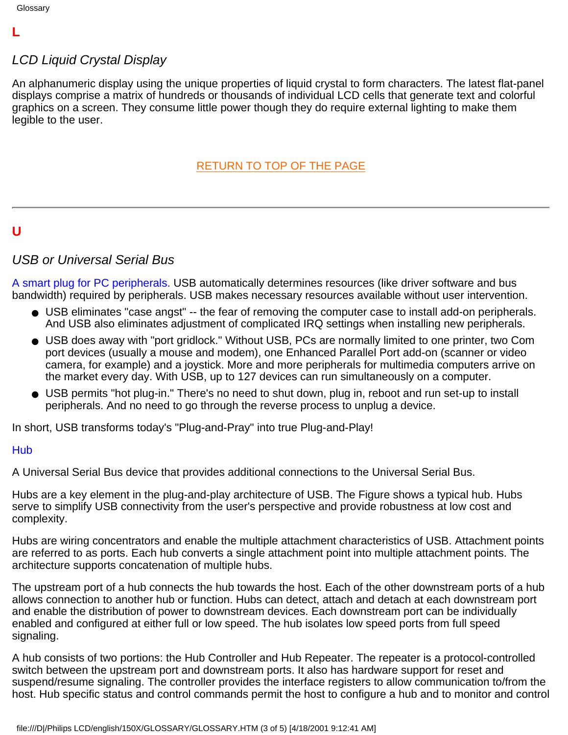## <span id="page-28-0"></span>**L**

# *LCD Liquid Crystal Display*

An alphanumeric display using the unique properties of liquid crystal to form characters. The latest flat-panel displays comprise a matrix of hundreds or thousands of individual LCD cells that generate text and colorful graphics on a screen. They consume little power though they do require external lighting to make them legible to the user.

## **[RETURN TO TOP OF THE PAGE](#page-26-3)**

## <span id="page-28-1"></span>**U**

## *USB or Universal Serial Bus*

A smart plug for PC peripherals. USB automatically determines resources (like driver software and bus bandwidth) required by peripherals. USB makes necessary resources available without user intervention.

- USB eliminates "case angst" -- the fear of removing the computer case to install add-on peripherals. And USB also eliminates adjustment of complicated IRQ settings when installing new peripherals.
- USB does away with "port gridlock." Without USB, PCs are normally limited to one printer, two Com port devices (usually a mouse and modem), one Enhanced Parallel Port add-on (scanner or video camera, for example) and a joystick. More and more peripherals for multimedia computers arrive on the market every day. With USB, up to 127 devices can run simultaneously on a computer.
- USB permits "hot plug-in." There's no need to shut down, plug in, reboot and run set-up to install peripherals. And no need to go through the reverse process to unplug a device.

In short, USB transforms today's "Plug-and-Pray" into true Plug-and-Play!

### **Hub**

A Universal Serial Bus device that provides additional connections to the Universal Serial Bus.

Hubs are a key element in the plug-and-play architecture of USB. The Figure shows a typical hub. Hubs serve to simplify USB connectivity from the user's perspective and provide robustness at low cost and complexity.

Hubs are wiring concentrators and enable the multiple attachment characteristics of USB. Attachment points are referred to as ports. Each hub converts a single attachment point into multiple attachment points. The architecture supports concatenation of multiple hubs.

The upstream port of a hub connects the hub towards the host. Each of the other downstream ports of a hub allows connection to another hub or function. Hubs can detect, attach and detach at each downstream port and enable the distribution of power to downstream devices. Each downstream port can be individually enabled and configured at either full or low speed. The hub isolates low speed ports from full speed signaling.

A hub consists of two portions: the Hub Controller and Hub Repeater. The repeater is a protocol-controlled switch between the upstream port and downstream ports. It also has hardware support for reset and suspend/resume signaling. The controller provides the interface registers to allow communication to/from the host. Hub specific status and control commands permit the host to configure a hub and to monitor and control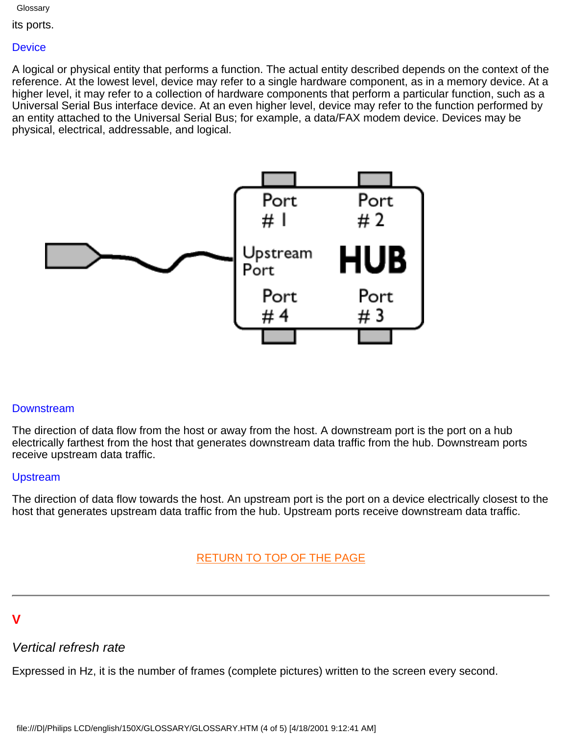**Glossary** 

#### its ports.

## **Device**

A logical or physical entity that performs a function. The actual entity described depends on the context of the reference. At the lowest level, device may refer to a single hardware component, as in a memory device. At a higher level, it may refer to a collection of hardware components that perform a particular function, such as a Universal Serial Bus interface device. At an even higher level, device may refer to the function performed by an entity attached to the Universal Serial Bus; for example, a data/FAX modem device. Devices may be physical, electrical, addressable, and logical.



### **Downstream**

The direction of data flow from the host or away from the host. A downstream port is the port on a hub electrically farthest from the host that generates downstream data traffic from the hub. Downstream ports receive upstream data traffic.

### **Upstream**

The direction of data flow towards the host. An upstream port is the port on a device electrically closest to the host that generates upstream data traffic from the hub. Upstream ports receive downstream data traffic.

## [RETURN TO TOP OF THE PAGE](#page-26-3)

# <span id="page-29-0"></span>**V**

## *Vertical refresh rate*

Expressed in Hz, it is the number of frames (complete pictures) written to the screen every second.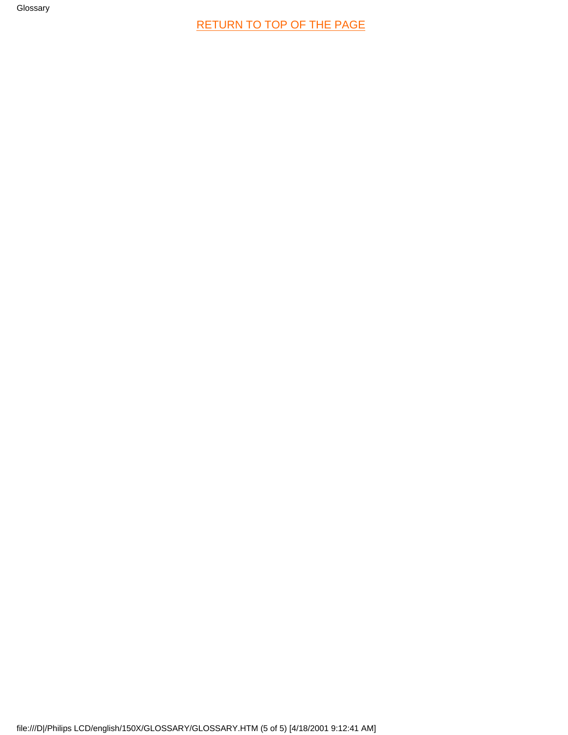Glossary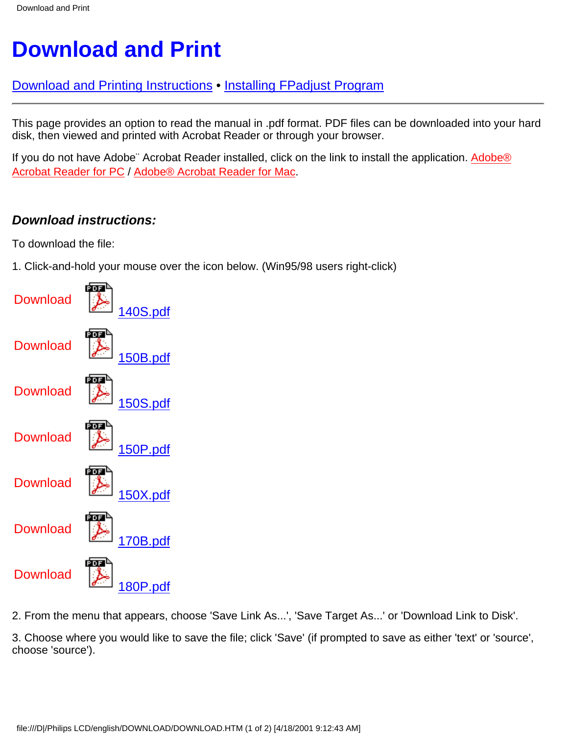# <span id="page-31-0"></span>**Download and Print**

# Download and Printing Instructions • Installing FPadjust Program

This page provides an option to read the manual in .pdf format. PDF files can be downloaded into your hard disk, then viewed and printed with Acrobat Reader or through your browser.

If you do not have Adobe¨ Acrobat Reader installed, click on the link to install the application. [Adobe®](file:///D|/pc/acrobat/ar405eng.exe) [Acrobat Reader for PC](file:///D|/pc/acrobat/ar405eng.exe) / [Adobe® Acrobat Reader for Mac.](file:///D|/mac/acrobat/Reader%204.05%20Installer)

# *Download instructions:*

To download the file:

1. Click-and-hold your mouse over the icon below. (Win95/98 users right-click)



2. From the menu that appears, choose 'Save Link As...', 'Save Target As...' or 'Download Link to Disk'.

3. Choose where you would like to save the file; click 'Save' (if prompted to save as either 'text' or 'source', choose 'source').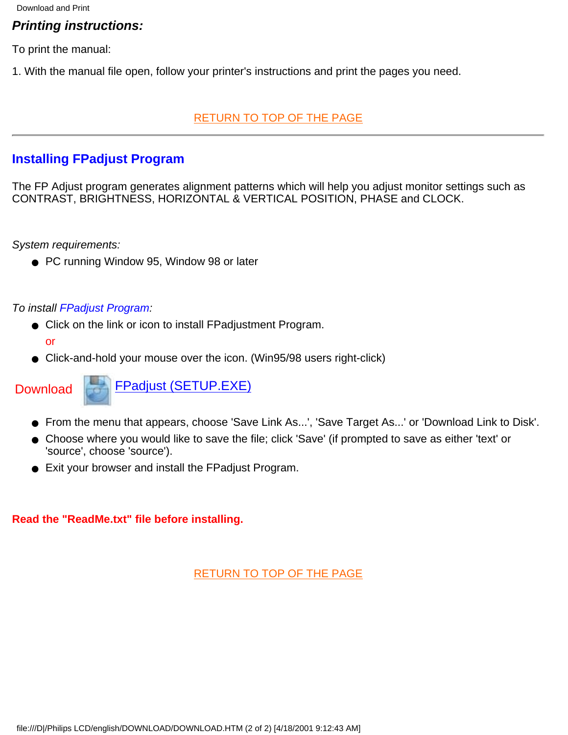Download and Print

## *Printing instructions:*

To print the manual:

1. With the manual file open, follow your printer's instructions and print the pages you need.

## RETURN TO TOP OF THE PAGE

# **Installing FPadjust Program**

The FP Adjust program generates alignment patterns which will help you adjust monitor settings such as CONTRAST, BRIGHTNESS, HORIZONTAL & VERTICAL POSITION, PHASE and CLOCK.

*System requirements:*

● PC running Window 95, Window 98 or later

### *To install FPadjust Program:*

- Click on the link or icon to install FPadjustment Program.
	- or
- Click-and-hold your mouse over the icon. (Win95/98 users right-click)



- From the menu that appears, choose 'Save Link As...', 'Save Target As...' or 'Download Link to Disk'.
- Choose where you would like to save the file; click 'Save' (if prompted to save as either 'text' or 'source', choose 'source').
- Exit your browser and install the FPadjust Program.

## **Read the "ReadMe.txt" file before installing.**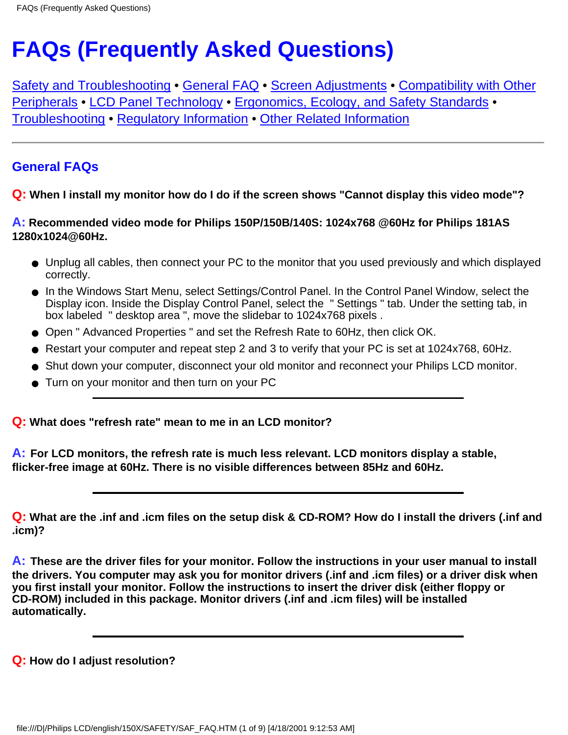# <span id="page-33-0"></span>**FAQs (Frequently Asked Questions)**

[Safety and Troubleshooting](#page-1-0) • General FAQ • Screen Adjustments • Compatibility with Other Peripherals • LCD Panel Technology • Ergonomics, Ecology, and Safety Standards • [Troubleshooting](#page-42-0) • [Regulatory Information](#page-45-0) • [Other Related Information](#page-53-0)

## **General FAQs**

**Q: When I install my monitor how do I do if the screen shows "Cannot display this video mode"?**

### **A: Recommended video mode for Philips 150P/150B/140S: 1024x768 @60Hz for Philips 181AS 1280x1024@60Hz.**

- Unplug all cables, then connect your PC to the monitor that you used previously and which displayed correctly.
- In the Windows Start Menu, select Settings/Control Panel. In the Control Panel Window, select the Display icon. Inside the Display Control Panel, select the " Settings " tab. Under the setting tab, in box labeled " desktop area ", move the slidebar to 1024x768 pixels .
- Open " Advanced Properties " and set the Refresh Rate to 60Hz, then click OK.
- Restart your computer and repeat step 2 and 3 to verify that your PC is set at 1024x768, 60Hz.
- Shut down your computer, disconnect your old monitor and reconnect your Philips LCD monitor.
- Turn on your monitor and then turn on your PC

## **Q: What does "refresh rate" mean to me in an LCD monitor?**

**A: For LCD monitors, the refresh rate is much less relevant. LCD monitors display a stable, flicker-free image at 60Hz. There is no visible differences between 85Hz and 60Hz.**

**Q: What are the .inf and .icm files on the setup disk & CD-ROM? How do I install the drivers (.inf and .icm)?**

**A: These are the driver files for your monitor. Follow the instructions in your user manual to install the drivers. You computer may ask you for monitor drivers (.inf and .icm files) or a driver disk when you first install your monitor. Follow the instructions to insert the driver disk (either floppy or CD-ROM) included in this package. Monitor drivers (.inf and .icm files) will be installed automatically.**

## **Q: How do I adjust resolution?**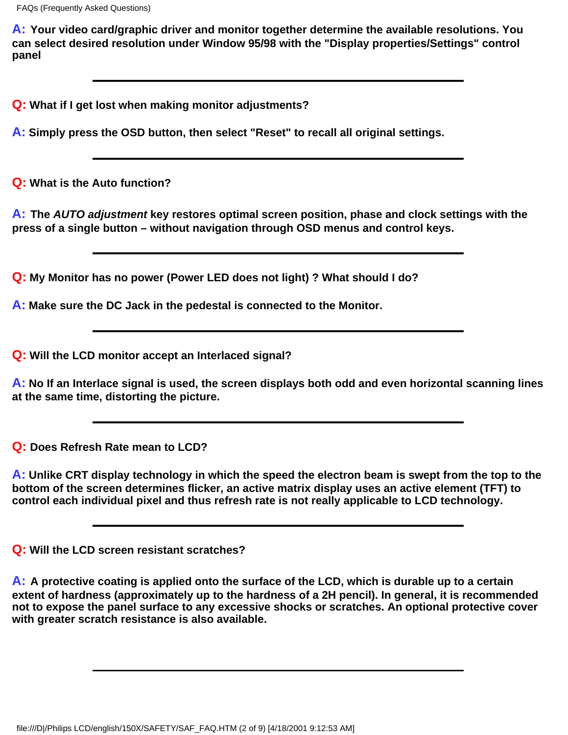FAQs (Frequently Asked Questions)

**A: Your video card/graphic driver and monitor together determine the available resolutions. You can select desired resolution under Window 95/98 with the "Display properties/Settings" control panel**

**Q: What if I get lost when making monitor adjustments?**

**A: Simply press the OSD button, then select "Reset" to recall all original settings.**

**Q: What is the Auto function?**

**A: The** *AUTO adjustment* **key restores optimal screen position, phase and clock settings with the press of a single button – without navigation through OSD menus and control keys.**

**Q: My Monitor has no power (Power LED does not light) ? What should I do?**

**A: Make sure the DC Jack in the pedestal is connected to the Monitor.**

**Q: Will the LCD monitor accept an Interlaced signal?**

**A: No If an Interlace signal is used, the screen displays both odd and even horizontal scanning lines at the same time, distorting the picture.**

**Q: Does Refresh Rate mean to LCD?**

**A: Unlike CRT display technology in which the speed the electron beam is swept from the top to the bottom of the screen determines flicker, an active matrix display uses an active element (TFT) to control each individual pixel and thus refresh rate is not really applicable to LCD technology.**

**Q: Will the LCD screen resistant scratches?**

**A: A protective coating is applied onto the surface of the LCD, which is durable up to a certain extent of hardness (approximately up to the hardness of a 2H pencil). In general, it is recommended not to expose the panel surface to any excessive shocks or scratches. An optional protective cover with greater scratch resistance is also available.**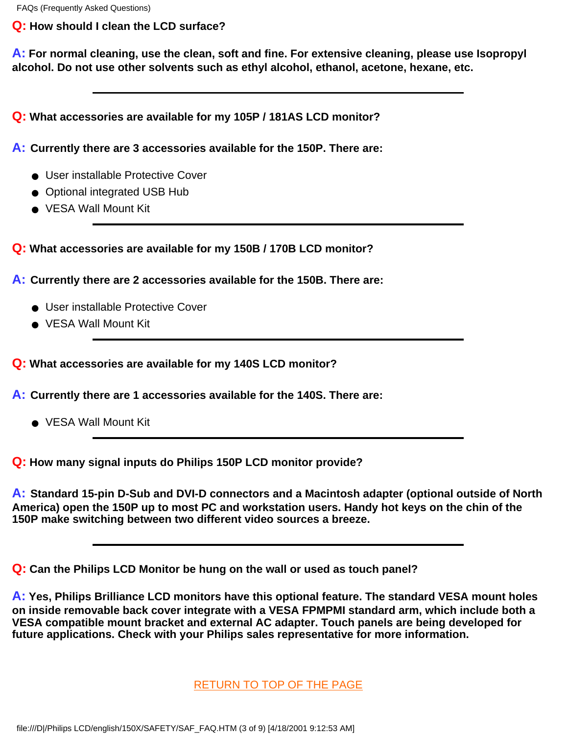**Q: How should I clean the LCD surface?**

**A: For normal cleaning, use the clean, soft and fine. For extensive cleaning, please use Isopropyl alcohol. Do not use other solvents such as ethyl alcohol, ethanol, acetone, hexane, etc.**

**Q: What accessories are available for my 105P / 181AS LCD monitor?**

**A: Currently there are 3 accessories available for the 150P. There are:**

- User installable Protective Cover
- Optional integrated USB Hub
- VESA Wall Mount Kit

**Q: What accessories are available for my 150B / 170B LCD monitor?**

**A: Currently there are 2 accessories available for the 150B. There are:**

- User installable Protective Cover
- VESA Wall Mount Kit

**Q: What accessories are available for my 140S LCD monitor?**

**A: Currently there are 1 accessories available for the 140S. There are:**

● VESA Wall Mount Kit

**Q: How many signal inputs do Philips 150P LCD monitor provide?**

**A: Standard 15-pin D-Sub and DVI-D connectors and a Macintosh adapter (optional outside of North America) open the 150P up to most PC and workstation users. Handy hot keys on the chin of the 150P make switching between two different video sources a breeze.**

**Q: Can the Philips LCD Monitor be hung on the wall or used as touch panel?**

**A: Yes, Philips Brilliance LCD monitors have this optional feature. The standard VESA mount holes on inside removable back cover integrate with a VESA FPMPMI standard arm, which include both a VESA compatible mount bracket and external AC adapter. Touch panels are being developed for future applications. Check with your Philips sales representative for more information.**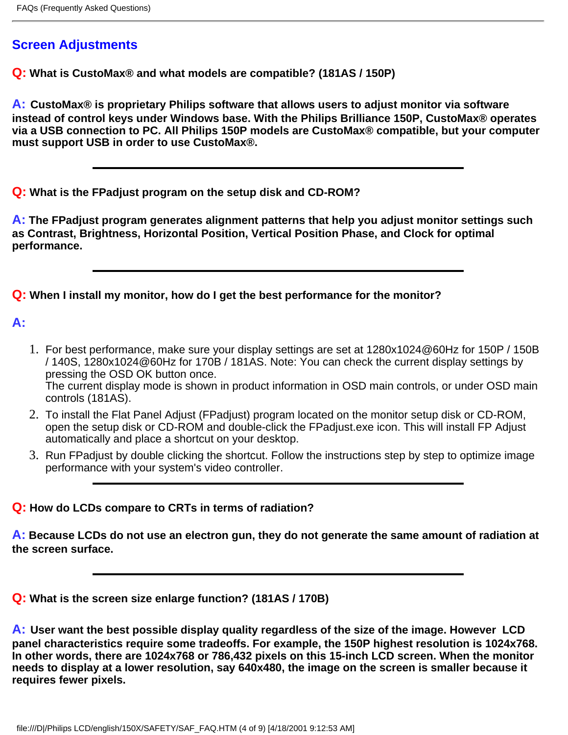## **Screen Adjustments**

**Q: What is CustoMax® and what models are compatible? (181AS / 150P)**

**A: CustoMax® is proprietary Philips software that allows users to adjust monitor via software instead of control keys under Windows base. With the Philips Brilliance 150P, CustoMax® operates via a USB connection to PC. All Philips 150P models are CustoMax® compatible, but your computer must support USB in order to use CustoMax®.**

### **Q: What is the FPadjust program on the setup disk and CD-ROM?**

**A: The FPadjust program generates alignment patterns that help you adjust monitor settings such as Contrast, Brightness, Horizontal Position, Vertical Position Phase, and Clock for optimal performance.**

**Q: When I install my monitor, how do I get the best performance for the monitor?**

**A:**

- For best performance, make sure your display settings are set at 1280x1024@60Hz for 150P / 150B 1. / 140S, 1280x1024@60Hz for 170B / 181AS. Note: You can check the current display settings by pressing the OSD OK button once. The current display mode is shown in product information in OSD main controls, or under OSD main controls (181AS).
- 2. To install the Flat Panel Adjust (FPadjust) program located on the monitor setup disk or CD-ROM, open the setup disk or CD-ROM and double-click the FPadjust.exe icon. This will install FP Adjust automatically and place a shortcut on your desktop.
- 3. Run FPadjust by double clicking the shortcut. Follow the instructions step by step to optimize image performance with your system's video controller.

### **Q: How do LCDs compare to CRTs in terms of radiation?**

**A: Because LCDs do not use an electron gun, they do not generate the same amount of radiation at the screen surface.**

### **Q: What is the screen size enlarge function? (181AS / 170B)**

**A: User want the best possible display quality regardless of the size of the image. However LCD panel characteristics require some tradeoffs. For example, the 150P highest resolution is 1024x768. In other words, there are 1024x768 or 786,432 pixels on this 15-inch LCD screen. When the monitor needs to display at a lower resolution, say 640x480, the image on the screen is smaller because it requires fewer pixels.**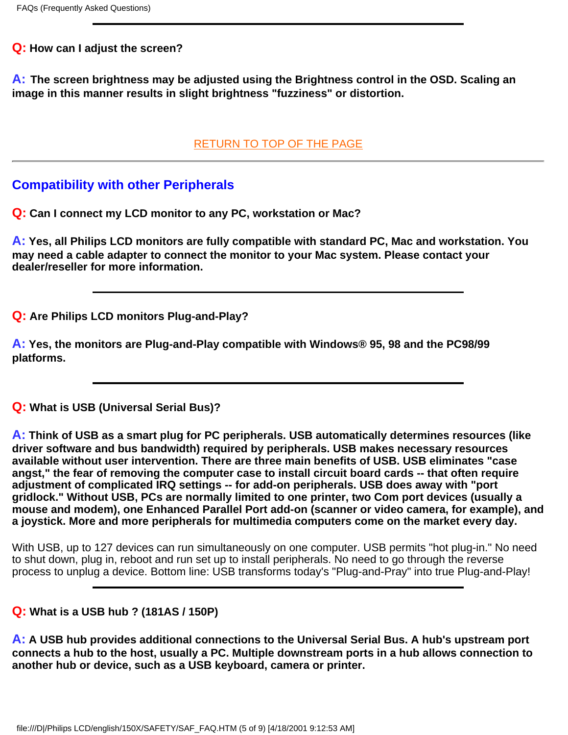### **Q: How can I adjust the screen?**

**A: The screen brightness may be adjusted using the Brightness control in the OSD. Scaling an image in this manner results in slight brightness "fuzziness" or distortion.**

### RETURN TO TOP OF THE PAGE

### **Compatibility with other Peripherals**

**Q: Can I connect my LCD monitor to any PC, workstation or Mac?**

**A: Yes, all Philips LCD monitors are fully compatible with standard PC, Mac and workstation. You may need a cable adapter to connect the monitor to your Mac system. Please contact your dealer/reseller for more information.**

**Q: Are Philips LCD monitors Plug-and-Play?**

**A: Yes, the monitors are Plug-and-Play compatible with Windows® 95, 98 and the PC98/99 platforms.**

**Q: What is USB (Universal Serial Bus)?**

**A: Think of USB as a smart plug for PC peripherals. USB automatically determines resources (like driver software and bus bandwidth) required by peripherals. USB makes necessary resources available without user intervention. There are three main benefits of USB. USB eliminates "case angst," the fear of removing the computer case to install circuit board cards -- that often require adjustment of complicated IRQ settings -- for add-on peripherals. USB does away with "port gridlock." Without USB, PCs are normally limited to one printer, two Com port devices (usually a mouse and modem), one Enhanced Parallel Port add-on (scanner or video camera, for example), and a joystick. More and more peripherals for multimedia computers come on the market every day.**

With USB, up to 127 devices can run simultaneously on one computer. USB permits "hot plug-in." No need to shut down, plug in, reboot and run set up to install peripherals. No need to go through the reverse process to unplug a device. Bottom line: USB transforms today's "Plug-and-Pray" into true Plug-and-Play!

### **Q: What is a USB hub ? (181AS / 150P)**

**A: A USB hub provides additional connections to the Universal Serial Bus. A hub's upstream port connects a hub to the host, usually a PC. Multiple downstream ports in a hub allows connection to another hub or device, such as a USB keyboard, camera or printer.**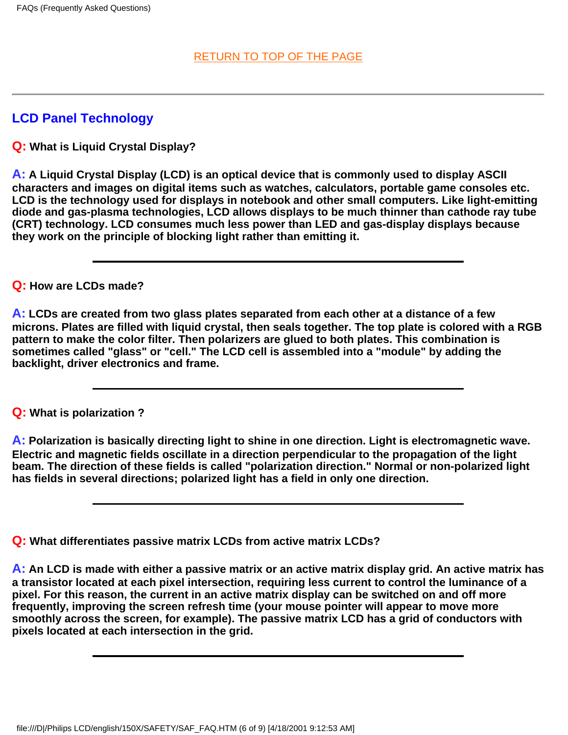# **LCD Panel Technology**

**Q: What is Liquid Crystal Display?**

**A: A Liquid Crystal Display (LCD) is an optical device that is commonly used to display ASCII characters and images on digital items such as watches, calculators, portable game consoles etc. LCD is the technology used for displays in notebook and other small computers. Like light-emitting diode and gas-plasma technologies, LCD allows displays to be much thinner than cathode ray tube (CRT) technology. LCD consumes much less power than LED and gas-display displays because they work on the principle of blocking light rather than emitting it.**

**Q: How are LCDs made?**

**A: LCDs are created from two glass plates separated from each other at a distance of a few microns. Plates are filled with liquid crystal, then seals together. The top plate is colored with a RGB pattern to make the color filter. Then polarizers are glued to both plates. This combination is sometimes called "glass" or "cell." The LCD cell is assembled into a "module" by adding the backlight, driver electronics and frame.**

**Q: What is polarization ?**

**A: Polarization is basically directing light to shine in one direction. Light is electromagnetic wave. Electric and magnetic fields oscillate in a direction perpendicular to the propagation of the light beam. The direction of these fields is called "polarization direction." Normal or non-polarized light has fields in several directions; polarized light has a field in only one direction.**

**Q: What differentiates passive matrix LCDs from active matrix LCDs?**

**A: An LCD is made with either a passive matrix or an active matrix display grid. An active matrix has a transistor located at each pixel intersection, requiring less current to control the luminance of a pixel. For this reason, the current in an active matrix display can be switched on and off more frequently, improving the screen refresh time (your mouse pointer will appear to move more smoothly across the screen, for example). The passive matrix LCD has a grid of conductors with pixels located at each intersection in the grid.**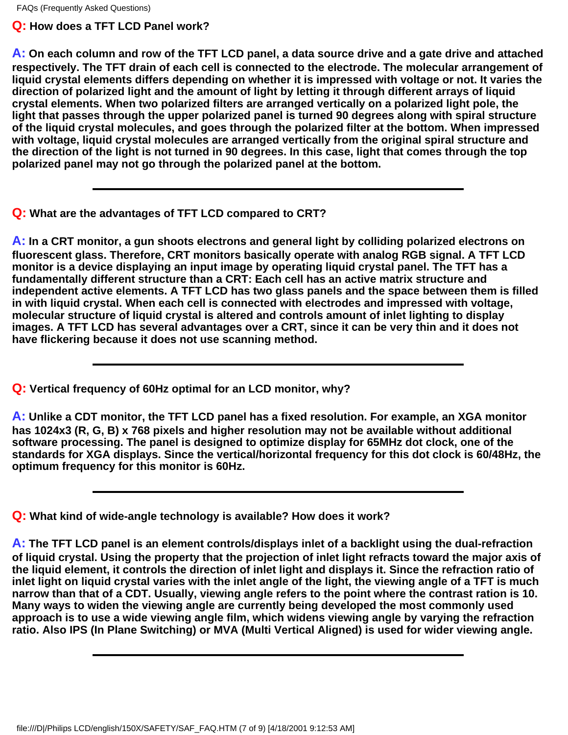FAQs (Frequently Asked Questions)

**Q: How does a TFT LCD Panel work?**

**A: On each column and row of the TFT LCD panel, a data source drive and a gate drive and attached respectively. The TFT drain of each cell is connected to the electrode. The molecular arrangement of liquid crystal elements differs depending on whether it is impressed with voltage or not. It varies the direction of polarized light and the amount of light by letting it through different arrays of liquid crystal elements. When two polarized filters are arranged vertically on a polarized light pole, the light that passes through the upper polarized panel is turned 90 degrees along with spiral structure of the liquid crystal molecules, and goes through the polarized filter at the bottom. When impressed with voltage, liquid crystal molecules are arranged vertically from the original spiral structure and the direction of the light is not turned in 90 degrees. In this case, light that comes through the top polarized panel may not go through the polarized panel at the bottom.**

**Q: What are the advantages of TFT LCD compared to CRT?**

**A: In a CRT monitor, a gun shoots electrons and general light by colliding polarized electrons on fluorescent glass. Therefore, CRT monitors basically operate with analog RGB signal. A TFT LCD monitor is a device displaying an input image by operating liquid crystal panel. The TFT has a fundamentally different structure than a CRT: Each cell has an active matrix structure and independent active elements. A TFT LCD has two glass panels and the space between them is filled in with liquid crystal. When each cell is connected with electrodes and impressed with voltage, molecular structure of liquid crystal is altered and controls amount of inlet lighting to display images. A TFT LCD has several advantages over a CRT, since it can be very thin and it does not have flickering because it does not use scanning method.**

**Q: Vertical frequency of 60Hz optimal for an LCD monitor, why?**

**A: Unlike a CDT monitor, the TFT LCD panel has a fixed resolution. For example, an XGA monitor has 1024x3 (R, G, B) x 768 pixels and higher resolution may not be available without additional software processing. The panel is designed to optimize display for 65MHz dot clock, one of the standards for XGA displays. Since the vertical/horizontal frequency for this dot clock is 60/48Hz, the optimum frequency for this monitor is 60Hz.**

**Q: What kind of wide-angle technology is available? How does it work?**

**A: The TFT LCD panel is an element controls/displays inlet of a backlight using the dual-refraction of liquid crystal. Using the property that the projection of inlet light refracts toward the major axis of the liquid element, it controls the direction of inlet light and displays it. Since the refraction ratio of inlet light on liquid crystal varies with the inlet angle of the light, the viewing angle of a TFT is much narrow than that of a CDT. Usually, viewing angle refers to the point where the contrast ration is 10. Many ways to widen the viewing angle are currently being developed the most commonly used approach is to use a wide viewing angle film, which widens viewing angle by varying the refraction ratio. Also IPS (In Plane Switching) or MVA (Multi Vertical Aligned) is used for wider viewing angle.**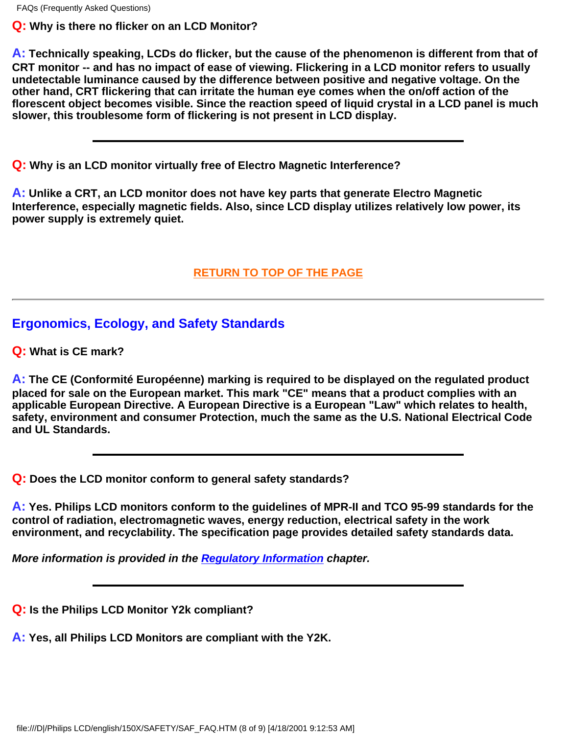FAQs (Frequently Asked Questions)

**Q: Why is there no flicker on an LCD Monitor?**

**A: Technically speaking, LCDs do flicker, but the cause of the phenomenon is different from that of CRT monitor -- and has no impact of ease of viewing. Flickering in a LCD monitor refers to usually undetectable luminance caused by the difference between positive and negative voltage. On the other hand, CRT flickering that can irritate the human eye comes when the on/off action of the florescent object becomes visible. Since the reaction speed of liquid crystal in a LCD panel is much slower, this troublesome form of flickering is not present in LCD display.**

**Q: Why is an LCD monitor virtually free of Electro Magnetic Interference?**

**A: Unlike a CRT, an LCD monitor does not have key parts that generate Electro Magnetic Interference, especially magnetic fields. Also, since LCD display utilizes relatively low power, its power supply is extremely quiet.**

## **RETURN TO TOP OF THE PAGE**

# **Ergonomics, Ecology, and Safety Standards**

**Q: What is CE mark?**

**A: The CE (Conformité Européenne) marking is required to be displayed on the regulated product placed for sale on the European market. This mark "CE" means that a product complies with an applicable European Directive. A European Directive is a European "Law" which relates to health, safety, environment and consumer Protection, much the same as the U.S. National Electrical Code and UL Standards.**

**Q: Does the LCD monitor conform to general safety standards?**

**A: Yes. Philips LCD monitors conform to the guidelines of MPR-II and TCO 95-99 standards for the control of radiation, electromagnetic waves, energy reduction, electrical safety in the work environment, and recyclability. The specification page provides detailed safety standards data.**

*More information is provided in the [Regulatory Information](#page-45-0) chapter.*

**Q: Is the Philips LCD Monitor Y2k compliant?**

**A: Yes, all Philips LCD Monitors are compliant with the Y2K.**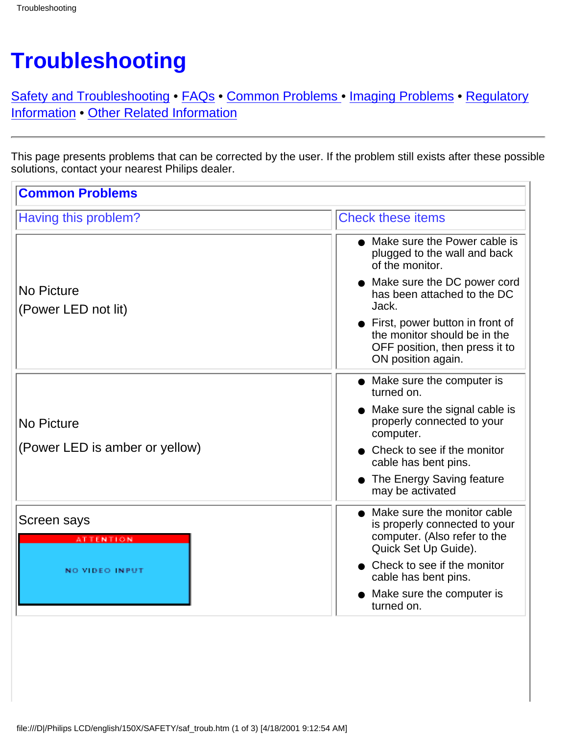# <span id="page-42-2"></span><span id="page-42-1"></span>**Troubleshooting**

[Safety and Troubleshooting](#page-1-0) • [FAQs](#page-33-0) • [Common Problems](#page-42-0) • [Imaging Problems](#page-43-0) • [Regulatory](#page-45-0) [Information](#page-45-0) • [Other Related Information](#page-53-0)

This page presents problems that can be corrected by the user. If the problem still exists after these possible solutions, contact your nearest Philips dealer.

<span id="page-42-0"></span>

| <b>Common Problems</b>            |                                                                                                                         |
|-----------------------------------|-------------------------------------------------------------------------------------------------------------------------|
| Having this problem?              | <b>Check these items</b>                                                                                                |
|                                   | • Make sure the Power cable is<br>plugged to the wall and back<br>of the monitor.                                       |
| No Picture<br>(Power LED not lit) | Make sure the DC power cord<br>has been attached to the DC<br>Jack.                                                     |
|                                   | First, power button in front of<br>the monitor should be in the<br>OFF position, then press it to<br>ON position again. |
|                                   | • Make sure the computer is<br>turned on.                                                                               |
| No Picture                        | Make sure the signal cable is<br>properly connected to your<br>computer.                                                |
| (Power LED is amber or yellow)    | Check to see if the monitor<br>cable has bent pins.                                                                     |
|                                   | The Energy Saving feature<br>may be activated                                                                           |
| Screen says<br><b>ATTENTION</b>   | Make sure the monitor cable<br>is properly connected to your<br>computer. (Also refer to the<br>Quick Set Up Guide).    |
| NO VIDEO INPUT                    | Check to see if the monitor<br>cable has bent pins.                                                                     |
|                                   | Make sure the computer is<br>turned on.                                                                                 |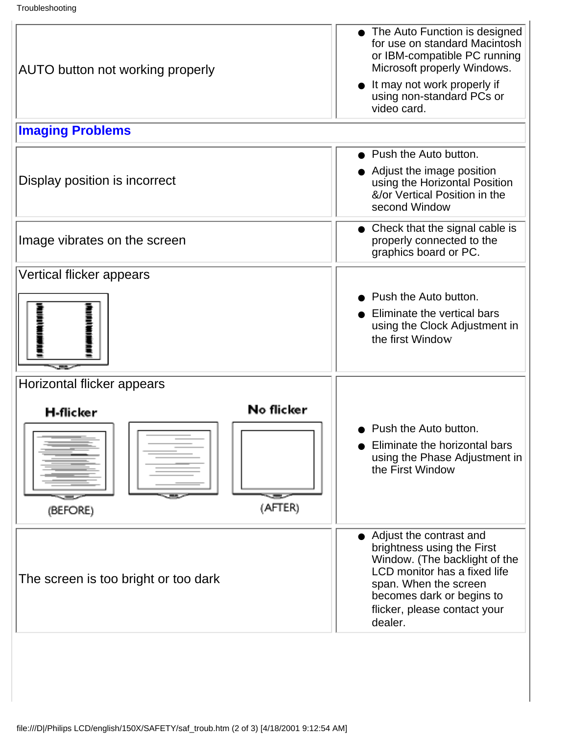<span id="page-43-0"></span>

| AUTO button not working properly               | The Auto Function is designed<br>for use on standard Macintosh<br>or IBM-compatible PC running<br>Microsoft properly Windows.<br>It may not work properly if<br>using non-standard PCs or<br>video card.                |  |  |
|------------------------------------------------|-------------------------------------------------------------------------------------------------------------------------------------------------------------------------------------------------------------------------|--|--|
| <b>Imaging Problems</b>                        |                                                                                                                                                                                                                         |  |  |
|                                                | Push the Auto button.                                                                                                                                                                                                   |  |  |
| Display position is incorrect                  | Adjust the image position<br>using the Horizontal Position<br>&/or Vertical Position in the<br>second Window                                                                                                            |  |  |
| Image vibrates on the screen                   | Check that the signal cable is<br>properly connected to the<br>graphics board or PC.                                                                                                                                    |  |  |
| Vertical flicker appears                       |                                                                                                                                                                                                                         |  |  |
|                                                | Push the Auto button.<br>Eliminate the vertical bars<br>using the Clock Adjustment in<br>the first Window                                                                                                               |  |  |
| Horizontal flicker appears                     |                                                                                                                                                                                                                         |  |  |
| No flicker<br>H-flicker<br>(AFTER)<br>(BEFORE) | • Push the Auto button.<br>Eliminate the horizontal bars<br>using the Phase Adjustment in<br>the First Window                                                                                                           |  |  |
| The screen is too bright or too dark           | Adjust the contrast and<br>brightness using the First<br>Window. (The backlight of the<br>LCD monitor has a fixed life<br>span. When the screen<br>becomes dark or begins to<br>flicker, please contact your<br>dealer. |  |  |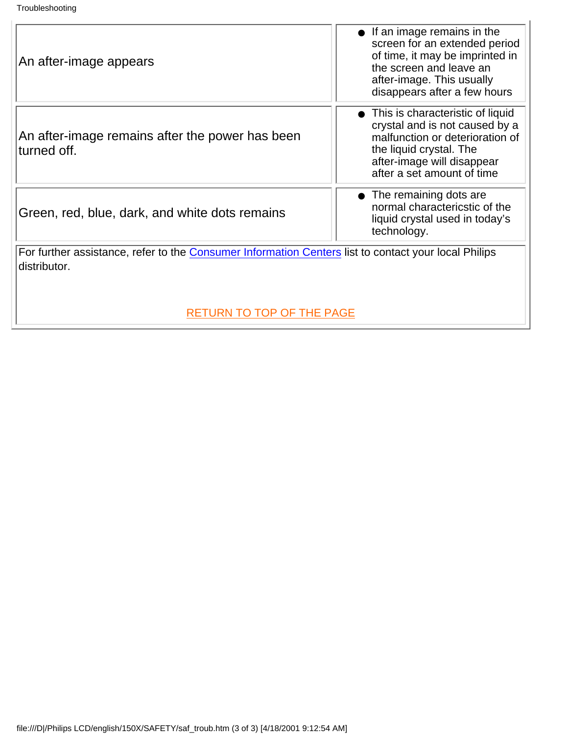| An after-image appears                                                                                               | $\bullet$ If an image remains in the<br>screen for an extended period<br>of time, it may be imprinted in<br>the screen and leave an<br>after-image. This usually<br>disappears after a few hours |
|----------------------------------------------------------------------------------------------------------------------|--------------------------------------------------------------------------------------------------------------------------------------------------------------------------------------------------|
| An after-image remains after the power has been<br>turned off.                                                       | • This is characteristic of liquid<br>crystal and is not caused by a<br>malfunction or deterioration of<br>the liquid crystal. The<br>after-image will disappear<br>after a set amount of time   |
| Green, red, blue, dark, and white dots remains                                                                       | • The remaining dots are<br>normal charactericstic of the<br>liquid crystal used in today's<br>technology.                                                                                       |
| For further assistance, refer to the Consumer Information Centers list to contact your local Philips<br>distributor. |                                                                                                                                                                                                  |
| <b>RETURN TO TOP OF THE PAGE</b>                                                                                     |                                                                                                                                                                                                  |

 $\mathbf{I}$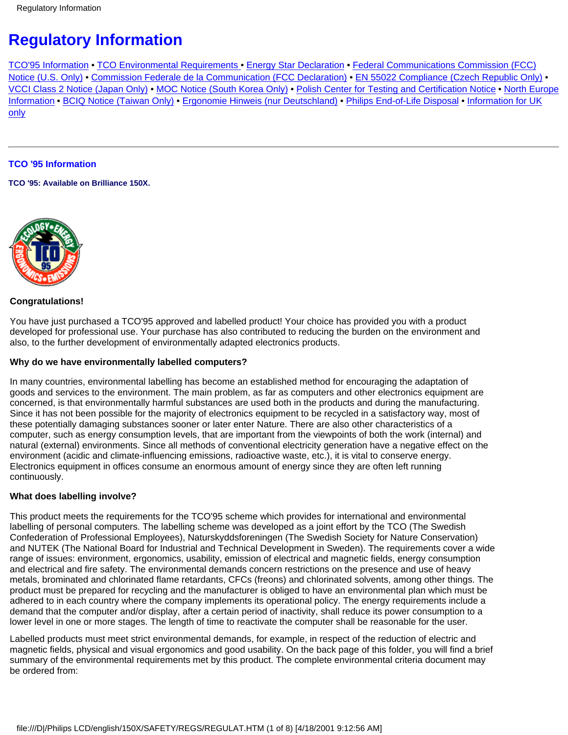# <span id="page-45-0"></span>**Regulatory Information**

TCO'95 Information • TCO Environmental Requirements • Energy Star Declaration • Federal Communications Commission (FCC) Notice (U.S. Only) • Commission Federale de la Communication (FCC Declaration) • EN 55022 Compliance (Czech Republic Only) • VCCI Class 2 Notice (Japan Only) • MOC Notice (South Korea Only) • Polish Center for Testing and Certification Notice • North Europe Information • BCIQ Notice (Taiwan Only) • Ergonomie Hinweis (nur Deutschland) • Philips End-of-Life Disposal • Information for UK only

#### **TCO '95 Information**

**TCO '95: Available on Brilliance 150X.**



**Congratulations!**

You have just purchased a TCO'95 approved and labelled product! Your choice has provided you with a product developed for professional use. Your purchase has also contributed to reducing the burden on the environment and also, to the further development of environmentally adapted electronics products.

#### **Why do we have environmentally labelled computers?**

In many countries, environmental labelling has become an established method for encouraging the adaptation of goods and services to the environment. The main problem, as far as computers and other electronics equipment are concerned, is that environmentally harmful substances are used both in the products and during the manufacturing. Since it has not been possible for the majority of electronics equipment to be recycled in a satisfactory way, most of these potentially damaging substances sooner or later enter Nature. There are also other characteristics of a computer, such as energy consumption levels, that are important from the viewpoints of both the work (internal) and natural (external) environments. Since all methods of conventional electricity generation have a negative effect on the environment (acidic and climate-influencing emissions, radioactive waste, etc.), it is vital to conserve energy. Electronics equipment in offices consume an enormous amount of energy since they are often left running continuously.

#### **What does labelling involve?**

This product meets the requirements for the TCO'95 scheme which provides for international and environmental labelling of personal computers. The labelling scheme was developed as a joint effort by the TCO (The Swedish Confederation of Professional Employees), Naturskyddsforeningen (The Swedish Society for Nature Conservation) and NUTEK (The National Board for Industrial and Technical Development in Sweden). The requirements cover a wide range of issues: environment, ergonomics, usability, emission of electrical and magnetic fields, energy consumption and electrical and fire safety. The environmental demands concern restrictions on the presence and use of heavy metals, brominated and chlorinated flame retardants, CFCs (freons) and chlorinated solvents, among other things. The product must be prepared for recycling and the manufacturer is obliged to have an environmental plan which must be adhered to in each country where the company implements its operational policy. The energy requirements include a demand that the computer and/or display, after a certain period of inactivity, shall reduce its power consumption to a lower level in one or more stages. The length of time to reactivate the computer shall be reasonable for the user.

Labelled products must meet strict environmental demands, for example, in respect of the reduction of electric and magnetic fields, physical and visual ergonomics and good usability. On the back page of this folder, you will find a brief summary of the environmental requirements met by this product. The complete environmental criteria document may be ordered from: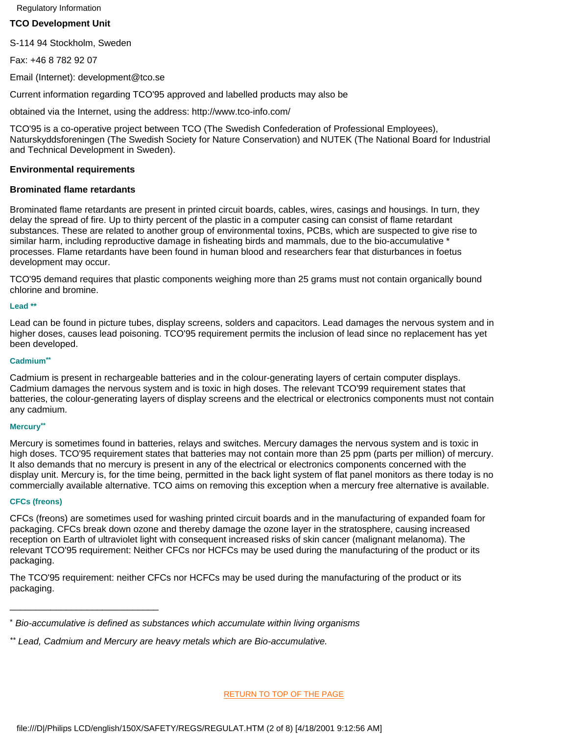Regulatory Information

#### **TCO Development Unit**

S-114 94 Stockholm, Sweden

Fax: +46 8 782 92 07

Email (Internet): development@tco.se

Current information regarding TCO'95 approved and labelled products may also be

obtained via the Internet, using the address: http://www.tco-info.com/

TCO'95 is a co-operative project between TCO (The Swedish Confederation of Professional Employees), Naturskyddsforeningen (The Swedish Society for Nature Conservation) and NUTEK (The National Board for Industrial and Technical Development in Sweden).

#### **Environmental requirements**

#### **Brominated flame retardants**

Brominated flame retardants are present in printed circuit boards, cables, wires, casings and housings. In turn, they delay the spread of fire. Up to thirty percent of the plastic in a computer casing can consist of flame retardant substances. These are related to another group of environmental toxins, PCBs, which are suspected to give rise to similar harm, including reproductive damage in fisheating birds and mammals, due to the bio-accumulative \* processes. Flame retardants have been found in human blood and researchers fear that disturbances in foetus development may occur.

TCO'95 demand requires that plastic components weighing more than 25 grams must not contain organically bound chlorine and bromine.

#### **Lead \*\***

Lead can be found in picture tubes, display screens, solders and capacitors. Lead damages the nervous system and in higher doses, causes lead poisoning. TCO'95 requirement permits the inclusion of lead since no replacement has yet been developed.

#### **Cadmium\*\***

Cadmium is present in rechargeable batteries and in the colour-generating layers of certain computer displays. Cadmium damages the nervous system and is toxic in high doses. The relevant TCO'99 requirement states that batteries, the colour-generating layers of display screens and the electrical or electronics components must not contain any cadmium.

#### **Mercury\*\***

Mercury is sometimes found in batteries, relays and switches. Mercury damages the nervous system and is toxic in high doses. TCO'95 requirement states that batteries may not contain more than 25 ppm (parts per million) of mercury. It also demands that no mercury is present in any of the electrical or electronics components concerned with the display unit. Mercury is, for the time being, permitted in the back light system of flat panel monitors as there today is no commercially available alternative. TCO aims on removing this exception when a mercury free alternative is available.

#### **CFCs (freons)**

\_\_\_\_\_\_\_\_\_\_\_\_\_\_\_\_\_\_\_\_\_\_\_\_\_\_\_\_\_

CFCs (freons) are sometimes used for washing printed circuit boards and in the manufacturing of expanded foam for packaging. CFCs break down ozone and thereby damage the ozone layer in the stratosphere, causing increased reception on Earth of ultraviolet light with consequent increased risks of skin cancer (malignant melanoma). The relevant TCO'95 requirement: Neither CFCs nor HCFCs may be used during the manufacturing of the product or its packaging.

The TCO'95 requirement: neither CFCs nor HCFCs may be used during the manufacturing of the product or its packaging.

<sup>\*</sup> *Bio-accumulative is defined as substances which accumulate within living organisms*

*<sup>\*\*</sup> Lead, Cadmium and Mercury are heavy metals which are Bio-accumulative.*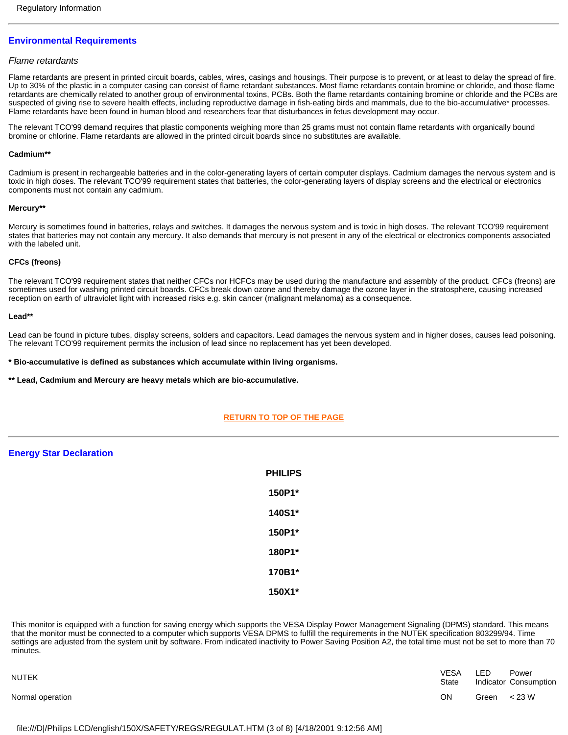#### **Environmental Requirements**

#### *Flame retardants*

Flame retardants are present in printed circuit boards, cables, wires, casings and housings. Their purpose is to prevent, or at least to delay the spread of fire. Up to 30% of the plastic in a computer casing can consist of flame retardant substances. Most flame retardants contain bromine or chloride, and those flame retardants are chemically related to another group of environmental toxins, PCBs. Both the flame retardants containing bromine or chloride and the PCBs are suspected of giving rise to severe health effects, including reproductive damage in fish-eating birds and mammals, due to the bio-accumulative\* processes. Flame retardants have been found in human blood and researchers fear that disturbances in fetus development may occur.

The relevant TCO'99 demand requires that plastic components weighing more than 25 grams must not contain flame retardants with organically bound bromine or chlorine. Flame retardants are allowed in the printed circuit boards since no substitutes are available.

#### **Cadmium\*\***

Cadmium is present in rechargeable batteries and in the color-generating layers of certain computer displays. Cadmium damages the nervous system and is toxic in high doses. The relevant TCO'99 requirement states that batteries, the color-generating layers of display screens and the electrical or electronics components must not contain any cadmium.

#### **Mercury\*\***

Mercury is sometimes found in batteries, relays and switches. It damages the nervous system and is toxic in high doses. The relevant TCO'99 requirement states that batteries may not contain any mercury. It also demands that mercury is not present in any of the electrical or electronics components associated with the labeled unit.

#### **CFCs (freons)**

The relevant TCO'99 requirement states that neither CFCs nor HCFCs may be used during the manufacture and assembly of the product. CFCs (freons) are sometimes used for washing printed circuit boards. CFCs break down ozone and thereby damage the ozone layer in the stratosphere, causing increased reception on earth of ultraviolet light with increased risks e.g. skin cancer (malignant melanoma) as a consequence.

#### **Lead\*\***

Lead can be found in picture tubes, display screens, solders and capacitors. Lead damages the nervous system and in higher doses, causes lead poisoning. The relevant TCO'99 requirement permits the inclusion of lead since no replacement has yet been developed.

#### **\* Bio-accumulative is defined as substances which accumulate within living organisms.**

**\*\* Lead, Cadmium and Mercury are heavy metals which are bio-accumulative.**

#### **RETURN TO TOP OF THE PAGE**

#### **Energy Star Declaration**

| PHILIPS |
|---------|
| 150P1*  |
| 140S1*  |
| 150P1*  |
| 180P1*  |
| 170B1*  |
| 150X1*  |

This monitor is equipped with a function for saving energy which supports the VESA Display Power Management Signaling (DPMS) standard. This means that the monitor must be connected to a computer which supports VESA DPMS to fulfill the requirements in the NUTEK specification 803299/94. Time settings are adjusted from the system unit by software. From indicated inactivity to Power Saving Position A2, the total time must not be set to more than 70 minutes.

| <b>NUTEK</b>     | VESA<br>State | LED          | Power<br>Indicator Consumption |
|------------------|---------------|--------------|--------------------------------|
| Normal operation | ON            | Green < 23 W |                                |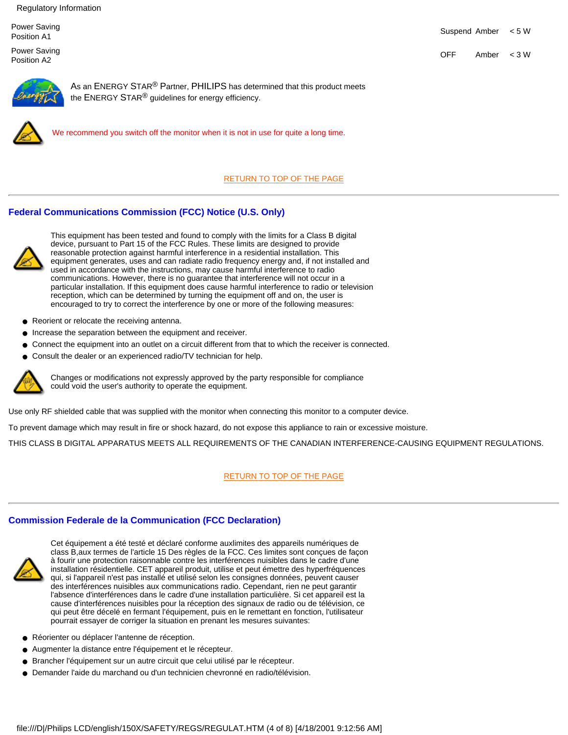Regulatory Information

Power Saving

Power Saving<br>Position A2

Position A1 Suspend Amber < 5 W<br>Position A1

Position A2 OFF Amber < 3 W



As an ENERGY STAR<sup>®</sup> Partner, PHILIPS has determined that this product meets the ENERGY STAR<sup>®</sup> guidelines for energy efficiency.

We recommend you switch off the monitor when it is not in use for quite a long time.

RETURN TO TOP OF THE PAGE

#### **Federal Communications Commission (FCC) Notice (U.S. Only)**



This equipment has been tested and found to comply with the limits for a Class B digital device, pursuant to Part 15 of the FCC Rules. These limits are designed to provide reasonable protection against harmful interference in a residential installation. This equipment generates, uses and can radiate radio frequency energy and, if not installed and used in accordance with the instructions, may cause harmful interference to radio communications. However, there is no guarantee that interference will not occur in a particular installation. If this equipment does cause harmful interference to radio or television reception, which can be determined by turning the equipment off and on, the user is encouraged to try to correct the interference by one or more of the following measures:

- Reorient or relocate the receiving antenna.
- Increase the separation between the equipment and receiver.
- Connect the equipment into an outlet on a circuit different from that to which the receiver is connected.
- Consult the dealer or an experienced radio/TV technician for help.



Changes or modifications not expressly approved by the party responsible for compliance could void the user's authority to operate the equipment.

Use only RF shielded cable that was supplied with the monitor when connecting this monitor to a computer device.

To prevent damage which may result in fire or shock hazard, do not expose this appliance to rain or excessive moisture.

THIS CLASS B DIGITAL APPARATUS MEETS ALL REQUIREMENTS OF THE CANADIAN INTERFERENCE-CAUSING EQUIPMENT REGULATIONS.

RETURN TO TOP OF THE PAGE

#### **Commission Federale de la Communication (FCC Declaration)**



Cet équipement a été testé et déclaré conforme auxlimites des appareils numériques de class B,aux termes de l'article 15 Des règles de la FCC. Ces limites sont conçues de façon à fourir une protection raisonnable contre les interférences nuisibles dans le cadre d'une installation résidentielle. CET appareil produit, utilise et peut émettre des hyperfréquences qui, si l'appareil n'est pas installé et utilisé selon les consignes données, peuvent causer des interférences nuisibles aux communications radio. Cependant, rien ne peut garantir l'absence d'interférences dans le cadre d'une installation particulière. Si cet appareil est la cause d'interférences nuisibles pour la réception des signaux de radio ou de télévision, ce qui peut être décelé en fermant l'équipement, puis en le remettant en fonction, l'utilisateur pourrait essayer de corriger la situation en prenant les mesures suivantes:

- Réorienter ou déplacer l'antenne de réception.
- Augmenter la distance entre l'équipement et le récepteur.
- Brancher l'équipement sur un autre circuit que celui utilisé par le récepteur.
- Demander l'aide du marchand ou d'un technicien chevronné en radio/télévision.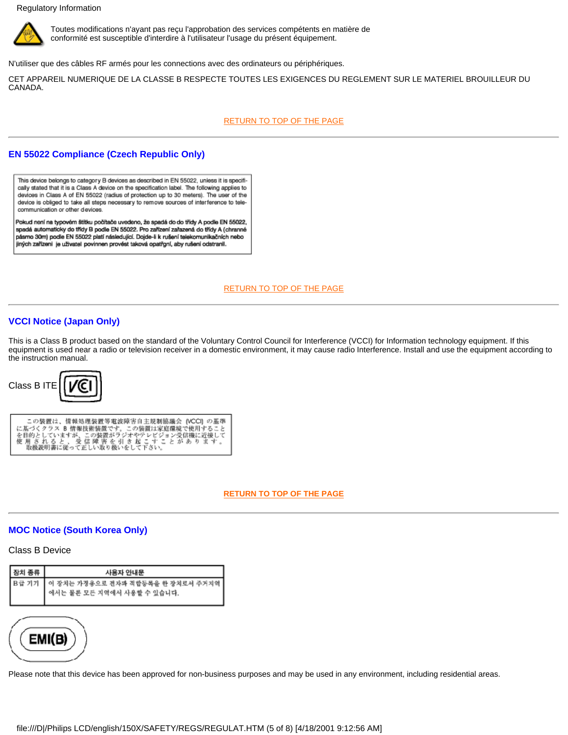#### Regulatory Information



Toutes modifications n'ayant pas reçu l'approbation des services compétents en matière de conformité est susceptible d'interdire à l'utilisateur l'usage du présent équipement.

N'utiliser que des câbles RF armés pour les connections avec des ordinateurs ou périphériques.

CET APPAREIL NUMERIQUE DE LA CLASSE B RESPECTE TOUTES LES EXIGENCES DU REGLEMENT SUR LE MATERIEL BROUILLEUR DU CANADA.

#### RETURN TO TOP OF THE PAGE

#### **EN 55022 Compliance (Czech Republic Only)**

This device belongs to category B devices as described in EN 55022, unless it is specifically stated that it is a Class A device on the specification label. The following applies to devices in Class A of EN 55022 (radius of protection up to 30 meters). The user of the device is obliged to take all steps necessary to remove sources of interference to telecommunication or other devices.

Pokud není na typovém štítku počítače uvedeno, že spadá do do třídy A podle EN 55022, spadá automaticky do třídy B podle EN 55022. Pro zařízení zařazená do třídy A (chranné pásmo 30m) podle EN 55022 platí následující. Dojde-li k rušení telekomunikačních nebo jiných zařízení je uživatel povinnen provést taková opatřgní, aby rušení odstranil.

#### RETURN TO TOP OF THE PAGE

#### **VCCI Notice (Japan Only)**

This is a Class B product based on the standard of the Voluntary Control Council for Interference (VCCI) for Information technology equipment. If this equipment is used near a radio or television receiver in a domestic environment, it may cause radio Interference. Install and use the equipment according to the instruction manual.



| この装置は、情報処理装置等電波障害自主規制協議会 (VCCI) の基準                    |
|--------------------------------------------------------|
| に基づくクラス B 情報技術装置です。この装置は家庭環境で使用すること                    |
| を目的としていますが、この装置がラジオやテレビジョン受信機に近接して                     |
| 使用されると、受信障害を引き起こすことがあります。<br>- 取扱説明書に従って正しい取り扱いをして下さい。 |
|                                                        |

#### **RETURN TO TOP OF THE PAGE**

#### **MOC Notice (South Korea Only)**

#### Class B Device

| 참치 종류 | 사용자 안내문                                                               |
|-------|-----------------------------------------------------------------------|
|       | B급 기기 이 장치는 가정용으로 전자파 직합등록을 한 장치로서 주거지역<br>에서는 물론 모든 지역에서 사용할 수 있습니다. |
|       |                                                                       |



Please note that this device has been approved for non-business purposes and may be used in any environment, including residential areas.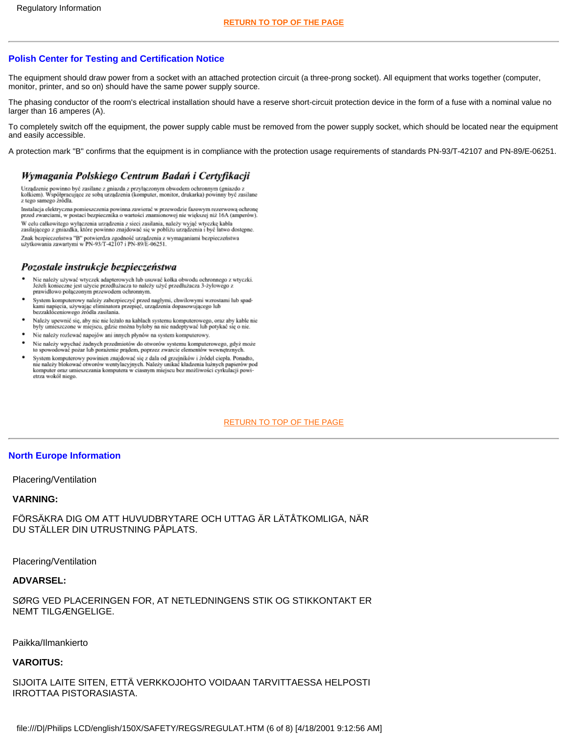#### **Polish Center for Testing and Certification Notice**

The equipment should draw power from a socket with an attached protection circuit (a three-prong socket). All equipment that works together (computer, monitor, printer, and so on) should have the same power supply source.

The phasing conductor of the room's electrical installation should have a reserve short-circuit protection device in the form of a fuse with a nominal value no larger than 16 amperes (A).

To completely switch off the equipment, the power supply cable must be removed from the power supply socket, which should be located near the equipment and easily accessible.

A protection mark "B" confirms that the equipment is in compliance with the protection usage requirements of standards PN-93/T-42107 and PN-89/E-06251.

#### Wymagania Polskiego Centrum Badań i Certyfikacji

Urządzenie powinno być zasilane z gniazda z przyłączonym obwodem ochronnym (gniazdo z kołkiem). Współgracujące ze sobą urządzenia (komputer, monitor, drukarka) powinny być zasilane z tego samego źródła.

Instalacja elektryczna pomieszczenia powinna zawierać w przewodzie fazowym rezerwową ochronę przed zwarciami, w postaci bezpiecznika o wartości znamionowej nie większej niż 16A (amperów). W celu całkowitego wyłączenia urządzenia z sieci zasilania, należy wyjąć wtyczkę kabla zasilającego z gniazdka, które powinno znajdować się w pobliżu urządzenia i być łatwo dostępne. Znak bezpieczeństwa "B" potwierdza zgodność urządzenia z wymaganiami bezpieczeństwa użytkowania zawartymi w PN-93/T-42107 i PN-89/E-06251.

#### Pozostałe instrukcje bezpieczeństwa

- Nie należy używać wtyczek adapterowych lub usuwać kołka obwodu ochronnego z wtyczki. Ježeli konieczne jest użycie przedłużacza to należy użyć przedłużacza 3-żylowego z prawidłowo połączonym przewodem ochronnym.
- System komputerowy należy zabezpieczyć przed nagłymi, chwilowymi wzrostami lub spadkami napięcia, używając eliminatora przepięć, urządzenia dopasowującego lub bezzakłóceniowego źródła zasilania.
- Należy upewnić się, aby nic nie leżało na kablach systemu komputerowego, oraz aby kable nie<br>były umieszczone w miejscu, gdzie można byłoby na nie nadeptywać lub potykać się o nie.
- Nie należy rozlewać napojów ani innych płynów na system komputerowy.
- Nie należy wpychać żadnych przedmiotów do otworów systemu komputerowego, gdyż może to spowodować pożar lub porażenie prądem, poprzez zwarcie elementów wewnętrznych.
- System komputerowy powinien znajdować się z dala od grzejników i źródeł ciepła. Ponadto, nie należy blokować otworów wentylacyjnych. Należy unikać kładzenia lużnych papierów pod<br>komputer oraz umieszczania komputera w ciasnym miejscu bez możliwości cyrkulacji powietrza wokół niego.

#### RETURN TO TOP OF THE PAGE

#### **North Europe Information**

Placering/Ventilation

#### **VARNING:**

FÖRSÄKRA DIG OM ATT HUVUDBRYTARE OCH UTTAG ÄR LÄTÅTKOMLIGA, NÄR DU STÄLLER DIN UTRUSTNING PÅPLATS.

Placering/Ventilation

#### **ADVARSEL:**

SØRG VED PLACERINGEN FOR, AT NETLEDNINGENS STIK OG STIKKONTAKT ER NEMT TILGÆNGELIGE.

Paikka/Ilmankierto

#### **VAROITUS:**

SIJOITA LAITE SITEN, ETTÄ VERKKOJOHTO VOIDAAN TARVITTAESSA HELPOSTI IRROTTAA PISTORASIASTA.

file:///D|/Philips LCD/english/150X/SAFETY/REGS/REGULAT.HTM (6 of 8) [4/18/2001 9:12:56 AM]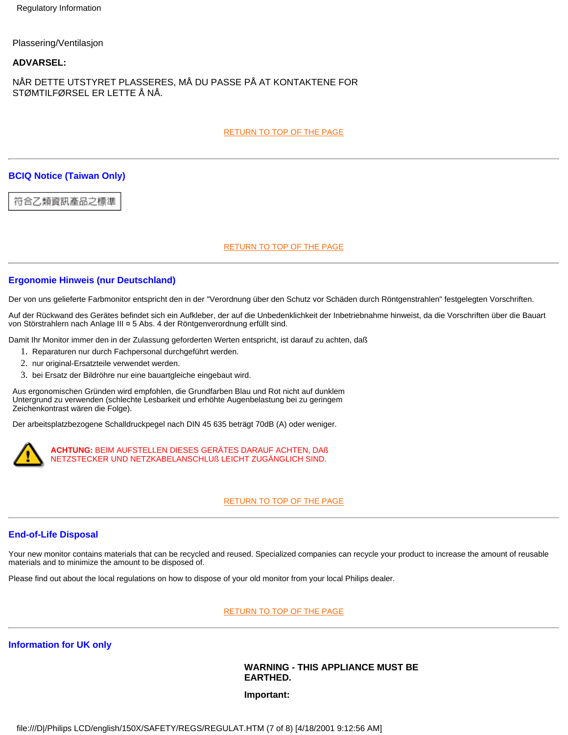Plassering/Ventilasjon

#### **ADVARSEL:**

NÅR DETTE UTSTYRET PLASSERES, MÅ DU PASSE PÅ AT KONTAKTENE FOR STØMTILFØRSEL ER LETTE Å NÅ.

#### RETURN TO TOP OF THE PAGE

#### **BCIQ Notice (Taiwan Only)**

符合乙類資訊產品之標準

RETURN TO TOP OF THE PAGE

#### **Ergonomie Hinweis (nur Deutschland)**

Der von uns gelieferte Farbmonitor entspricht den in der "Verordnung über den Schutz vor Schäden durch Röntgenstrahlen" festgelegten Vorschriften.

Auf der Rückwand des Gerätes befindet sich ein Aufkleber, der auf die Unbedenklichkeit der Inbetriebnahme hinweist, da die Vorschriften über die Bauart von Störstrahlern nach Anlage III ¤ 5 Abs. 4 der Röntgenverordnung erfüllt sind.

Damit Ihr Monitor immer den in der Zulassung geforderten Werten entspricht, ist darauf zu achten, daß

- 1. Reparaturen nur durch Fachpersonal durchgeführt werden.
- 2. nur original-Ersatzteile verwendet werden.
- 3. bei Ersatz der Bildröhre nur eine bauartgleiche eingebaut wird.

Aus ergonomischen Gründen wird empfohlen, die Grundfarben Blau und Rot nicht auf dunklem Untergrund zu verwenden (schlechte Lesbarkeit und erhöhte Augenbelastung bei zu geringem Zeichenkontrast wären die Folge).

Der arbeitsplatzbezogene Schalldruckpegel nach DIN 45 635 beträgt 70dB (A) oder weniger.



RETURN TO TOP OF THE PAGE

#### **End-of-Life Disposal**

Your new monitor contains materials that can be recycled and reused. Specialized companies can recycle your product to increase the amount of reusable materials and to minimize the amount to be disposed of.

Please find out about the local regulations on how to dispose of your old monitor from your local Philips dealer.

RETURN TO TOP OF THE PAGE

**Information for UK only**

**WARNING - THIS APPLIANCE MUST BE EARTHED.**

**Important:**

file:///D|/Philips LCD/english/150X/SAFETY/REGS/REGULAT.HTM (7 of 8) [4/18/2001 9:12:56 AM]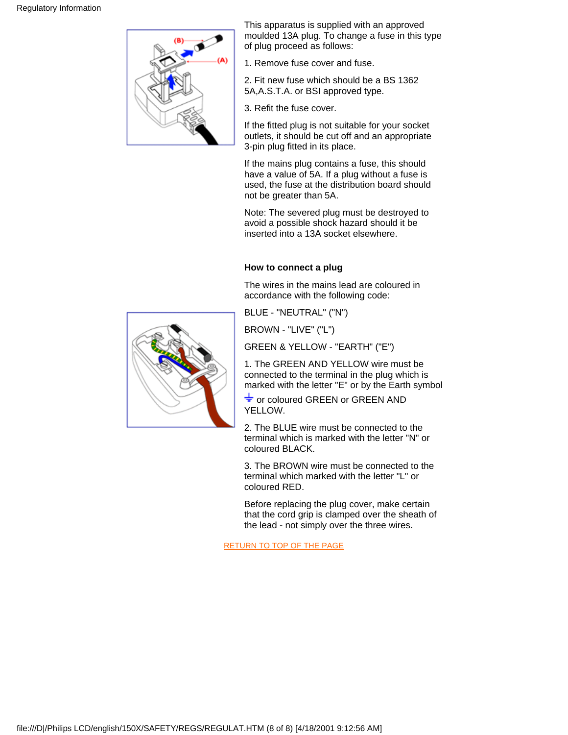

This apparatus is supplied with an approved moulded 13A plug. To change a fuse in this type of plug proceed as follows:

1. Remove fuse cover and fuse.

2. Fit new fuse which should be a BS 1362 5A,A.S.T.A. or BSI approved type.

3. Refit the fuse cover.

If the fitted plug is not suitable for your socket outlets, it should be cut off and an appropriate 3-pin plug fitted in its place.

If the mains plug contains a fuse, this should have a value of 5A. If a plug without a fuse is used, the fuse at the distribution board should not be greater than 5A.

Note: The severed plug must be destroyed to avoid a possible shock hazard should it be inserted into a 13A socket elsewhere.

#### **How to connect a plug**

The wires in the mains lead are coloured in accordance with the following code:

BLUE - "NEUTRAL" ("N")

BROWN - "LIVE" ("L")

GREEN & YELLOW - "EARTH" ("E")

1. The GREEN AND YELLOW wire must be connected to the terminal in the plug which is marked with the letter "E" or by the Earth symbol

 $\frac{1}{\sqrt{2}}$  or coloured GREEN or GREEN AND YELLOW.

2. The BLUE wire must be connected to the terminal which is marked with the letter "N" or coloured BLACK.

3. The BROWN wire must be connected to the terminal which marked with the letter "L" or coloured RED.

Before replacing the plug cover, make certain that the cord grip is clamped over the sheath of the lead - not simply over the three wires.

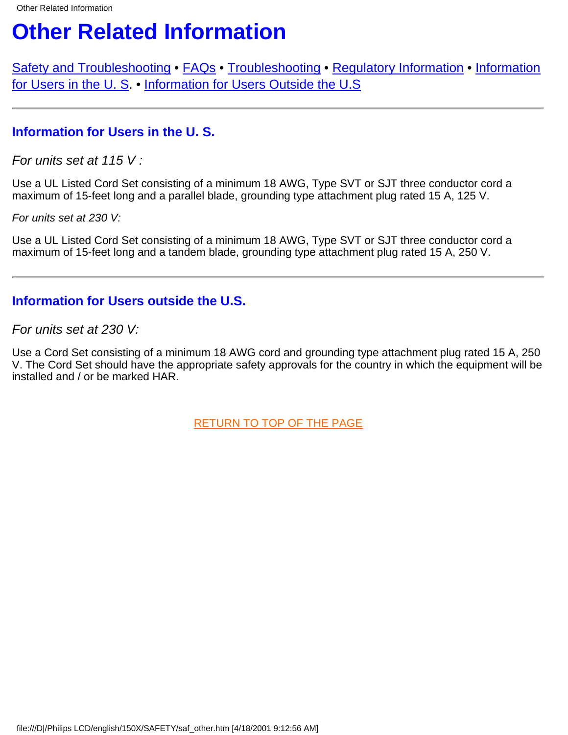# <span id="page-53-0"></span>**Other Related Information**

[Safety and Troubleshooting](#page-1-0) • [FAQs](#page-33-0) • [Troubleshooting](#page-42-2) • [Regulatory Information](#page-45-0) • Information for Users in the U. S. • Information for Users Outside the U.S.

## **Information for Users in the U. S.**

*For units set at 115 V :*

Use a UL Listed Cord Set consisting of a minimum 18 AWG, Type SVT or SJT three conductor cord a maximum of 15-feet long and a parallel blade, grounding type attachment plug rated 15 A, 125 V.

*For units set at 230 V:*

Use a UL Listed Cord Set consisting of a minimum 18 AWG, Type SVT or SJT three conductor cord a maximum of 15-feet long and a tandem blade, grounding type attachment plug rated 15 A, 250 V.

# **Information for Users outside the U.S.**

*For units set at 230 V:*

Use a Cord Set consisting of a minimum 18 AWG cord and grounding type attachment plug rated 15 A, 250 V. The Cord Set should have the appropriate safety approvals for the country in which the equipment will be installed and / or be marked HAR.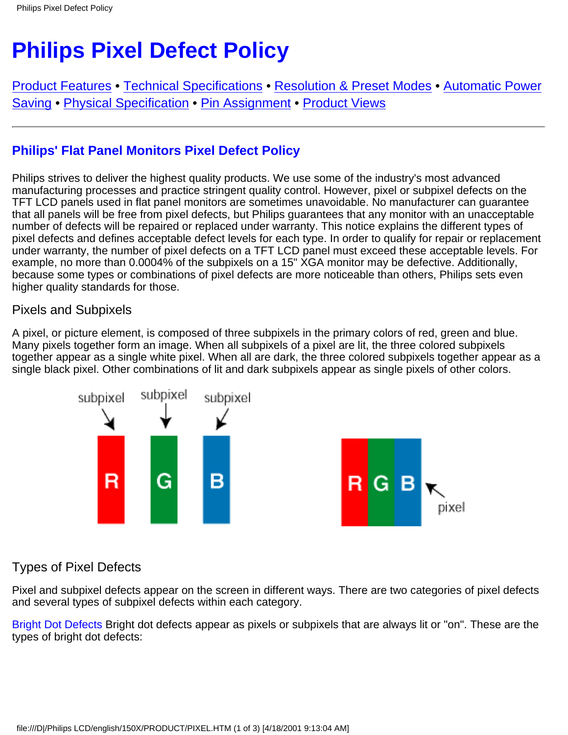# **Philips Pixel Defect Policy**

Product Features • Technical Specifications • Resolution & Preset Modes • Automatic Power Saving • Physical Specification • Pin Assignment • Product Views

# **Philips' Flat Panel Monitors Pixel Defect Policy**

Philips strives to deliver the highest quality products. We use some of the industry's most advanced manufacturing processes and practice stringent quality control. However, pixel or subpixel defects on the TFT LCD panels used in flat panel monitors are sometimes unavoidable. No manufacturer can guarantee that all panels will be free from pixel defects, but Philips guarantees that any monitor with an unacceptable number of defects will be repaired or replaced under warranty. This notice explains the different types of pixel defects and defines acceptable defect levels for each type. In order to qualify for repair or replacement under warranty, the number of pixel defects on a TFT LCD panel must exceed these acceptable levels. For example, no more than 0.0004% of the subpixels on a 15" XGA monitor may be defective. Additionally, because some types or combinations of pixel defects are more noticeable than others, Philips sets even higher quality standards for those.

Pixels and Subpixels

A pixel, or picture element, is composed of three subpixels in the primary colors of red, green and blue. Many pixels together form an image. When all subpixels of a pixel are lit, the three colored subpixels together appear as a single white pixel. When all are dark, the three colored subpixels together appear as a single black pixel. Other combinations of lit and dark subpixels appear as single pixels of other colors.



# Types of Pixel Defects

Pixel and subpixel defects appear on the screen in different ways. There are two categories of pixel defects and several types of subpixel defects within each category.

Bright Dot Defects Bright dot defects appear as pixels or subpixels that are always lit or "on". These are the types of bright dot defects: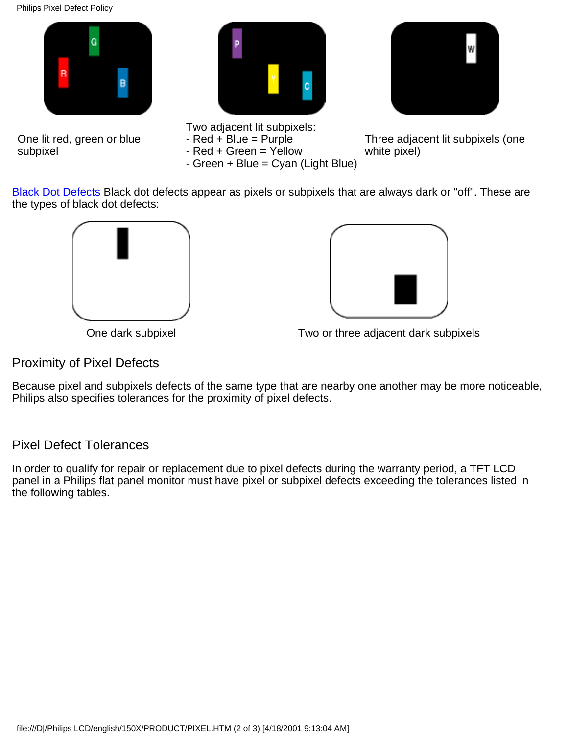Philips Pixel Defect Policy



One lit red, green or blue subpixel



Two adjacent lit subpixels:

- Red + Blue = Purple
- Red + Green = Yellow
- Green + Blue = Cyan (Light Blue)



Three adjacent lit subpixels (one white pixel)

Black Dot Defects Black dot defects appear as pixels or subpixels that are always dark or "off". These are the types of black dot defects:



One dark subpixel **Two or three adjacent dark subpixels** 

# Proximity of Pixel Defects

Because pixel and subpixels defects of the same type that are nearby one another may be more noticeable, Philips also specifies tolerances for the proximity of pixel defects.

# Pixel Defect Tolerances

In order to qualify for repair or replacement due to pixel defects during the warranty period, a TFT LCD panel in a Philips flat panel monitor must have pixel or subpixel defects exceeding the tolerances listed in the following tables.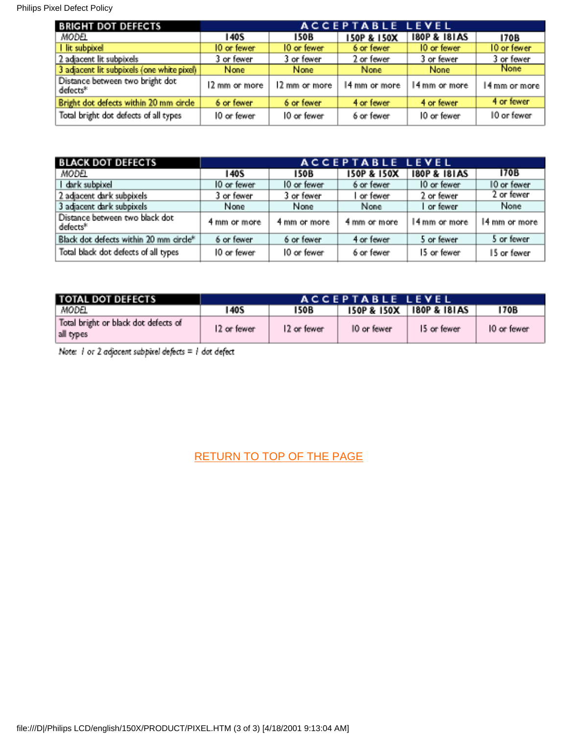Philips Pixel Defect Policy

| <b>BRIGHT DOT DEFECTS</b>                               | <b>ACCEPTABLE LEVEL</b> |               |               |               |               |
|---------------------------------------------------------|-------------------------|---------------|---------------|---------------|---------------|
| MODEL                                                   | 140S                    | 150B          | 150P & 150X   | 180P & 181AS  | 170B          |
| I lit subpixel                                          | 10 or fewer             | 10 or fewer   | 6 or fewer    | 10 or fewer   | 10 or fewer   |
| 2 adjacent lit subpixels                                | 3 or fewer              | 3 or fewer    | 2 or fewer    | 3 or fewer    | 3 or fewer    |
| 3 adjacent lit subpixels (one white pixel)              | None                    | None          | <b>None</b>   | None          | None          |
| Distance between two bright dot<br>defects <sup>*</sup> | 12 mm or more           | 12 mm or more | 14 mm or more | 14 mm or more | 14 mm or more |
| Bright dot defects within 20 mm circle                  | 6 or fewer              | 6 or fewer    | 4 or fewer    | 4 or fewer    | 4 or fewer    |
| Total bright dot defects of all types                   | 10 or fewer             | 10 or fewer   | 6 or fewer    | 10 or fewer   | 10 or fewer   |

| <b>BLACK DOT DEFECTS</b>                   | <b>ACCEPTABLE LEVEL</b> |              |              |               |               |
|--------------------------------------------|-------------------------|--------------|--------------|---------------|---------------|
| MODEL                                      | 140S                    | 150B         | 150P & 150X  | 180P & 181AS  | 170B          |
| I dark subpixel                            | 10 or fewer             | 10 or fewer  | 6 or fewer   | 10 or fewer   | 10 or fewer   |
| 2 adjacent dark subpixels                  | 3 or fewer              | 3 or fewer   | I or fewer   | 2 or fewer    | 2 or fewer    |
| 3 adjacent dark subpixels                  | None                    | None         | None         | l or fewer    | None          |
| Distance between two black dot<br>defects* | 4 mm or more            | 4 mm or more | 4 mm or more | 14 mm or more | 14 mm or more |
| Black dot defects within 20 mm circle*     | 6 or fewer              | 6 or fewer   | 4 or fewer   | 5 or fewer    | 5 or fewer    |
| Total black dot defects of all types       | 10 or fewer             | 10 or fewer  | 6 or fewer   | 15 or fewer   | 15 or fewer   |

| <b>TOTAL DOT DEFECTS</b>                          | ACCEPTABLE LEVEL |             |             |              |             |
|---------------------------------------------------|------------------|-------------|-------------|--------------|-------------|
| MODEL                                             | 140S             | 150B        | 150P & 150X | 180P & 181AS | 170B        |
| Total bright or black dot defects of<br>all types | 12 or fewer      | 12 or fewer | 10 or fewer | 15 or fewer  | 10 or fewer |

Note:  $1$  or 2 adjacent subpixel defects =  $1$  dot defect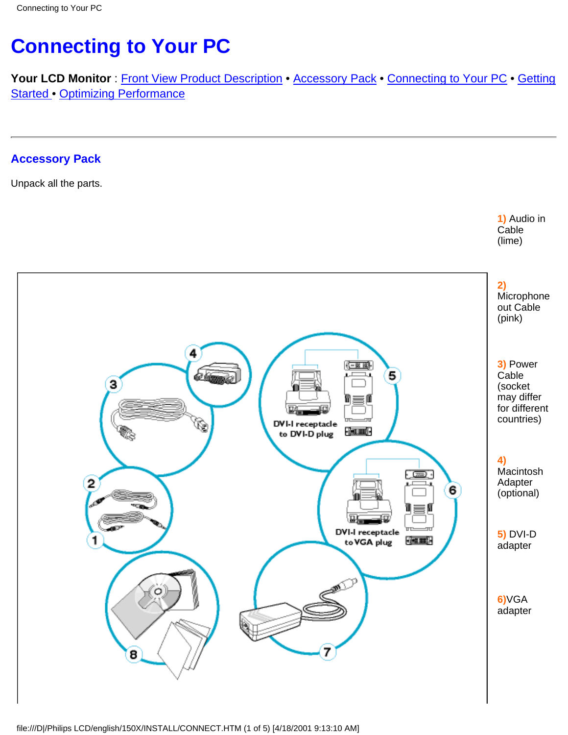# **Connecting to Your PC**

Your LCD Monitor : Front View Product Description • Accessory Pack • Connecting to Your PC • [Getting](#page-62-0) [Started](#page-62-0) • Optimizing Performance

### **Accessory Pack**

Unpack all the parts.

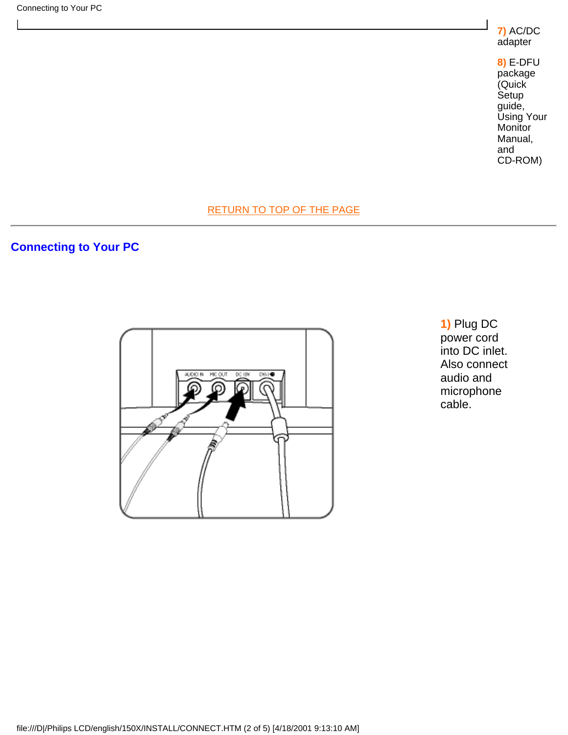**7)** AC/DC adapter

**8)** E-DFU package (Quick **Setup** guide, Using Your **Monitor** Manual, and CD-ROM)

### RETURN TO TOP OF THE PAGE

# **Connecting to Your PC**



**1)** Plug DC power cord into DC inlet. Also connect audio and microphone cable.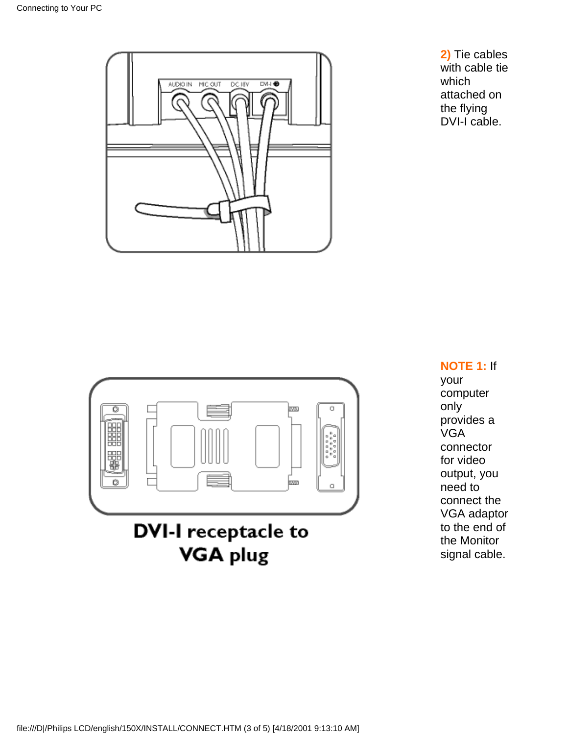

**2)** Tie cables with cable tie which attached on the flying DVI-I cable.



**NOTE 1:** If your computer only provides a VGA connector for video output, you need to connect the VGA adaptor to the end of the Monitor signal cable.

**VGA plug**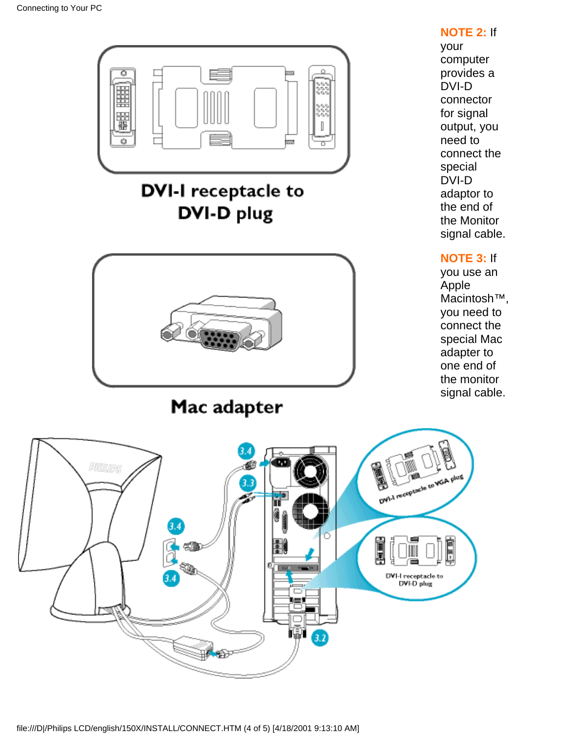

# **NOTE 2:** If

your computer provides a DVI-D connector for signal output, you need to connect the special DVI-D adaptor to the end of the Monitor signal cable.

### **NOTE 3:** If

you use an Apple Macintosh™, you need to connect the special Mac adapter to one end of the monitor signal cable.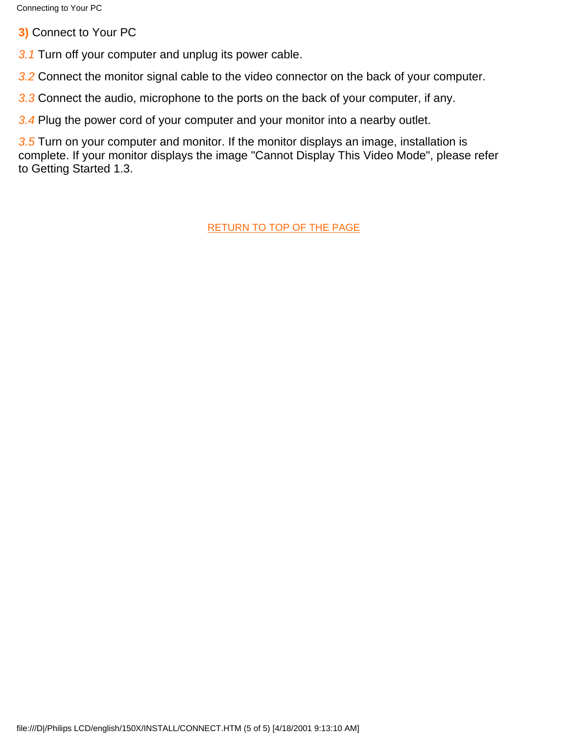Connecting to Your PC

**3)** Connect to Your PC

*3.1* Turn off your computer and unplug its power cable.

*3.2* Connect the monitor signal cable to the video connector on the back of your computer.

*3.3* Connect the audio, microphone to the ports on the back of your computer, if any.

*3.4* Plug the power cord of your computer and your monitor into a nearby outlet.

*3.5* Turn on your computer and monitor. If the monitor displays an image, installation is complete. If your monitor displays the image "Cannot Display This Video Mode", please refer to Getting Started 1.3.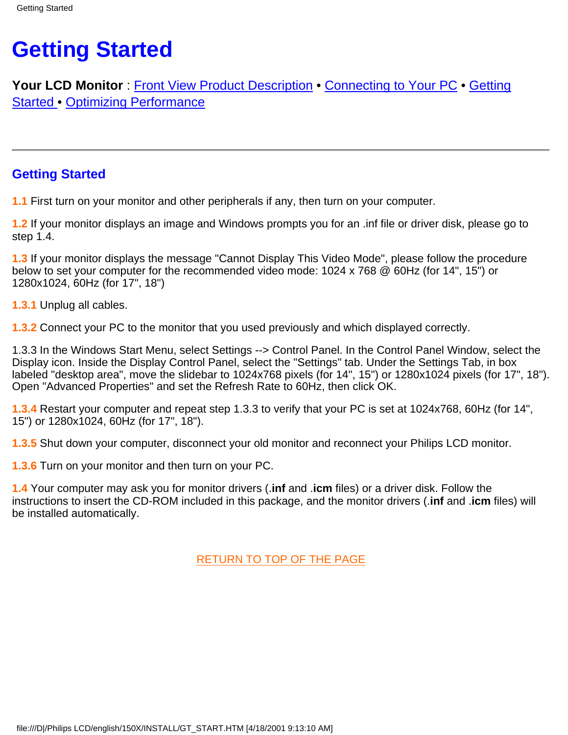# <span id="page-62-0"></span>**Getting Started**

**Your LCD Monitor** : Front View Product Description • Connecting to Your PC • Getting Started • Optimizing Performance

## **Getting Started**

**1.1** First turn on your monitor and other peripherals if any, then turn on your computer.

**1.2** If your monitor displays an image and Windows prompts you for an .inf file or driver disk, please go to step 1.4.

**1.3** If your monitor displays the message "Cannot Display This Video Mode", please follow the procedure below to set your computer for the recommended video mode: 1024 x 768 @ 60Hz (for 14", 15") or 1280x1024, 60Hz (for 17", 18")

**1.3.1** Unplug all cables.

**1.3.2** Connect your PC to the monitor that you used previously and which displayed correctly.

1.3.3 In the Windows Start Menu, select Settings --> Control Panel. In the Control Panel Window, select the Display icon. Inside the Display Control Panel, select the "Settings" tab. Under the Settings Tab, in box labeled "desktop area", move the slidebar to 1024x768 pixels (for 14", 15") or 1280x1024 pixels (for 17", 18"). Open "Advanced Properties" and set the Refresh Rate to 60Hz, then click OK.

**1.3.4** Restart your computer and repeat step 1.3.3 to verify that your PC is set at 1024x768, 60Hz (for 14", 15") or 1280x1024, 60Hz (for 17", 18").

**1.3.5** Shut down your computer, disconnect your old monitor and reconnect your Philips LCD monitor.

**1.3.6** Turn on your monitor and then turn on your PC.

**1.4** Your computer may ask you for monitor drivers (.**inf** and .**icm** files) or a driver disk. Follow the instructions to insert the CD-ROM included in this package, and the monitor drivers (.**inf** and .**icm** files) will be installed automatically.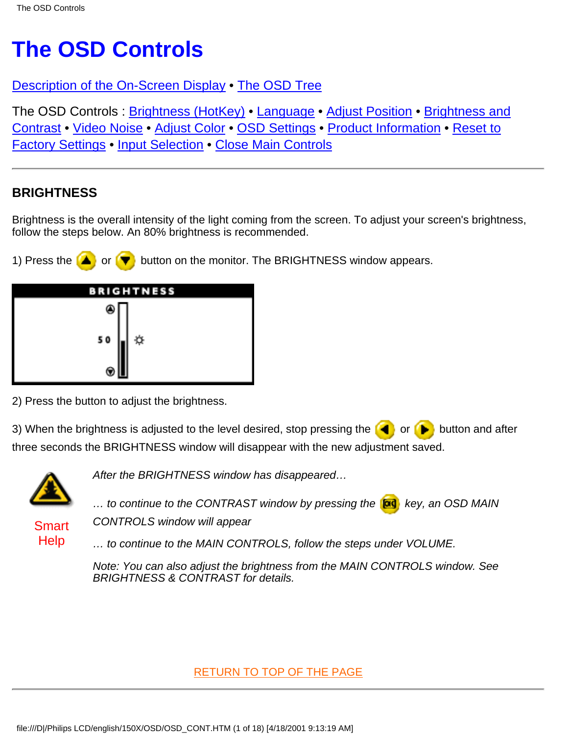# **The OSD Controls**

Description of the On-Screen Display . The OSD Tree

The OSD Controls : Brightness (HotKey) • Language • Adjust Position • Brightness and Contrast • Video Noise • Adjust Color • OSD Settings • Product Information • Reset to Factory Settings • Input Selection • Close Main Controls

# **BRIGHTNESS**

Brightness is the overall intensity of the light coming from the screen. To adjust your screen's brightness, follow the steps below. An 80% brightness is recommended.

1) Press the  $\Box$  or  $\nabla$  button on the monitor. The BRIGHTNESS window appears.

| <b>BRIGHTNESS</b> |
|-------------------|
| ◉<br>50<br>ņ.     |

2) Press the button to adjust the brightness.

3) When the brightness is adjusted to the level desired, stop pressing the  $\Box$  or  $\Box$  button and after three seconds the BRIGHTNESS window will disappear with the new adjustment saved.



*After the BRIGHTNESS window has disappeared…*

... to continue to the CONTRAST window by pressing the **key**, an OSD MAIN

**Smart Help** 

*CONTROLS window will appear*

*… to continue to the MAIN CONTROLS, follow the steps under VOLUME.*

*Note: You can also adjust the brightness from the MAIN CONTROLS window. See BRIGHTNESS & CONTRAST for details.*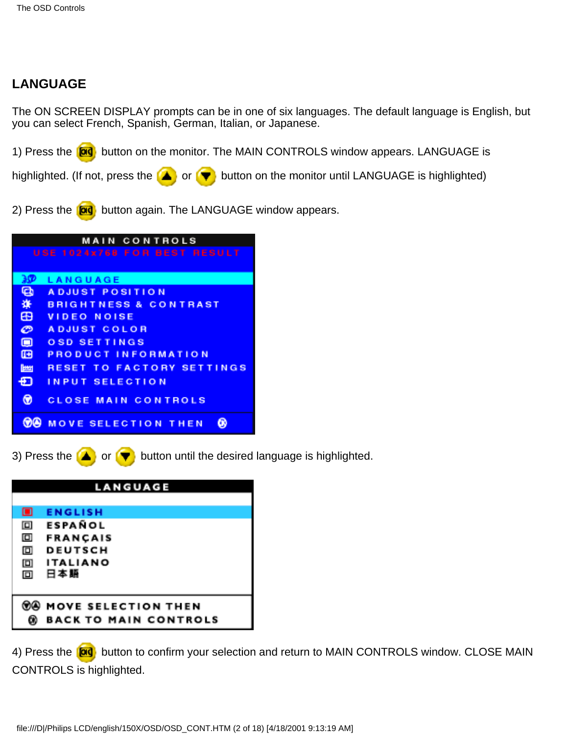# **LANGUAGE**

The ON SCREEN DISPLAY prompts can be in one of six languages. The default language is English, but you can select French, Spanish, German, Italian, or Japanese.

1) Press the **[ad**] button on the monitor. The MAIN CONTROLS window appears. LANGUAGE is

highlighted. (If not, press the  $\Box$  or  $\nabla$  button on the monitor until LANGUAGE is highlighted)

2) Press the **lag** button again. The LANGUAGE window appears.

|                | MAIN CONTROLS                                       |
|----------------|-----------------------------------------------------|
|                | USE 1024x768 FOR BEST RESULT                        |
|                |                                                     |
| 3CD            | LANGUAGE                                            |
| Ø              | <b>ADJUST POSITION</b>                              |
| 诛              | <b>BRIGHTNESS &amp; CONTRAST</b>                    |
| æ              | VIDEO NOISE                                         |
| Ø              | <b>ADJUST COLOR</b>                                 |
| $\blacksquare$ | <b>OSD SETTINGS</b>                                 |
| 田              | <b>PRODUCT INFORMATION</b>                          |
| <b>Botton</b>  | <b>RESET TO FACTORY SETTINGS</b>                    |
| Ð              | <b>INPUT SELECTION</b>                              |
| $\circ$        | <b>CLOSE MAIN CONTROLS</b>                          |
| <b>GG</b>      | $\boldsymbol{\omega}$<br><b>MOVE SELECTION THEN</b> |

3) Press the  $\Box$  or  $\nabla$  button until the desired language is highlighted.

|                | LANGUAGE                     |
|----------------|------------------------------|
| $\blacksquare$ | <b>ENGLISH</b>               |
| ⊡              | <b>ESPAÑOL</b>               |
| ▣              | <b>FRANÇAIS</b>              |
| ▣              | DEUTSCH                      |
| ▣              | <b>ITALIANO</b>              |
| 回              | 日本語                          |
|                |                              |
|                | <b>MOVE SELECTION THEN</b>   |
|                | <b>BACK TO MAIN CONTROLS</b> |
|                |                              |

4) Press the **[ad**] button to confirm your selection and return to MAIN CONTROLS window. CLOSE MAIN CONTROLS is highlighted.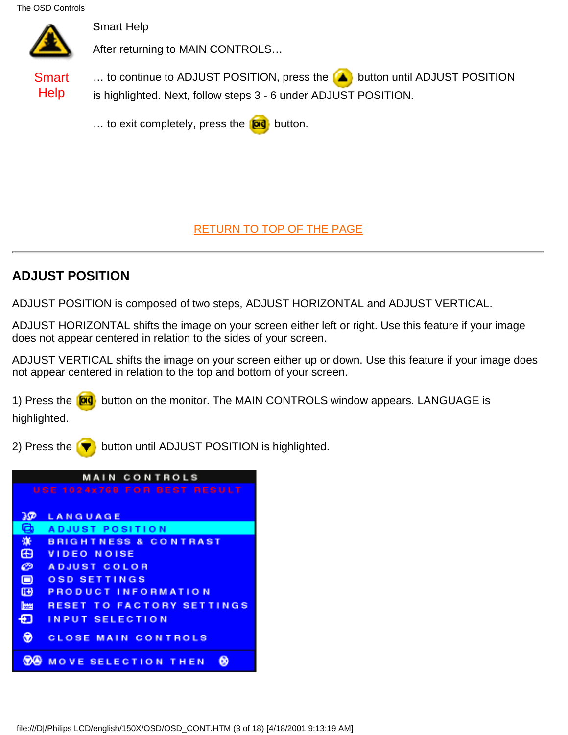The OSD Controls



Smart Help

After returning to MAIN CONTROLS…

- Smart  $\dots$  to continue to ADJUST POSITION, press the  $\Box$  button until ADJUST POSITION
- **Help** is highlighted. Next, follow steps 3 - 6 under ADJUST POSITION.

 $\ldots$  to exit completely, press the **button.** 

# RETURN TO TOP OF THE PAGE

# **ADJUST POSITION**

ADJUST POSITION is composed of two steps, ADJUST HORIZONTAL and ADJUST VERTICAL.

ADJUST HORIZONTAL shifts the image on your screen either left or right. Use this feature if your image does not appear centered in relation to the sides of your screen.

ADJUST VERTICAL shifts the image on your screen either up or down. Use this feature if your image does not appear centered in relation to the top and bottom of your screen.

1) Press the **[ad**] button on the monitor. The MAIN CONTROLS window appears. LANGUAGE is highlighted.

2) Press the  $\blacktriangledown$  button until ADJUST POSITION is highlighted.

| MAIN CONTROLS |                                         |  |  |  |  |
|---------------|-----------------------------------------|--|--|--|--|
|               | <b>USE 1024x768 FOR BEST RESULT</b>     |  |  |  |  |
|               |                                         |  |  |  |  |
| 350           | LANGUAGE                                |  |  |  |  |
| G             | <b>ADJUST POSITION</b>                  |  |  |  |  |
| 诛             | <b>BRIGHTNESS &amp; CONTRAST</b>        |  |  |  |  |
| ⊕             | <b>VIDEO NOISE</b>                      |  |  |  |  |
| Ø             | <b>ADJUST COLOR</b>                     |  |  |  |  |
| $\Box$        | <b>OSD SETTINGS</b>                     |  |  |  |  |
| 田             | PRODUCT INFORMATION                     |  |  |  |  |
| <b>MARK</b>   | <b>RESET TO FACTORY SETTINGS</b>        |  |  |  |  |
| Ð             | <b>INPUT SELECTION</b>                  |  |  |  |  |
| $\circ$       | <b>CLOSE MAIN CONTROLS</b>              |  |  |  |  |
| 60            | <b>DO</b><br><b>MOVE SELECTION THEN</b> |  |  |  |  |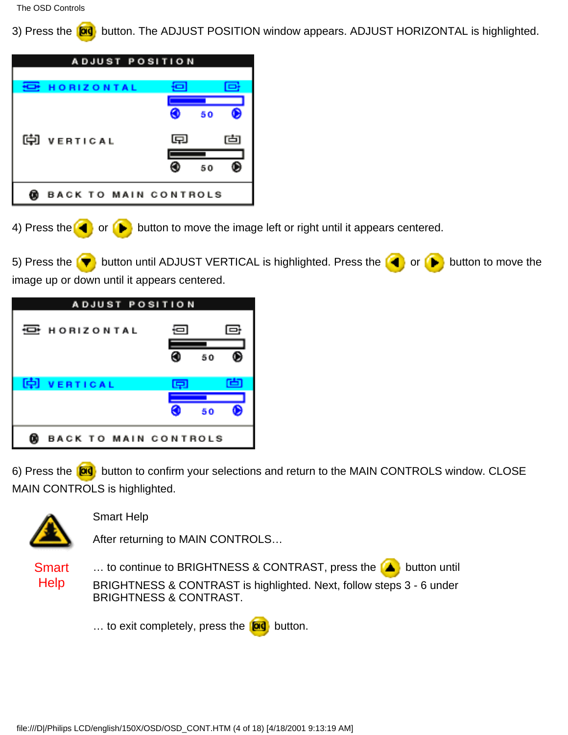The OSD Controls

3) Press the **[ad**] button. The ADJUST POSITION window appears. ADJUST HORIZONTAL is highlighted.

| <b>ADJUST POSITION</b> |                      |
|------------------------|----------------------|
| <b>EE</b> HORIZONTAL   | łо<br>$\blacksquare$ |
|                        | 50                   |
| <b>中 VERTICAL</b>      | 甴<br>ロ               |
|                        | 50                   |
| BACK TO MAIN CONTROLS  |                      |

4) Press the  $\blacktriangleleft$  or  $\blacktriangleright$  button to move the image left or right until it appears centered.

5) Press the  $\blacktriangledown$  button until ADJUST VERTICAL is highlighted. Press the  $\blacktriangleleft$  or  $\blacktriangleright$  button to move the image up or down until it appears centered.

|                       | <b>ADJUST POSITION</b> |     |    |   |
|-----------------------|------------------------|-----|----|---|
| <b>E</b> HORIZONTAL   |                        | ÷⊟l |    | e |
|                       |                        | Θ   | 50 |   |
| 南<br>VERTICAL         |                        |     |    | 6 |
|                       |                        |     |    |   |
|                       |                        |     | 50 |   |
| BACK TO MAIN CONTROLS |                        |     |    |   |

6) Press the **[ad**] button to confirm your selections and return to the MAIN CONTROLS window. CLOSE MAIN CONTROLS is highlighted.



Smart Help

After returning to MAIN CONTROLS…



... to continue to BRIGHTNESS & CONTRAST, press the  $\Box$  button until BRIGHTNESS & CONTRAST is highlighted. Next, follow steps 3 - 6 under BRIGHTNESS & CONTRAST.

 $\ldots$  to exit completely, press the **lad** button.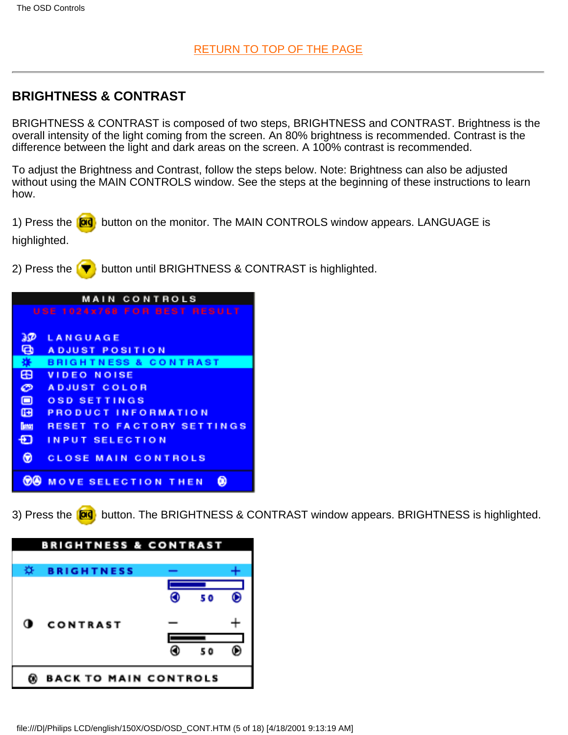# **BRIGHTNESS & CONTRAST**

BRIGHTNESS & CONTRAST is composed of two steps, BRIGHTNESS and CONTRAST. Brightness is the overall intensity of the light coming from the screen. An 80% brightness is recommended. Contrast is the difference between the light and dark areas on the screen. A 100% contrast is recommended.

To adjust the Brightness and Contrast, follow the steps below. Note: Brightness can also be adjusted without using the MAIN CONTROLS window. See the steps at the beginning of these instructions to learn how.

1) Press the **[ad**] button on the monitor. The MAIN CONTROLS window appears. LANGUAGE is highlighted.

2) Press the  $\blacktriangledown$  button until BRIGHTNESS & CONTRAST is highlighted.



3) Press the **[ad**] button. The BRIGHTNESS & CONTRAST window appears. BRIGHTNESS is highlighted.

|   | <b>BRIGHTNESS &amp; CONTRAST</b> |   |         |  |
|---|----------------------------------|---|---------|--|
| 迕 | <b>BRIGHTNESS</b>                |   |         |  |
|   |                                  | ◉ | G<br>50 |  |
|   | <b>CONTRAST</b>                  |   |         |  |
|   |                                  | Q |         |  |
|   | <b>BACK TO MAIN CONTROLS</b>     |   |         |  |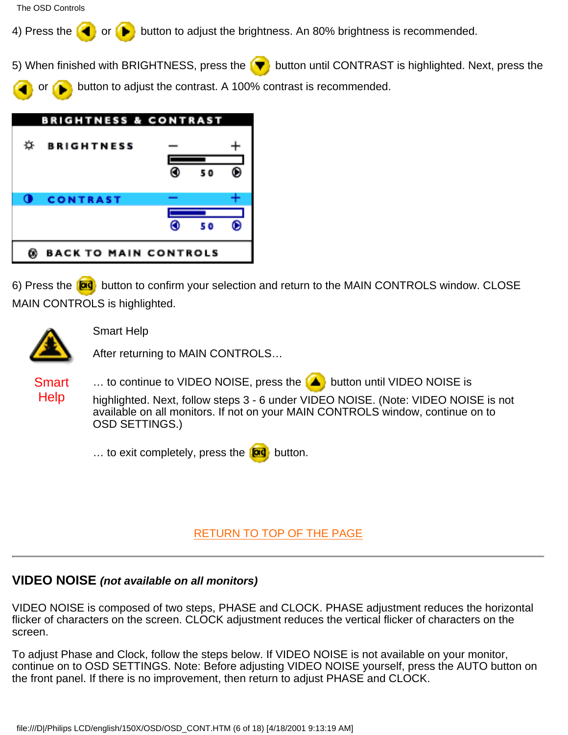- 4) Press the  $\Box$  or  $\Box$  button to adjust the brightness. An 80% brightness is recommended.
- 5) When finished with BRIGHTNESS, press the **V** button until CONTRAST is highlighted. Next, press the button to adjust the contrast. A 100% contrast is recommended.

| <b>BRIGHTNESS &amp; CONTRAST</b> |                              |         |  |  |  |
|----------------------------------|------------------------------|---------|--|--|--|
| 챥                                | <b>BRIGHTNESS</b>            | О<br>50 |  |  |  |
| $\bullet$                        | <b>CONTRAST</b>              |         |  |  |  |
|                                  |                              | a       |  |  |  |
|                                  | <b>BACK TO MAIN CONTROLS</b> |         |  |  |  |

6) Press the **[ad**] button to confirm your selection and return to the MAIN CONTROLS window. CLOSE MAIN CONTROLS is highlighted.



Help

Smart Help

After returning to MAIN CONTROLS…

Smart  $\dots$  to continue to VIDEO NOISE, press the  $\Box$  button until VIDEO NOISE is

highlighted. Next, follow steps 3 - 6 under VIDEO NOISE. (Note: VIDEO NOISE is not available on all monitors. If not on your MAIN CONTROLS window, continue on to OSD SETTINGS.)

 $\ldots$  to exit completely, press the **button**.

## RETURN TO TOP OF THE PAGE

# **VIDEO NOISE** *(not available on all monitors)*

VIDEO NOISE is composed of two steps, PHASE and CLOCK. PHASE adjustment reduces the horizontal flicker of characters on the screen. CLOCK adjustment reduces the vertical flicker of characters on the screen.

To adjust Phase and Clock, follow the steps below. If VIDEO NOISE is not available on your monitor, continue on to OSD SETTINGS. Note: Before adjusting VIDEO NOISE yourself, press the AUTO button on the front panel. If there is no improvement, then return to adjust PHASE and CLOCK.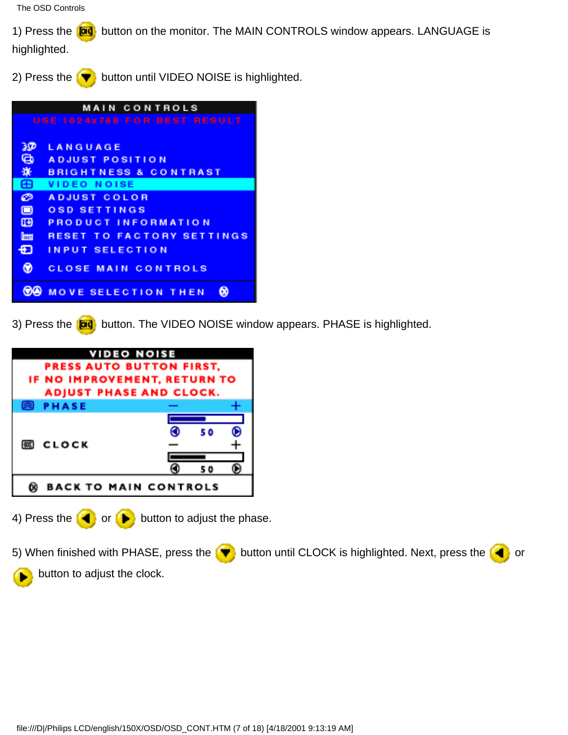The OSD Controls

1) Press the **[ad**] button on the monitor. The MAIN CONTROLS window appears. LANGUAGE is highlighted.

2) Press the  $\blacktriangledown$  button until VIDEO NOISE is highlighted.



3) Press the **[ad**] button. The VIDEO NOISE window appears. PHASE is highlighted.

| <b>VIDEO NOISE</b>              |   |    |  |
|---------------------------------|---|----|--|
| <b>PRESS AUTO BUTTON FIRST,</b> |   |    |  |
| IF NO IMPROVEMENT, RETURN TO    |   |    |  |
| <b>ADJUST PHASE AND CLOCK.</b>  |   |    |  |
| 83<br><b>PHASE</b>              |   |    |  |
|                                 |   |    |  |
|                                 | ⋒ |    |  |
| CLOCK                           |   |    |  |
|                                 |   |    |  |
|                                 |   | 50 |  |
| <b>BACK TO MAIN CONTROLS</b>    |   |    |  |

4) Press the  $\Box$  or  $\Box$  button to adjust the phase.

5) When finished with PHASE, press the **button until CLOCK** is highlighted. Next, press the **or** or

button to adjust the clock.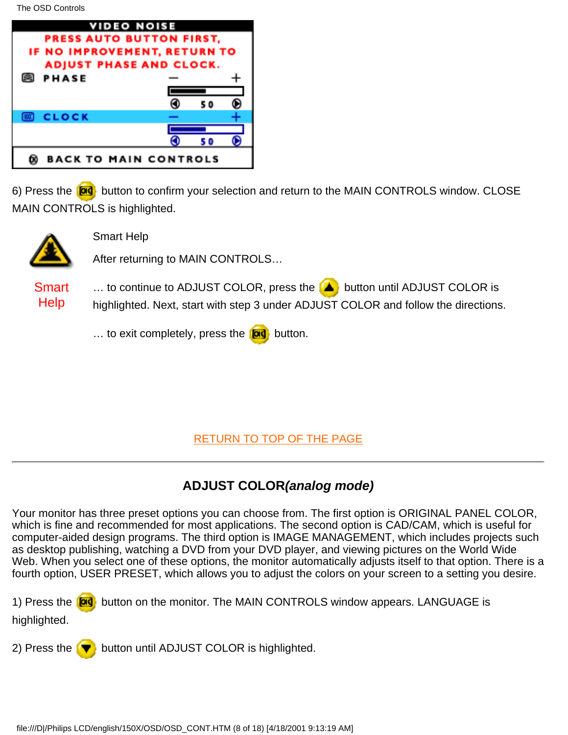| <b>VIDEO NOISE</b>              |  |    |  |  |
|---------------------------------|--|----|--|--|
| <b>PRESS AUTO BUTTON FIRST.</b> |  |    |  |  |
| IF NO IMPROVEMENT, RETURN TO    |  |    |  |  |
| <b>ADJUST PHASE AND CLOCK.</b>  |  |    |  |  |
| <b>PHASE</b>                    |  |    |  |  |
|                                 |  |    |  |  |
|                                 |  | 50 |  |  |
| <b>囫 CLOCK</b>                  |  |    |  |  |
|                                 |  |    |  |  |
|                                 |  | 50 |  |  |
| <b>BACK TO MAIN CONTROLS</b>    |  |    |  |  |

6) Press the **[ad**] button to confirm your selection and return to the MAIN CONTROLS window. CLOSE MAIN CONTROLS is highlighted.



Smart Help

After returning to MAIN CONTROLS…

Smart Help

 $\ldots$  to continue to ADJUST COLOR, press the  $\Box$  button until ADJUST COLOR is highlighted. Next, start with step 3 under ADJUST COLOR and follow the directions.

 $\ldots$  to exit completely, press the **button.** 

# RETURN TO TOP OF THE PAGE

# **ADJUST COLOR***(analog mode)*

Your monitor has three preset options you can choose from. The first option is ORIGINAL PANEL COLOR, which is fine and recommended for most applications. The second option is CAD/CAM, which is useful for computer-aided design programs. The third option is IMAGE MANAGEMENT, which includes projects such as desktop publishing, watching a DVD from your DVD player, and viewing pictures on the World Wide Web. When you select one of these options, the monitor automatically adjusts itself to that option. There is a fourth option, USER PRESET, which allows you to adjust the colors on your screen to a setting you desire.

1) Press the **[ad**] button on the monitor. The MAIN CONTROLS window appears. LANGUAGE is highlighted.

2) Press the  $\blacktriangledown$  button until ADJUST COLOR is highlighted.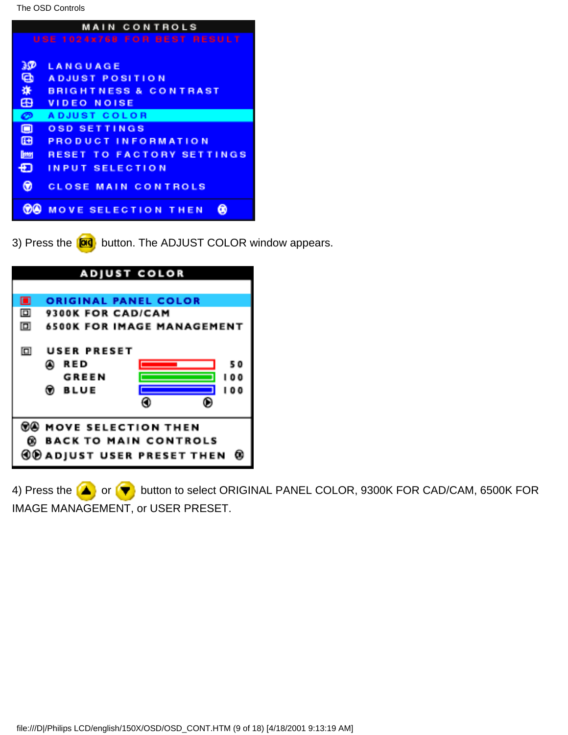The OSD Controls

| MAIN CONTROLS                |                                                     |  |  |  |
|------------------------------|-----------------------------------------------------|--|--|--|
| USE 1024x768 FOR BEST RESULT |                                                     |  |  |  |
|                              |                                                     |  |  |  |
| æ                            | LANGUAGE                                            |  |  |  |
| ø                            | <b>ADJUST POSITION</b>                              |  |  |  |
| 诛                            | <b>BRIGHTNESS &amp; CONTRAST</b>                    |  |  |  |
| æ                            | <b>VIDEO NOISE</b>                                  |  |  |  |
| Ø                            | <b>ADJUST COLOR</b>                                 |  |  |  |
| $\blacksquare$               | <b>OSD SETTINGS</b>                                 |  |  |  |
| 田                            | <b>PRODUCT INFORMATION</b>                          |  |  |  |
| <b>Bottle</b>                | <b>RESET TO FACTORY SETTINGS</b>                    |  |  |  |
| Ð                            | <b>INPUT SELECTION</b>                              |  |  |  |
| $\circ$                      | <b>CLOSE MAIN CONTROLS</b>                          |  |  |  |
| $\odot$                      | $\boldsymbol{\omega}$<br><b>MOVE SELECTION THEN</b> |  |  |  |

3) Press the **[ad**] button. The ADJUST COLOR window appears.

| ADJUST COLOR                                                                                                 |                                   |       |  |  |
|--------------------------------------------------------------------------------------------------------------|-----------------------------------|-------|--|--|
|                                                                                                              |                                   |       |  |  |
| о                                                                                                            | <b>ORIGINAL PANEL COLOR</b>       |       |  |  |
| 回                                                                                                            | <b>9300K FOR CAD/CAM</b>          |       |  |  |
| ▣                                                                                                            | <b>6500K FOR IMAGE MANAGEMENT</b> |       |  |  |
| ▣                                                                                                            | USER PRESET                       |       |  |  |
|                                                                                                              | ⋒<br>RED                          | 50    |  |  |
|                                                                                                              | GREEN                             | 00    |  |  |
|                                                                                                              | ⊛<br><b>BLUE</b>                  | I 0 0 |  |  |
|                                                                                                              | c                                 |       |  |  |
| <b>00 MOVE SELECTION THEN</b><br><b>BACK TO MAIN CONTROLS</b><br>60<br><b>⑥@ADJUST_USER_PRESET_THEN</b><br>ω |                                   |       |  |  |

4) Press the **ORIGINAL PANEL COLOR, 9300K FOR CAD/CAM, 6500K FOR** IMAGE MANAGEMENT, or USER PRESET.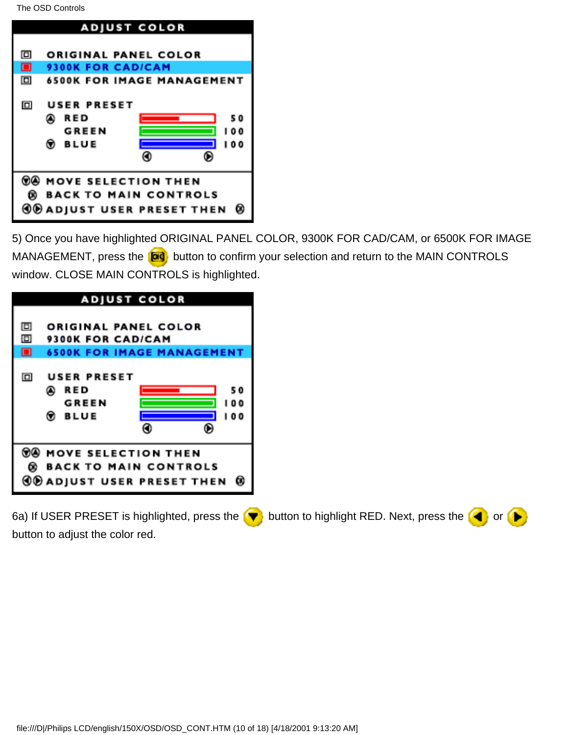

5) Once you have highlighted ORIGINAL PANEL COLOR, 9300K FOR CAD/CAM, or 6500K FOR IMAGE MANAGEMENT, press the **tag** button to confirm your selection and return to the MAIN CONTROLS window. CLOSE MAIN CONTROLS is highlighted.



6a) If USER PRESET is highlighted, press the  $\blacktriangledown$  button to highlight RED. Next, press the  $\blacktriangleleft$  or  $\blacktriangledown$ button to adjust the color red.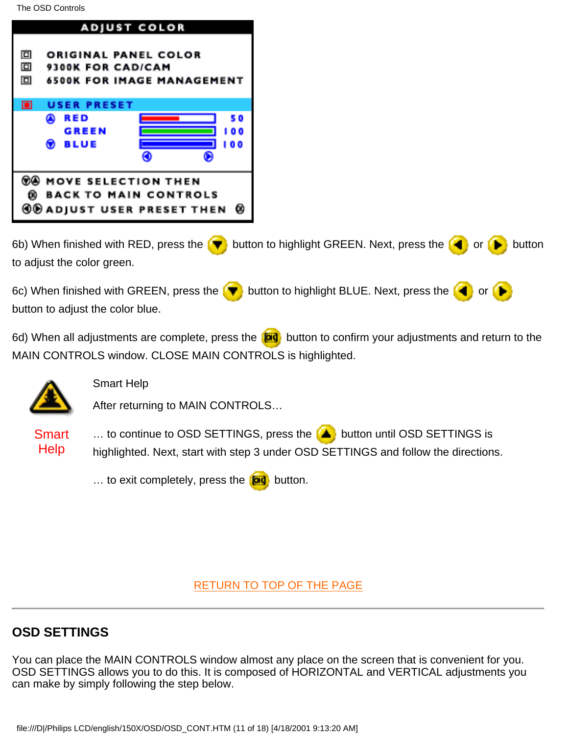

6b) When finished with RED, press the  $\blacktriangledown$  button to highlight GREEN. Next, press the  $\blacktriangleleft$  or  $\blacktriangledown$  button to adjust the color green.

6c) When finished with GREEN, press the  $\blacktriangledown$  button to highlight BLUE. Next, press the  $\blacktriangleleft$  or  $\blacktriangleright$ button to adjust the color blue.

6d) When all adjustments are complete, press the **[ad**] button to confirm your adjustments and return to the MAIN CONTROLS window. CLOSE MAIN CONTROLS is highlighted.



Smart Help

After returning to MAIN CONTROLS…

Smart Help  $\ldots$  to continue to OSD SETTINGS, press the  $\Box$  button until OSD SETTINGS is highlighted. Next, start with step 3 under OSD SETTINGS and follow the directions.

 $\ldots$  to exit completely, press the **button.** 

RETURN TO TOP OF THE PAGE

## **OSD SETTINGS**

You can place the MAIN CONTROLS window almost any place on the screen that is convenient for you. OSD SETTINGS allows you to do this. It is composed of HORIZONTAL and VERTICAL adjustments you can make by simply following the step below.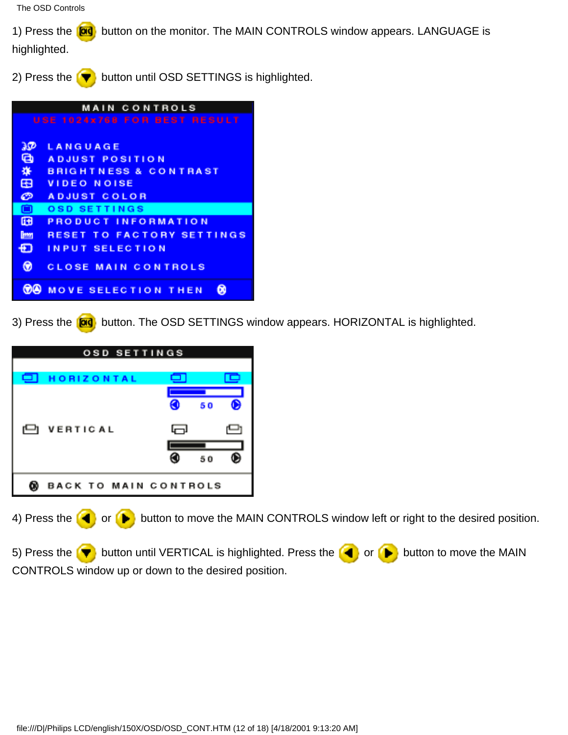1) Press the **[ad**] button on the monitor. The MAIN CONTROLS window appears. LANGUAGE is highlighted.

2) Press the  $\blacktriangledown$  button until OSD SETTINGS is highlighted.



3) Press the **[ad**] button. The OSD SETTINGS window appears. HORIZONTAL is highlighted.

| <b>OSD SETTINGS</b> |                       |    |   |  |  |  |
|---------------------|-----------------------|----|---|--|--|--|
|                     | <b>O HORIZONTAL</b>   | Ó  |   |  |  |  |
|                     |                       | 50 | œ |  |  |  |
|                     | <b>VERTICAL</b>       | ⊡  | ⊢ |  |  |  |
|                     |                       | 50 |   |  |  |  |
|                     | BACK TO MAIN CONTROLS |    |   |  |  |  |

4) Press the **or** or **b** button to move the MAIN CONTROLS window left or right to the desired position.

5) Press the  $\blacktriangledown$  button until VERTICAL is highlighted. Press the  $\blacktriangleleft$  or  $\blacktriangleright$  button to move the MAIN CONTROLS window up or down to the desired position.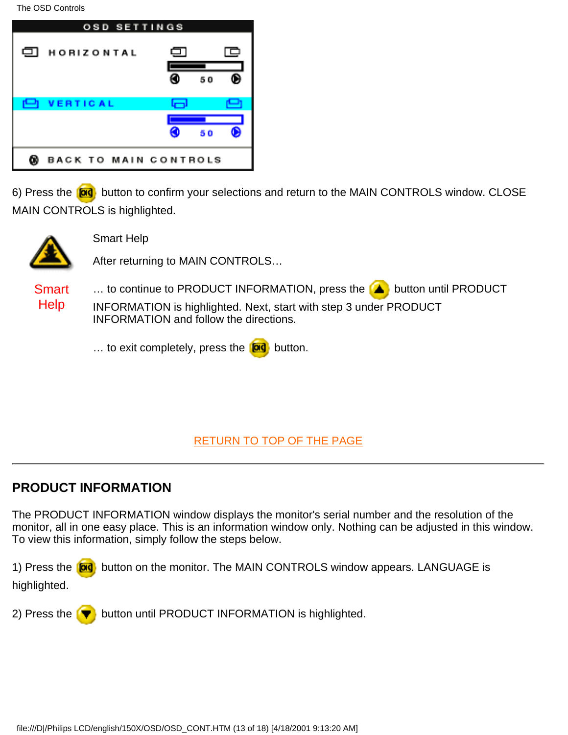| <b>OSD SETTINGS</b> |                       |         |   |  |  |  |  |
|---------------------|-----------------------|---------|---|--|--|--|--|
| ⋴                   | HORIZONTAL            | ▣<br>50 | ▣ |  |  |  |  |
|                     | <b>PIVERTICAL</b>     | اصا     |   |  |  |  |  |
|                     |                       | 50      |   |  |  |  |  |
|                     | BACK TO MAIN CONTROLS |         |   |  |  |  |  |

6) Press the **[ad]** button to confirm your selections and return to the MAIN CONTROLS window. CLOSE MAIN CONTROLS is highlighted.



Smart Help

After returning to MAIN CONTROLS…



 $\dots$  to continue to PRODUCT INFORMATION, press the  $\Box$  button until PRODUCT

INFORMATION is highlighted. Next, start with step 3 under PRODUCT INFORMATION and follow the directions.

 $\ldots$  to exit completely, press the **button.** 

## RETURN TO TOP OF THE PAGE

## **PRODUCT INFORMATION**

The PRODUCT INFORMATION window displays the monitor's serial number and the resolution of the monitor, all in one easy place. This is an information window only. Nothing can be adjusted in this window. To view this information, simply follow the steps below.

1) Press the **[ad**] button on the monitor. The MAIN CONTROLS window appears. LANGUAGE is highlighted.

2) Press the  $\blacktriangledown$  button until PRODUCT INFORMATION is highlighted.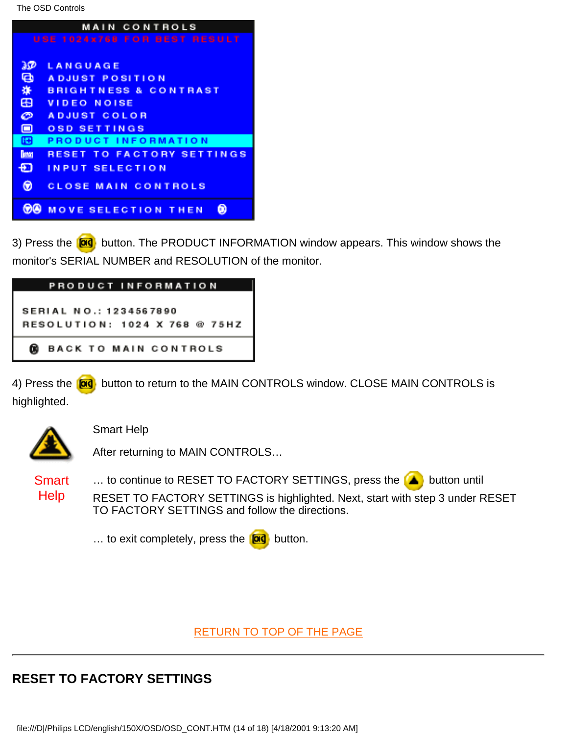| MAIN CONTROLS |                                  |  |  |  |
|---------------|----------------------------------|--|--|--|
|               | USE 1024x768 FOR BEST RESULT     |  |  |  |
|               |                                  |  |  |  |
| эø            | LANGUAGE                         |  |  |  |
| Ø             | <b>ADJUST POSITION</b>           |  |  |  |
| 祩             | <b>BRIGHTNESS &amp; CONTRAST</b> |  |  |  |
| 田             | <b>VIDEO NOISE</b>               |  |  |  |
| Ø             | <b>ADJUST COLOR</b>              |  |  |  |
| $\Box$        | <b>OSD SETTINGS</b>              |  |  |  |
| 囲             | <b>PRODUCT INFORMATION</b>       |  |  |  |
| <b>Botton</b> | <b>RESET TO FACTORY SETTINGS</b> |  |  |  |
| $\bigoplus$   | <b>INPUT SELECTION</b>           |  |  |  |
| $\circ$       | <b>CLOSE MAIN CONTROLS</b>       |  |  |  |
| $\odot \odot$ | ю<br><b>MOVE SELECTION THEN</b>  |  |  |  |

3) Press the **[ad**] button. The PRODUCT INFORMATION window appears. This window shows the monitor's SERIAL NUMBER and RESOLUTION of the monitor.

|    |  | PRODUCT INFORMATION           |  |
|----|--|-------------------------------|--|
|    |  |                               |  |
|    |  | <b>SERIAL NO.: 1234567890</b> |  |
|    |  | RESOLUTION: 1024 X 768 @ 75HZ |  |
|    |  |                               |  |
| œ. |  | BACK TO MAIN CONTROLS         |  |

4) Press the **[ad]** button to return to the MAIN CONTROLS window. CLOSE MAIN CONTROLS is highlighted.



Smart Help

After returning to MAIN CONTROLS…

**Smart** Help

 $\dots$  to continue to RESET TO FACTORY SETTINGS, press the  $\Box$  button until

RESET TO FACTORY SETTINGS is highlighted. Next, start with step 3 under RESET TO FACTORY SETTINGS and follow the directions.

 $\ldots$  to exit completely, press the **lay** button.

RETURN TO TOP OF THE PAGE

# **RESET TO FACTORY SETTINGS**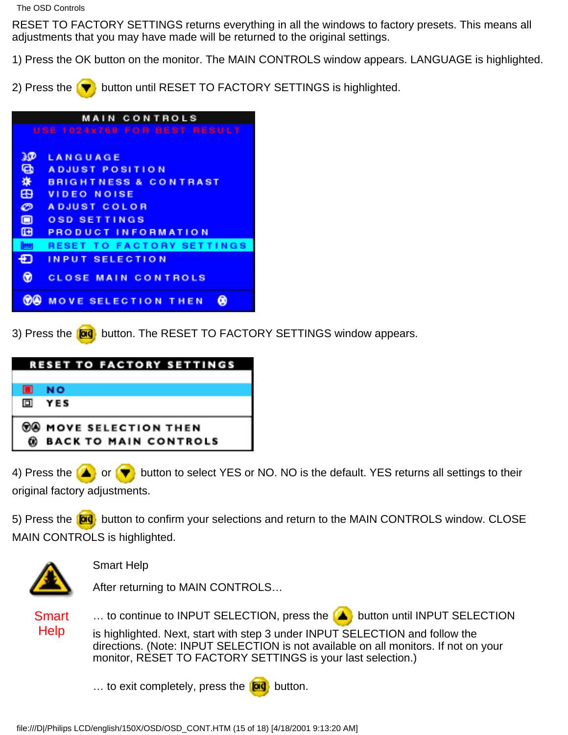RESET TO FACTORY SETTINGS returns everything in all the windows to factory presets. This means all adjustments that you may have made will be returned to the original settings.

1) Press the OK button on the monitor. The MAIN CONTROLS window appears. LANGUAGE is highlighted.

2) Press the  $\blacktriangledown$  button until RESET TO FACTORY SETTINGS is highlighted.



3) Press the **[ad**] button. The RESET TO FACTORY SETTINGS window appears.

|   | <b>RESET TO FACTORY SETTINGS</b> |
|---|----------------------------------|
|   |                                  |
| n | <b>NO</b>                        |
| 回 | YES                              |
|   |                                  |
|   | <b>00 MOVE SELECTION THEN</b>    |
|   | <b>BACK TO MAIN CONTROLS</b>     |

4) Press the  $\Box$  or  $\nabla$  button to select YES or NO. NO is the default. YES returns all settings to their original factory adjustments.

5) Press the **[ad**] button to confirm your selections and return to the MAIN CONTROLS window. CLOSE MAIN CONTROLS is highlighted.



Smart Help

After returning to MAIN CONTROLS…

Smart Help

 $\dots$  to continue to INPUT SELECTION, press the  $\Box$  button until INPUT SELECTION

is highlighted. Next, start with step 3 under INPUT SELECTION and follow the directions. (Note: INPUT SELECTION is not available on all monitors. If not on your monitor, RESET TO FACTORY SETTINGS is your last selection.)

 $\ldots$  to exit completely, press the **lay** button.

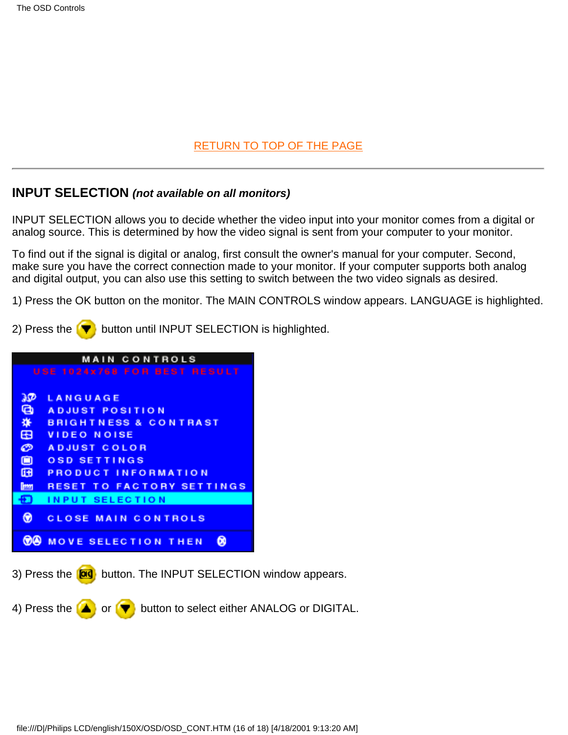### RETURN TO TOP OF THE PAGE

#### **INPUT SELECTION** *(not available on all monitors)*

INPUT SELECTION allows you to decide whether the video input into your monitor comes from a digital or analog source. This is determined by how the video signal is sent from your computer to your monitor.

To find out if the signal is digital or analog, first consult the owner's manual for your computer. Second, make sure you have the correct connection made to your monitor. If your computer supports both analog and digital output, you can also use this setting to switch between the two video signals as desired.

1) Press the OK button on the monitor. The MAIN CONTROLS window appears. LANGUAGE is highlighted.

2) Press the  $\blacktriangledown$  button until INPUT SELECTION is highlighted.



3) Press the **[ad**] button. The INPUT SELECTION window appears.

4) Press the  $\Box$  or  $\nabla$  button to select either ANALOG or DIGITAL.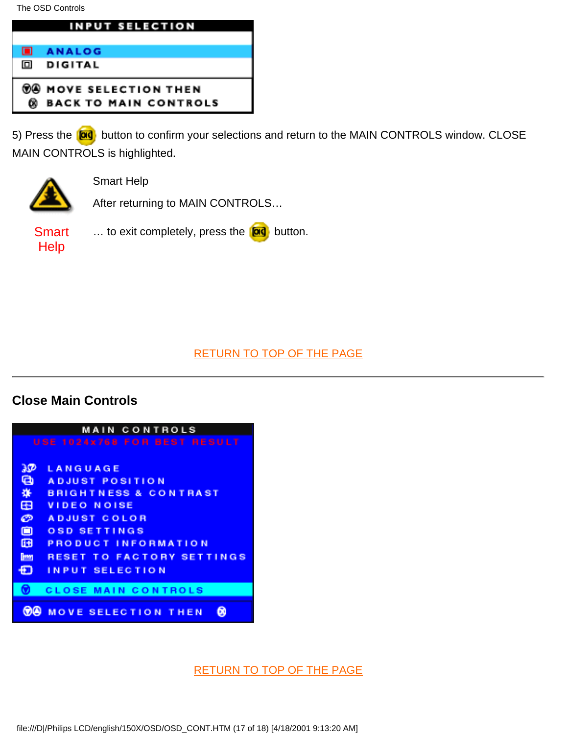|   | <b>INPUT SELECTION</b>        |
|---|-------------------------------|
|   |                               |
| П | <b>ANALOG</b>                 |
| 0 | <b>DIGITAL</b>                |
|   | <b>00 MOVE SELECTION THEN</b> |
| œ | <b>BACK TO MAIN CONTROLS</b>  |

5) Press the **[ad**] button to confirm your selections and return to the MAIN CONTROLS window. CLOSE MAIN CONTROLS is highlighted.



Smart Help

After returning to MAIN CONTROLS…

**Smart Help** 

 $\ldots$  to exit completely, press the **lay** button.

## RETURN TO TOP OF THE PAGE

## **Close Main Controls**



RETURN TO TOP OF THE PAGE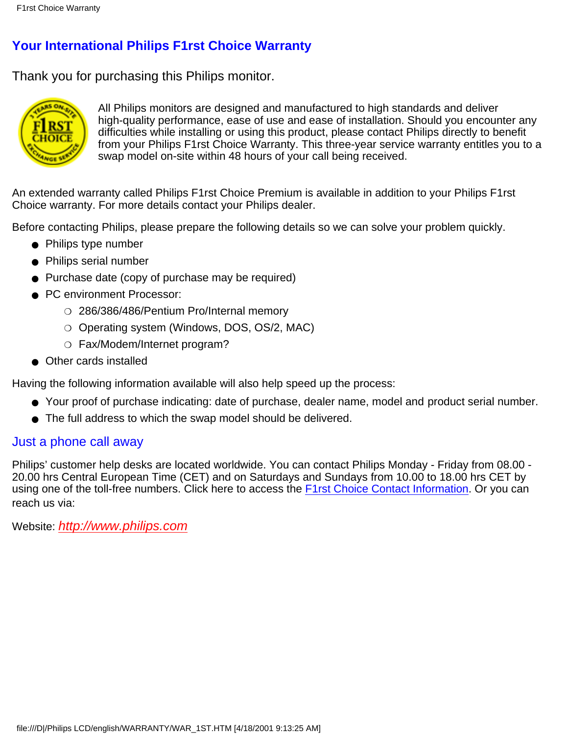# **Your International Philips F1rst Choice Warranty**

Thank you for purchasing this Philips monitor.



All Philips monitors are designed and manufactured to high standards and deliver high-quality performance, ease of use and ease of installation. Should you encounter any difficulties while installing or using this product, please contact Philips directly to benefit from your Philips F1rst Choice Warranty. This three-year service warranty entitles you to a swap model on-site within 48 hours of your call being received.

An extended warranty called Philips F1rst Choice Premium is available in addition to your Philips F1rst Choice warranty. For more details contact your Philips dealer.

Before contacting Philips, please prepare the following details so we can solve your problem quickly.

- Philips type number
- Philips serial number
- Purchase date (copy of purchase may be required)
- PC environment Processor:
	- ❍ 286/386/486/Pentium Pro/Internal memory
	- ❍ Operating system (Windows, DOS, OS/2, MAC)
	- ❍ Fax/Modem/Internet program?
- Other cards installed

Having the following information available will also help speed up the process:

- Your proof of purchase indicating: date of purchase, dealer name, model and product serial number.
- The full address to which the swap model should be delivered.

## Just a phone call away

Philips' customer help desks are located worldwide. You can contact Philips Monday - Friday from 08.00 - 20.00 hrs Central European Time (CET) and on Saturdays and Sundays from 10.00 to 18.00 hrs CET by using one of the toll-free numbers. Click here to access the [F1rst Choice Contact Information](file:///D|/Philips LCD/english/WARRANTY/WARFIRST.HTM). Or you can reach us via:

Website: *[http://www.philips.com](http://www.philips.com/)*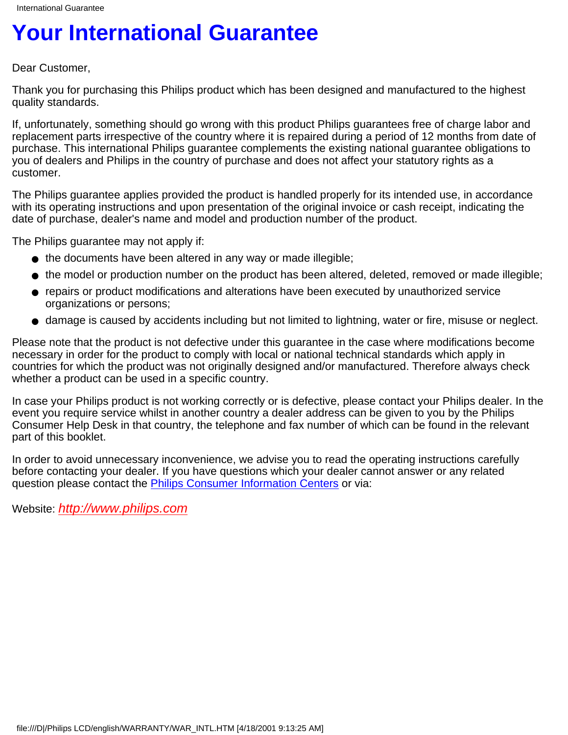# **Your International Guarantee**

#### Dear Customer,

Thank you for purchasing this Philips product which has been designed and manufactured to the highest quality standards.

If, unfortunately, something should go wrong with this product Philips guarantees free of charge labor and replacement parts irrespective of the country where it is repaired during a period of 12 months from date of purchase. This international Philips guarantee complements the existing national guarantee obligations to you of dealers and Philips in the country of purchase and does not affect your statutory rights as a customer.

The Philips guarantee applies provided the product is handled properly for its intended use, in accordance with its operating instructions and upon presentation of the original invoice or cash receipt, indicating the date of purchase, dealer's name and model and production number of the product.

The Philips guarantee may not apply if:

- the documents have been altered in any way or made illegible;
- the model or production number on the product has been altered, deleted, removed or made illegible;
- repairs or product modifications and alterations have been executed by unauthorized service organizations or persons;
- damage is caused by accidents including but not limited to lightning, water or fire, misuse or neglect.

Please note that the product is not defective under this guarantee in the case where modifications become necessary in order for the product to comply with local or national technical standards which apply in countries for which the product was not originally designed and/or manufactured. Therefore always check whether a product can be used in a specific country.

In case your Philips product is not working correctly or is defective, please contact your Philips dealer. In the event you require service whilst in another country a dealer address can be given to you by the Philips Consumer Help Desk in that country, the telephone and fax number of which can be found in the relevant part of this booklet.

In order to avoid unnecessary inconvenience, we advise you to read the operating instructions carefully before contacting your dealer. If you have questions which your dealer cannot answer or any related question please contact the [Philips Consumer Information Centers](file:///D|/Philips LCD/english/WARRANTY/WARCIC.HTM) or via:

Website: *[http://www.philips.com](http://www.philips.com/)*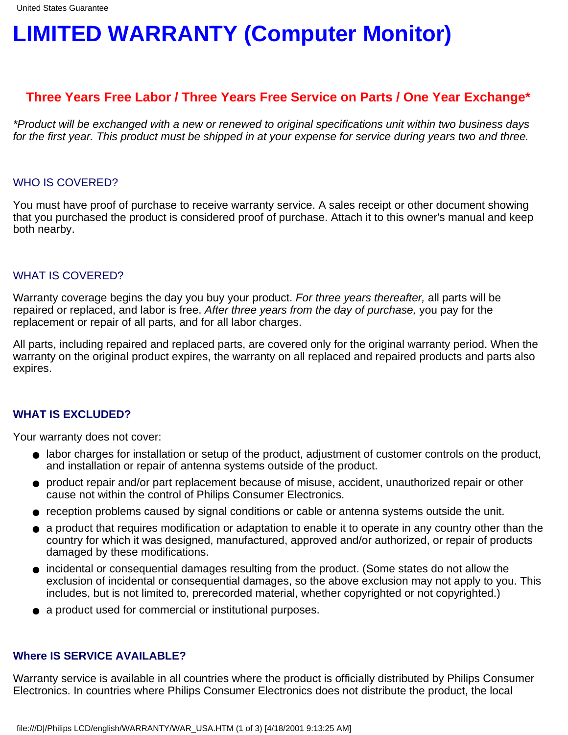# **LIMITED WARRANTY (Computer Monitor)**

## **Three Years Free Labor / Three Years Free Service on Parts / One Year Exchange\***

*\*Product will be exchanged with a new or renewed to original specifications unit within two business days for the first year. This product must be shipped in at your expense for service during years two and three.*

#### WHO IS COVERED?

You must have proof of purchase to receive warranty service. A sales receipt or other document showing that you purchased the product is considered proof of purchase. Attach it to this owner's manual and keep both nearby.

#### WHAT IS COVERED?

Warranty coverage begins the day you buy your product. *For three years thereafter,* all parts will be repaired or replaced, and labor is free. *After three years from the day of purchase,* you pay for the replacement or repair of all parts, and for all labor charges.

All parts, including repaired and replaced parts, are covered only for the original warranty period. When the warranty on the original product expires, the warranty on all replaced and repaired products and parts also expires.

#### **WHAT IS EXCLUDED?**

Your warranty does not cover:

- labor charges for installation or setup of the product, adjustment of customer controls on the product, and installation or repair of antenna systems outside of the product.
- product repair and/or part replacement because of misuse, accident, unauthorized repair or other cause not within the control of Philips Consumer Electronics.
- reception problems caused by signal conditions or cable or antenna systems outside the unit.
- a product that requires modification or adaptation to enable it to operate in any country other than the country for which it was designed, manufactured, approved and/or authorized, or repair of products damaged by these modifications.
- incidental or consequential damages resulting from the product. (Some states do not allow the exclusion of incidental or consequential damages, so the above exclusion may not apply to you. This includes, but is not limited to, prerecorded material, whether copyrighted or not copyrighted.)
- a product used for commercial or institutional purposes.

#### **Where IS SERVICE AVAILABLE?**

Warranty service is available in all countries where the product is officially distributed by Philips Consumer Electronics. In countries where Philips Consumer Electronics does not distribute the product, the local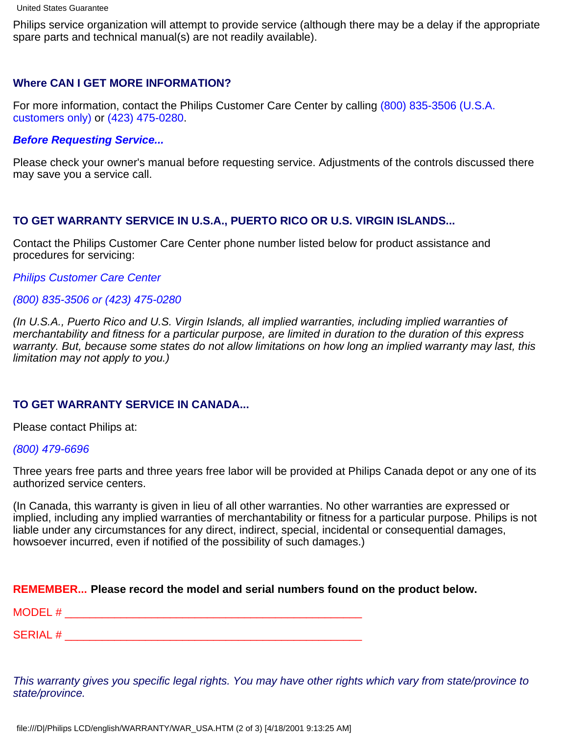Philips service organization will attempt to provide service (although there may be a delay if the appropriate spare parts and technical manual(s) are not readily available).

#### **Where CAN I GET MORE INFORMATION?**

For more information, contact the Philips Customer Care Center by calling (800) 835-3506 (U.S.A. customers only) or (423) 475-0280.

#### *Before Requesting Service...*

Please check your owner's manual before requesting service. Adjustments of the controls discussed there may save you a service call.

#### **TO GET WARRANTY SERVICE IN U.S.A., PUERTO RICO OR U.S. VIRGIN ISLANDS...**

Contact the Philips Customer Care Center phone number listed below for product assistance and procedures for servicing:

*Philips Customer Care Center*

#### *(800) 835-3506 or (423) 475-0280*

*(In U.S.A., Puerto Rico and U.S. Virgin Islands, all implied warranties, including implied warranties of merchantability and fitness for a particular purpose, are limited in duration to the duration of this express warranty. But, because some states do not allow limitations on how long an implied warranty may last, this limitation may not apply to you.)*

#### **TO GET WARRANTY SERVICE IN CANADA...**

Please contact Philips at:

#### *(800) 479-6696*

Three years free parts and three years free labor will be provided at Philips Canada depot or any one of its authorized service centers.

(In Canada, this warranty is given in lieu of all other warranties. No other warranties are expressed or implied, including any implied warranties of merchantability or fitness for a particular purpose. Philips is not liable under any circumstances for any direct, indirect, special, incidental or consequential damages, howsoever incurred, even if notified of the possibility of such damages.)

#### **REMEMBER... Please record the model and serial numbers found on the product below.**

| .<br>. <del>.</del> |  |  |  |
|---------------------|--|--|--|
|                     |  |  |  |
|                     |  |  |  |

SERIAL # \_\_\_\_\_\_\_\_\_\_\_\_\_\_\_\_\_\_\_\_\_\_\_\_\_\_\_\_\_\_\_\_\_\_\_\_\_\_\_\_\_\_\_\_\_\_\_\_

#### *This warranty gives you specific legal rights. You may have other rights which vary from state/province to state/province.*